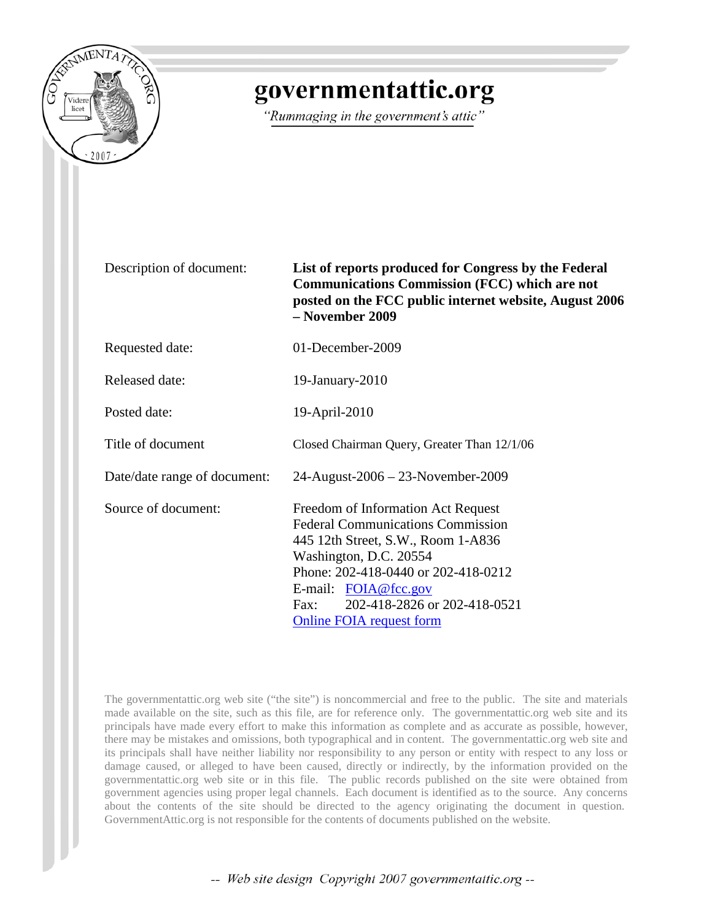

## governmentattic.org

"Rummaging in the government's attic"

Description of document: **List of reports produced for Congress by the Federal Communications Commission (FCC) which are not posted on the FCC public internet website, August 2006 – November 2009**

| Requested date:              | 01-December-2009                                                                                                                                                                                                                                                                                  |
|------------------------------|---------------------------------------------------------------------------------------------------------------------------------------------------------------------------------------------------------------------------------------------------------------------------------------------------|
| Released date:               | $19$ -January- $2010$                                                                                                                                                                                                                                                                             |
| Posted date:                 | 19-April-2010                                                                                                                                                                                                                                                                                     |
| Title of document            | Closed Chairman Query, Greater Than 12/1/06                                                                                                                                                                                                                                                       |
| Date/date range of document: | 24-August-2006 - 23-November-2009                                                                                                                                                                                                                                                                 |
| Source of document:          | Freedom of Information Act Request<br><b>Federal Communications Commission</b><br>445 12th Street, S.W., Room 1-A836<br>Washington, D.C. 20554<br>Phone: 202-418-0440 or 202-418-0212<br>E-mail: FOIA@fcc.gov<br>202-418-2826 or 202-418-0521<br>$\text{Fax}:$<br><b>Online FOIA request form</b> |

The governmentattic.org web site ("the site") is noncommercial and free to the public. The site and materials made available on the site, such as this file, are for reference only. The governmentattic.org web site and its principals have made every effort to make this information as complete and as accurate as possible, however, there may be mistakes and omissions, both typographical and in content. The governmentattic.org web site and its principals shall have neither liability nor responsibility to any person or entity with respect to any loss or damage caused, or alleged to have been caused, directly or indirectly, by the information provided on the governmentattic.org web site or in this file. The public records published on the site were obtained from government agencies using proper legal channels. Each document is identified as to the source. Any concerns about the contents of the site should be directed to the agency originating the document in question. GovernmentAttic.org is not responsible for the contents of documents published on the website.

-- Web site design Copyright 2007 governmentattic.org --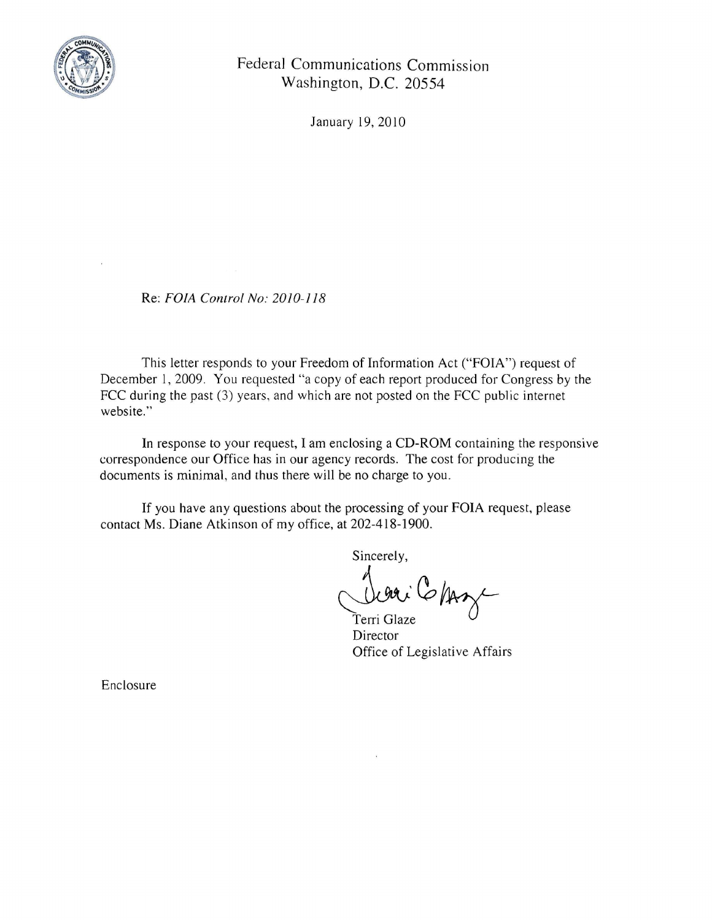

Federal Communications Commission Washington, D.C. 20554

January 19,2010

Re: *FOIA Control No: 2010-118* 

This letter responds to your Freedom of Information Act ("FOIA") request of December 1,2009. You requested "a copy of each report produced for Congress by the FCC during the past (3) years, and which are not posted on the FCC public internet website."

In response to your request, I am enclosing a CD-ROM containing the responsive correspondence our Office has in our agency records. The cost for producing the documents is minimal, and thus there will be no charge to you.

If you have any questions about the processing of your FOIA request, please contact Ms. Diane Atkinson of my office, at 202-418-1900.

Sincerely,

Dieu Chaze

**Director** Office of Legislative Affairs

Enclosure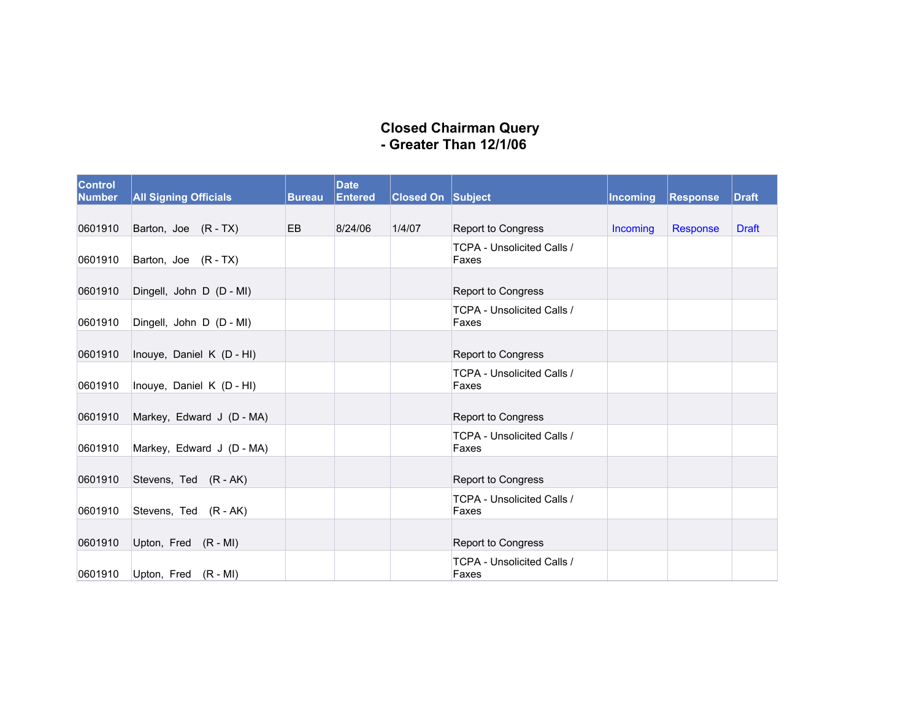## **Closed Chairman Query Greater Than 12/1/06**

| <b>Control</b><br><b>Number</b> | <b>All Signing Officials</b> | <b>Bureau</b> | <b>Date</b><br>Entered | <b>Closed On Subject</b> |                                            | <b>Incoming</b> | <b>Response</b> | Draft        |
|---------------------------------|------------------------------|---------------|------------------------|--------------------------|--------------------------------------------|-----------------|-----------------|--------------|
| 0601910                         | Barton, Joe (R - TX)         | <b>EB</b>     | 8/24/06                | 1/4/07                   | <b>Report to Congress</b>                  | <b>Incoming</b> | Response        | <b>Draft</b> |
| 0601910                         | Barton, Joe (R - TX)         |               |                        |                          | TCPA - Unsolicited Calls /<br>Faxes        |                 |                 |              |
| 0601910                         | Dingell, John D (D - MI)     |               |                        |                          | <b>Report to Congress</b>                  |                 |                 |              |
| 0601910                         | Dingell, John D (D - MI)     |               |                        |                          | <b>TCPA - Unsolicited Calls /</b><br>Faxes |                 |                 |              |
| 0601910                         | Inouye, Daniel K (D - HI)    |               |                        |                          | <b>Report to Congress</b>                  |                 |                 |              |
| 0601910                         | Inouye, Daniel K (D - HI)    |               |                        |                          | <b>TCPA - Unsolicited Calls /</b><br>Faxes |                 |                 |              |
| 0601910                         | Markey, Edward J (D - MA)    |               |                        |                          | <b>Report to Congress</b>                  |                 |                 |              |
| 0601910                         | Markey, Edward J (D - MA)    |               |                        |                          | TCPA - Unsolicited Calls /<br>Faxes        |                 |                 |              |
| 0601910                         | Stevens, Ted (R - AK)        |               |                        |                          | <b>Report to Congress</b>                  |                 |                 |              |
| 0601910                         | Stevens, Ted (R - AK)        |               |                        |                          | TCPA - Unsolicited Calls /<br>Faxes        |                 |                 |              |
| 0601910                         | Upton, Fred (R - MI)         |               |                        |                          | <b>Report to Congress</b>                  |                 |                 |              |
| 0601910                         | Upton, Fred (R - MI)         |               |                        |                          | TCPA - Unsolicited Calls /<br>Faxes        |                 |                 |              |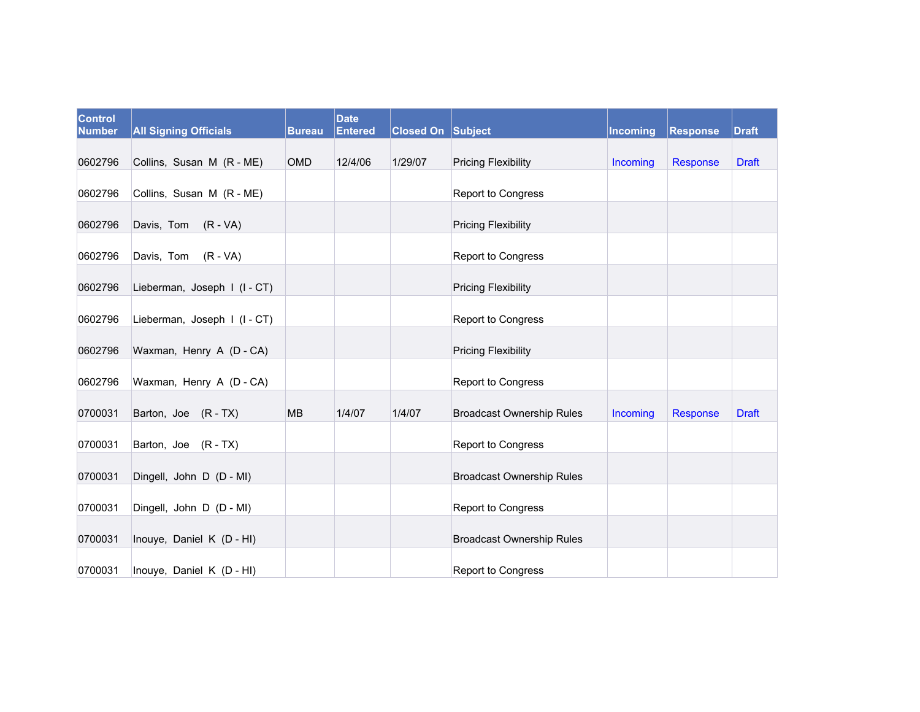| <b>Control</b><br><b>Number</b> | <b>All Signing Officials</b> | <b>Bureau</b> | <b>Date</b><br><b>Entered</b> | <b>Closed On Subject</b> |                                  | Incoming | Response | <b>Draft</b> |
|---------------------------------|------------------------------|---------------|-------------------------------|--------------------------|----------------------------------|----------|----------|--------------|
| 0602796                         | Collins, Susan M (R - ME)    | <b>OMD</b>    | 12/4/06                       | 1/29/07                  | <b>Pricing Flexibility</b>       | Incoming | Response | <b>Draft</b> |
| 0602796                         | Collins, Susan M (R - ME)    |               |                               |                          | Report to Congress               |          |          |              |
| 0602796                         | Davis, Tom (R - VA)          |               |                               |                          | <b>Pricing Flexibility</b>       |          |          |              |
| 0602796                         | Davis, Tom (R - VA)          |               |                               |                          | Report to Congress               |          |          |              |
| 0602796                         | Lieberman, Joseph I (I-CT)   |               |                               |                          | <b>Pricing Flexibility</b>       |          |          |              |
| 0602796                         | Lieberman, Joseph I (I-CT)   |               |                               |                          | Report to Congress               |          |          |              |
| 0602796                         | Waxman, Henry A (D - CA)     |               |                               |                          | <b>Pricing Flexibility</b>       |          |          |              |
| 0602796                         | Waxman, Henry A (D - CA)     |               |                               |                          | Report to Congress               |          |          |              |
| 0700031                         | Barton, Joe (R-TX)           | <b>MB</b>     | 1/4/07                        | 1/4/07                   | <b>Broadcast Ownership Rules</b> | Incoming | Response | <b>Draft</b> |
| 0700031                         | Barton, Joe (R-TX)           |               |                               |                          | Report to Congress               |          |          |              |
| 0700031                         | Dingell, John D (D - MI)     |               |                               |                          | <b>Broadcast Ownership Rules</b> |          |          |              |
| 0700031                         | Dingell, John D (D - MI)     |               |                               |                          | Report to Congress               |          |          |              |
| 0700031                         | Inouye, Daniel K (D - HI)    |               |                               |                          | <b>Broadcast Ownership Rules</b> |          |          |              |
| 0700031                         | Inouye, Daniel K (D - HI)    |               |                               |                          | Report to Congress               |          |          |              |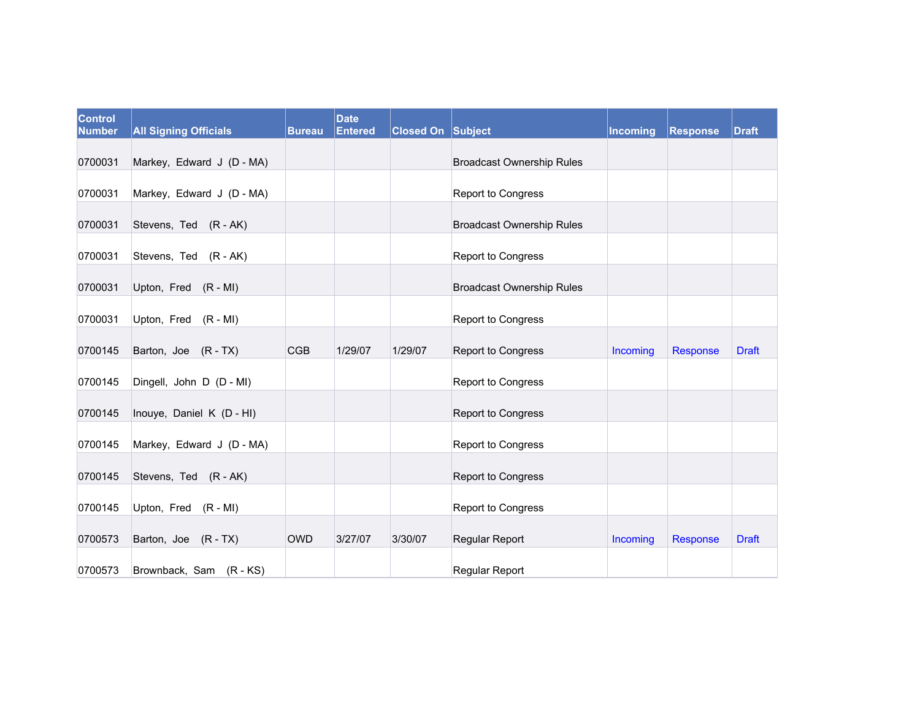| <b>Control</b><br><b>Number</b> | <b>All Signing Officials</b> | <b>Bureau</b> | <b>Date</b><br><b>Entered</b> | <b>Closed On Subject</b> |                                  | <b>Incoming</b> | Response | <b>Draft</b> |
|---------------------------------|------------------------------|---------------|-------------------------------|--------------------------|----------------------------------|-----------------|----------|--------------|
| 0700031                         | Markey, Edward J (D - MA)    |               |                               |                          | <b>Broadcast Ownership Rules</b> |                 |          |              |
| 0700031                         | Markey, Edward J (D - MA)    |               |                               |                          | <b>Report to Congress</b>        |                 |          |              |
| 0700031                         | Stevens, Ted (R - AK)        |               |                               |                          | <b>Broadcast Ownership Rules</b> |                 |          |              |
| 0700031                         | Stevens, Ted (R - AK)        |               |                               |                          | Report to Congress               |                 |          |              |
| 0700031                         | Upton, Fred (R - MI)         |               |                               |                          | <b>Broadcast Ownership Rules</b> |                 |          |              |
| 0700031                         | Upton, Fred (R - MI)         |               |                               |                          | Report to Congress               |                 |          |              |
| 0700145                         | Barton, Joe (R-TX)           | <b>CGB</b>    | 1/29/07                       | 1/29/07                  | Report to Congress               | Incoming        | Response | <b>Draft</b> |
| 0700145                         | Dingell, John D (D - MI)     |               |                               |                          | Report to Congress               |                 |          |              |
| 0700145                         | Inouye, Daniel K (D - HI)    |               |                               |                          | Report to Congress               |                 |          |              |
| 0700145                         | Markey, Edward J (D - MA)    |               |                               |                          | Report to Congress               |                 |          |              |
| 0700145                         | Stevens, Ted (R - AK)        |               |                               |                          | Report to Congress               |                 |          |              |
| 0700145                         | Upton, Fred (R - MI)         |               |                               |                          | Report to Congress               |                 |          |              |
| 0700573                         | Barton, Joe (R-TX)           | <b>OWD</b>    | 3/27/07                       | 3/30/07                  | Regular Report                   | Incoming        | Response | <b>Draft</b> |
| 0700573                         | Brownback, Sam (R-KS)        |               |                               |                          | Regular Report                   |                 |          |              |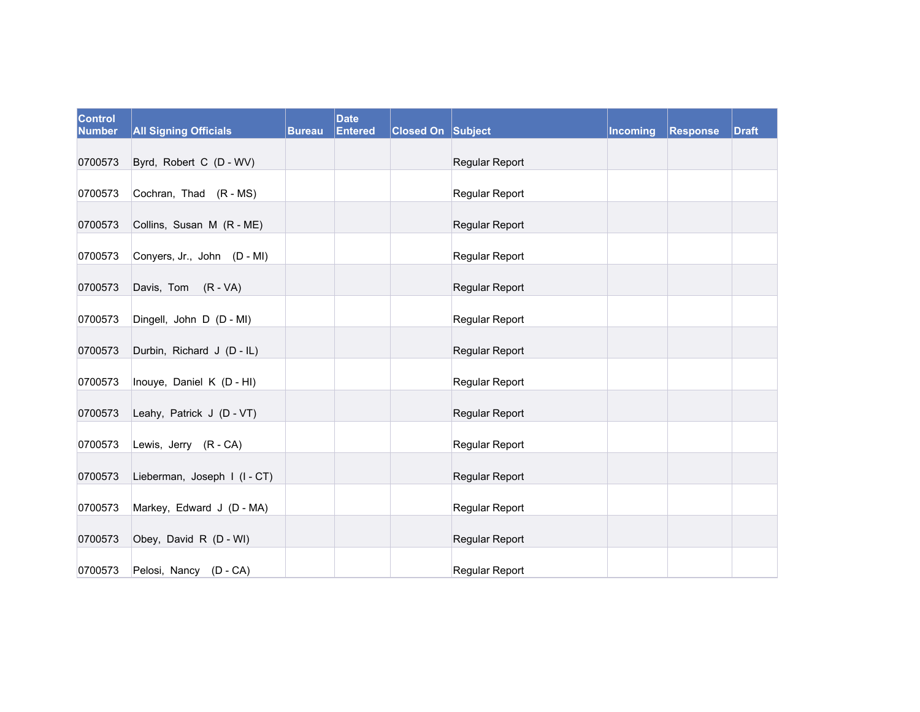| <b>Control</b><br><b>Number</b> | <b>All Signing Officials</b> | <b>Bureau</b> | <b>Date</b><br><b>Entered</b> | <b>Closed On Subject</b> |                       | Incoming | Response | <b>Draft</b> |
|---------------------------------|------------------------------|---------------|-------------------------------|--------------------------|-----------------------|----------|----------|--------------|
| 0700573                         | Byrd, Robert C (D - WV)      |               |                               |                          | Regular Report        |          |          |              |
| 0700573                         | Cochran, Thad (R - MS)       |               |                               |                          | Regular Report        |          |          |              |
| 0700573                         | Collins, Susan M (R - ME)    |               |                               |                          | Regular Report        |          |          |              |
| 0700573                         | Conyers, Jr., John (D - MI)  |               |                               |                          | Regular Report        |          |          |              |
| 0700573                         | Davis, Tom (R - VA)          |               |                               |                          | Regular Report        |          |          |              |
| 0700573                         | Dingell, John D (D - MI)     |               |                               |                          | Regular Report        |          |          |              |
| 0700573                         | Durbin, Richard J (D - IL)   |               |                               |                          | <b>Regular Report</b> |          |          |              |
| 0700573                         | Inouye, Daniel K (D - HI)    |               |                               |                          | Regular Report        |          |          |              |
| 0700573                         | Leahy, Patrick J (D - VT)    |               |                               |                          | Regular Report        |          |          |              |
| 0700573                         | Lewis, Jerry (R - CA)        |               |                               |                          | Regular Report        |          |          |              |
| 0700573                         | Lieberman, Joseph I (I-CT)   |               |                               |                          | Regular Report        |          |          |              |
| 0700573                         | Markey, Edward J (D - MA)    |               |                               |                          | Regular Report        |          |          |              |
| 0700573                         | Obey, David R (D - WI)       |               |                               |                          | Regular Report        |          |          |              |
| 0700573                         | Pelosi, Nancy (D - CA)       |               |                               |                          | Regular Report        |          |          |              |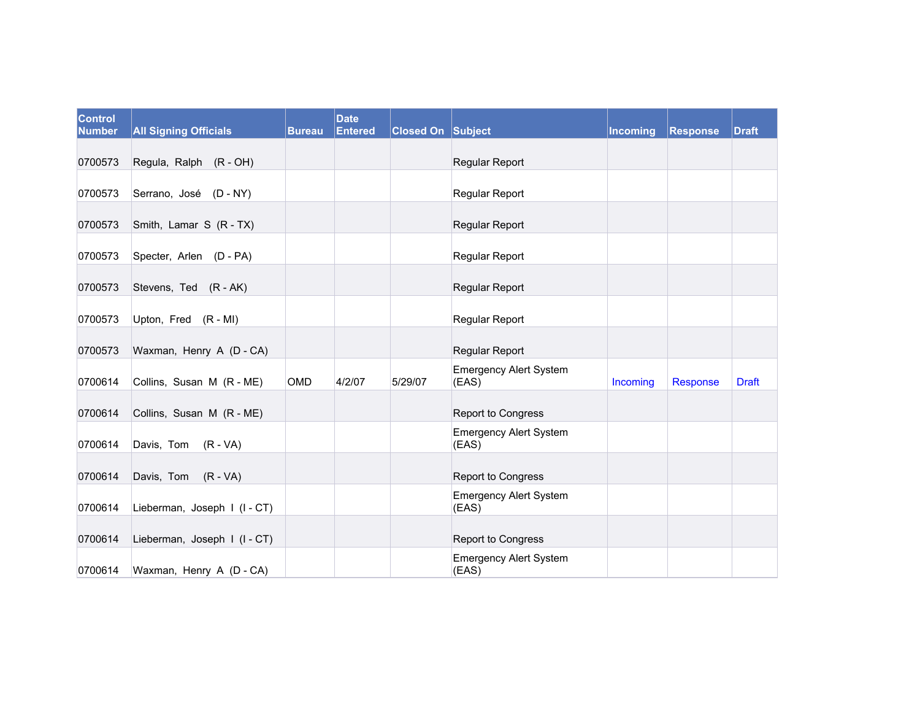| Control<br><b>Number</b> | <b>All Signing Officials</b> | <b>Bureau</b> | <b>Date</b><br><b>Entered</b> | <b>Closed On Subject</b> |                                        | Incoming | Response | <b>Draft</b> |
|--------------------------|------------------------------|---------------|-------------------------------|--------------------------|----------------------------------------|----------|----------|--------------|
| 0700573                  | Regula, Ralph (R - OH)       |               |                               |                          | Regular Report                         |          |          |              |
| 0700573                  | Serrano, José (D - NY)       |               |                               |                          | <b>Regular Report</b>                  |          |          |              |
| 0700573                  | Smith, Lamar S (R - TX)      |               |                               |                          | Regular Report                         |          |          |              |
| 0700573                  | Specter, Arlen (D - PA)      |               |                               |                          | <b>Regular Report</b>                  |          |          |              |
| 0700573                  | Stevens, Ted (R - AK)        |               |                               |                          | Regular Report                         |          |          |              |
| 0700573                  | Upton, Fred (R - MI)         |               |                               |                          | <b>Regular Report</b>                  |          |          |              |
| 0700573                  | Waxman, Henry A (D - CA)     |               |                               |                          | Regular Report                         |          |          |              |
| 0700614                  | Collins, Susan M (R - ME)    | OMD           | 4/2/07                        | 5/29/07                  | <b>Emergency Alert System</b><br>(EAS) | Incoming | Response | <b>Draft</b> |
| 0700614                  | Collins, Susan M (R - ME)    |               |                               |                          | Report to Congress                     |          |          |              |
| 0700614                  | Davis, Tom (R - VA)          |               |                               |                          | <b>Emergency Alert System</b><br>(EAS) |          |          |              |
| 0700614                  | Davis, Tom (R - VA)          |               |                               |                          | Report to Congress                     |          |          |              |
| 0700614                  | Lieberman, Joseph I (I-CT)   |               |                               |                          | <b>Emergency Alert System</b><br>(EAS) |          |          |              |
| 0700614                  | Lieberman, Joseph I (I-CT)   |               |                               |                          | Report to Congress                     |          |          |              |
| 0700614                  | Waxman, Henry A (D - CA)     |               |                               |                          | <b>Emergency Alert System</b><br>(EAS) |          |          |              |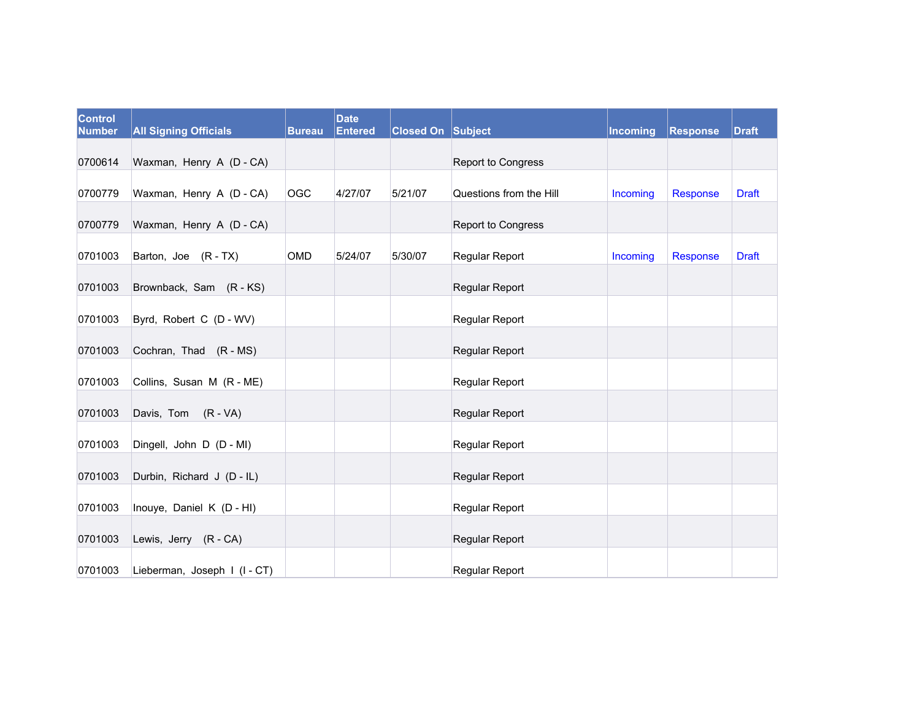| <b>Control</b><br><b>Number</b> | <b>All Signing Officials</b>                          | <b>Bureau</b> | <b>Date</b><br><b>Entered</b> | <b>Closed On Subject</b> |                                         | Incoming | Response        | <b>Draft</b> |
|---------------------------------|-------------------------------------------------------|---------------|-------------------------------|--------------------------|-----------------------------------------|----------|-----------------|--------------|
| 0700614                         | Waxman, Henry A (D - CA)                              |               |                               |                          | Report to Congress                      |          |                 |              |
| 0700779                         | Waxman, Henry A (D - CA)                              | OGC           | 4/27/07                       | 5/21/07                  | Questions from the Hill                 | Incoming | <b>Response</b> | <b>Draft</b> |
| 0700779                         | Waxman, Henry A (D - CA)                              |               |                               |                          | <b>Report to Congress</b>               |          |                 |              |
| 0701003                         | Barton, Joe (R-TX)                                    | <b>OMD</b>    | 5/24/07                       | 5/30/07                  | Regular Report                          | Incoming | <b>Response</b> | <b>Draft</b> |
| 0701003                         | Brownback, Sam (R-KS)                                 |               |                               |                          | <b>Regular Report</b>                   |          |                 |              |
| 0701003                         | Byrd, Robert C (D - WV)                               |               |                               |                          | Regular Report                          |          |                 |              |
| 0701003                         | Cochran, Thad (R - MS)                                |               |                               |                          | Regular Report                          |          |                 |              |
| 0701003                         | Collins, Susan M (R - ME)                             |               |                               |                          | Regular Report                          |          |                 |              |
| 0701003                         | Davis, Tom (R - VA)                                   |               |                               |                          | Regular Report                          |          |                 |              |
| 0701003                         | Dingell, John D (D - MI)                              |               |                               |                          | Regular Report                          |          |                 |              |
| 0701003                         | Durbin, Richard J (D - IL)                            |               |                               |                          | Regular Report                          |          |                 |              |
| 0701003                         | Inouye, Daniel K (D - HI)                             |               |                               |                          | Regular Report                          |          |                 |              |
|                                 |                                                       |               |                               |                          |                                         |          |                 |              |
| 0701003<br>0701003              | Lewis, Jerry (R - CA)<br>Lieberman, Joseph I (I - CT) |               |                               |                          | Regular Report<br><b>Regular Report</b> |          |                 |              |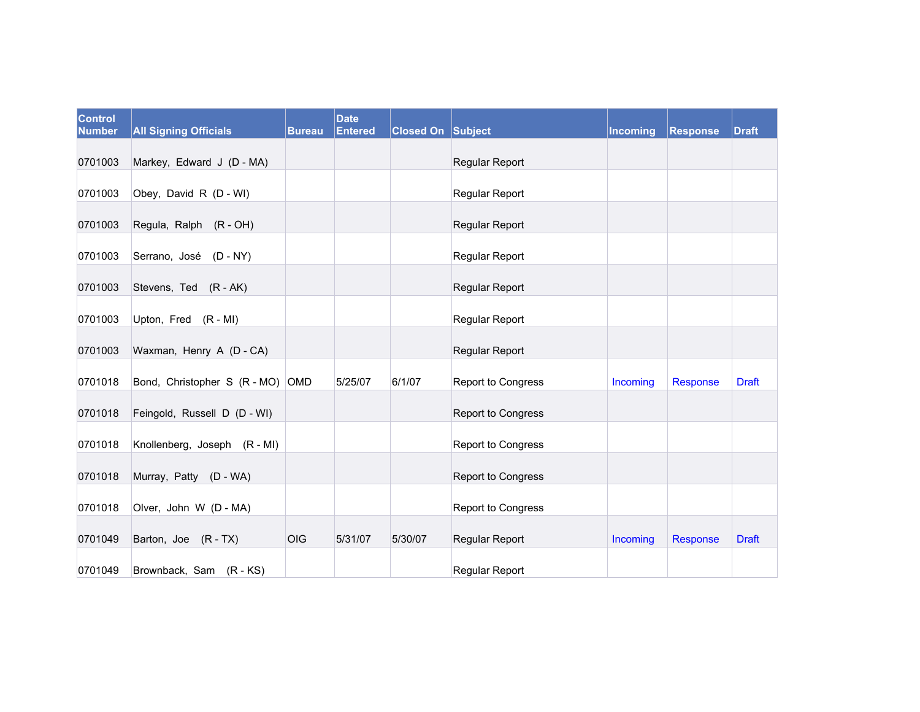| <b>Control</b><br><b>Number</b> | <b>All Signing Officials</b>     | <b>Bureau</b> | <b>Date</b><br><b>Entered</b> | <b>Closed On Subject</b> |                           | Incoming | Response | <b>Draft</b> |
|---------------------------------|----------------------------------|---------------|-------------------------------|--------------------------|---------------------------|----------|----------|--------------|
| 0701003                         | Markey, Edward J (D - MA)        |               |                               |                          | Regular Report            |          |          |              |
| 0701003                         | Obey, David R (D - WI)           |               |                               |                          | <b>Regular Report</b>     |          |          |              |
| 0701003                         | Regula, Ralph (R - OH)           |               |                               |                          | Regular Report            |          |          |              |
| 0701003                         | Serrano, José (D - NY)           |               |                               |                          | Regular Report            |          |          |              |
| 0701003                         | Stevens, Ted (R - AK)            |               |                               |                          | <b>Regular Report</b>     |          |          |              |
| 0701003                         | Upton, Fred (R - MI)             |               |                               |                          | Regular Report            |          |          |              |
| 0701003                         | Waxman, Henry A (D - CA)         |               |                               |                          | Regular Report            |          |          |              |
| 0701018                         | Bond, Christopher S (R - MO) OMD |               | 5/25/07                       | 6/1/07                   | <b>Report to Congress</b> | Incoming | Response | <b>Draft</b> |
| 0701018                         | Feingold, Russell D (D - WI)     |               |                               |                          | Report to Congress        |          |          |              |
| 0701018                         | Knollenberg, Joseph (R - MI)     |               |                               |                          | Report to Congress        |          |          |              |
| 0701018                         | Murray, Patty (D - WA)           |               |                               |                          | <b>Report to Congress</b> |          |          |              |
| 0701018                         | Olver, John W (D - MA)           |               |                               |                          | Report to Congress        |          |          |              |
| 0701049                         | Barton, Joe (R-TX)               | OIG           | 5/31/07                       | 5/30/07                  | <b>Regular Report</b>     | Incoming | Response | <b>Draft</b> |
| 0701049                         | Brownback, Sam (R - KS)          |               |                               |                          | <b>Regular Report</b>     |          |          |              |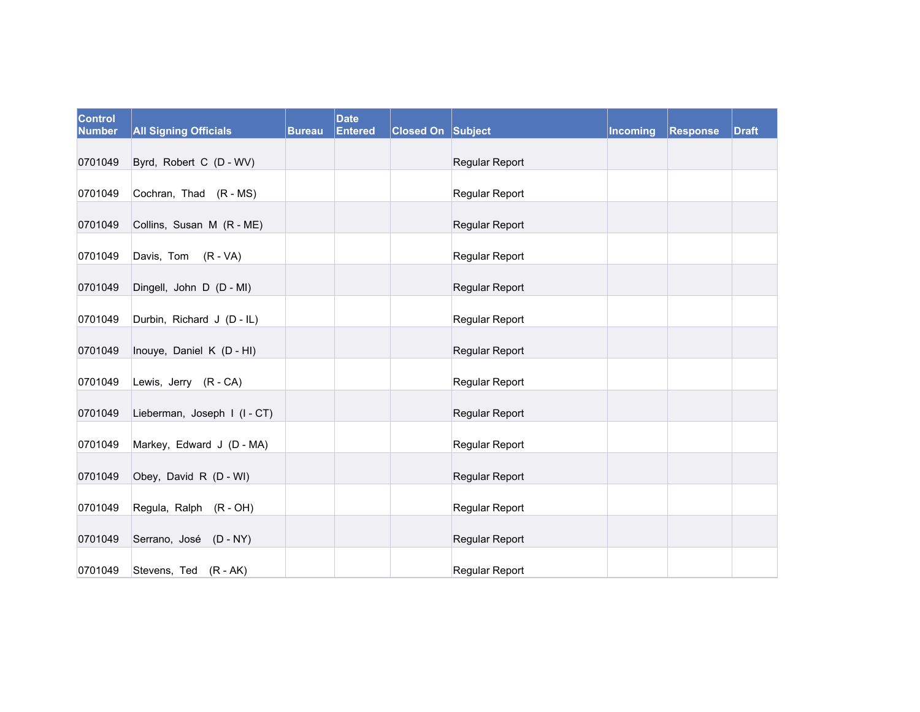| <b>Control</b><br><b>Number</b> | <b>All Signing Officials</b> | <b>Bureau</b> | <b>Date</b><br><b>Entered</b> | <b>Closed On Subject</b> |                       | Incoming | Response | <b>Draft</b> |
|---------------------------------|------------------------------|---------------|-------------------------------|--------------------------|-----------------------|----------|----------|--------------|
| 0701049                         | Byrd, Robert C (D - WV)      |               |                               |                          | Regular Report        |          |          |              |
| 0701049                         | Cochran, Thad (R - MS)       |               |                               |                          | Regular Report        |          |          |              |
| 0701049                         | Collins, Susan M (R - ME)    |               |                               |                          | <b>Regular Report</b> |          |          |              |
| 0701049                         | Davis, Tom (R - VA)          |               |                               |                          | Regular Report        |          |          |              |
|                                 |                              |               |                               |                          |                       |          |          |              |
| 0701049                         | Dingell, John D (D - MI)     |               |                               |                          | Regular Report        |          |          |              |
| 0701049                         | Durbin, Richard J (D - IL)   |               |                               |                          | Regular Report        |          |          |              |
| 0701049                         | Inouye, Daniel K (D - HI)    |               |                               |                          | Regular Report        |          |          |              |
| 0701049                         | Lewis, Jerry (R - CA)        |               |                               |                          | Regular Report        |          |          |              |
| 0701049                         | Lieberman, Joseph I (I-CT)   |               |                               |                          | Regular Report        |          |          |              |
| 0701049                         | Markey, Edward J (D - MA)    |               |                               |                          | Regular Report        |          |          |              |
| 0701049                         | Obey, David R (D - WI)       |               |                               |                          | Regular Report        |          |          |              |
| 0701049                         | Regula, Ralph (R - OH)       |               |                               |                          | Regular Report        |          |          |              |
| 0701049                         | Serrano, José (D - NY)       |               |                               |                          | Regular Report        |          |          |              |
| 0701049                         | Stevens, Ted (R - AK)        |               |                               |                          | Regular Report        |          |          |              |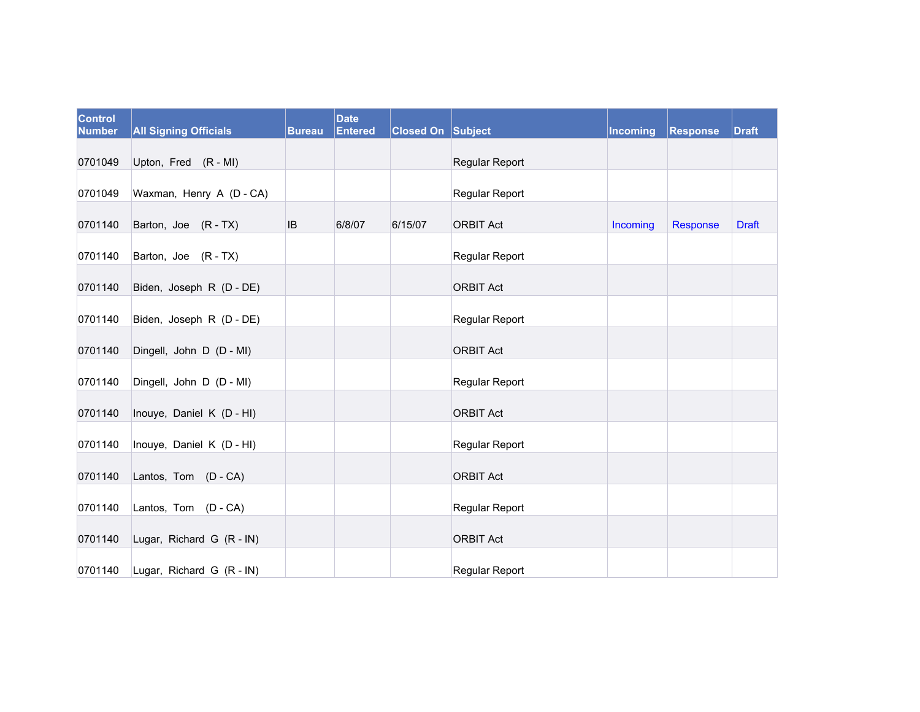| <b>Control</b><br><b>Number</b> | <b>All Signing Officials</b> | Bureau    | <b>Date</b><br><b>Entered</b> | <b>Closed On Subject</b> |                       | Incoming | <b>Response</b> | <b>Draft</b> |
|---------------------------------|------------------------------|-----------|-------------------------------|--------------------------|-----------------------|----------|-----------------|--------------|
| 0701049                         | Upton, Fred (R - MI)         |           |                               |                          | Regular Report        |          |                 |              |
| 0701049                         | Waxman, Henry A (D - CA)     |           |                               |                          | Regular Report        |          |                 |              |
| 0701140                         | Barton, Joe (R-TX)           | <b>IB</b> | 6/8/07                        | 6/15/07                  | <b>ORBIT Act</b>      | Incoming | Response        | <b>Draft</b> |
| 0701140                         | Barton, Joe (R - TX)         |           |                               |                          | <b>Regular Report</b> |          |                 |              |
| 0701140                         | Biden, Joseph R (D - DE)     |           |                               |                          | <b>ORBIT Act</b>      |          |                 |              |
| 0701140                         | Biden, Joseph R (D - DE)     |           |                               |                          | Regular Report        |          |                 |              |
| 0701140                         | Dingell, John D (D - MI)     |           |                               |                          | <b>ORBIT Act</b>      |          |                 |              |
| 0701140                         | Dingell, John D (D - MI)     |           |                               |                          | Regular Report        |          |                 |              |
| 0701140                         | Inouye, Daniel K (D - HI)    |           |                               |                          | <b>ORBIT Act</b>      |          |                 |              |
| 0701140                         | Inouye, Daniel K (D - HI)    |           |                               |                          | Regular Report        |          |                 |              |
| 0701140                         | Lantos, Tom (D - CA)         |           |                               |                          | <b>ORBIT Act</b>      |          |                 |              |
| 0701140                         | Lantos, Tom (D - CA)         |           |                               |                          | Regular Report        |          |                 |              |
| 0701140                         | Lugar, Richard G (R - IN)    |           |                               |                          | <b>ORBIT Act</b>      |          |                 |              |
| 0701140                         | Lugar, Richard G (R - IN)    |           |                               |                          | Regular Report        |          |                 |              |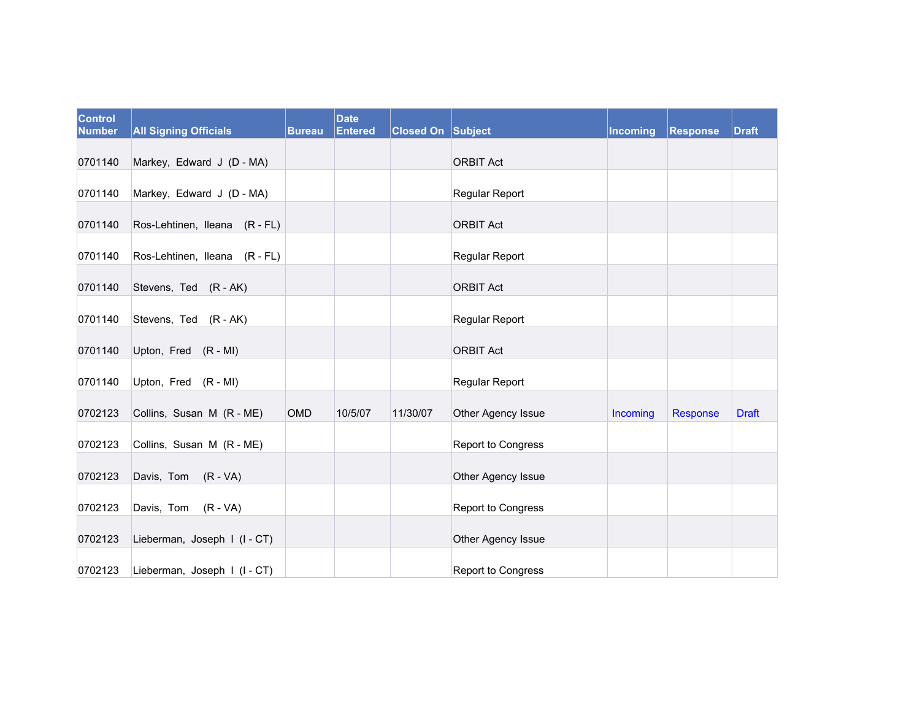| <b>Control</b><br><b>Number</b> | <b>All Signing Officials</b>  | <b>Bureau</b> | <b>Date</b><br><b>Entered</b> | <b>Closed On Subject</b> |                    | Incoming | <b>Response</b> | <b>Draft</b> |
|---------------------------------|-------------------------------|---------------|-------------------------------|--------------------------|--------------------|----------|-----------------|--------------|
| 0701140                         | Markey, Edward J (D - MA)     |               |                               |                          | <b>ORBIT Act</b>   |          |                 |              |
| 0701140                         | Markey, Edward J (D - MA)     |               |                               |                          | Regular Report     |          |                 |              |
| 0701140                         | Ros-Lehtinen, Ileana (R - FL) |               |                               |                          | <b>ORBIT Act</b>   |          |                 |              |
| 0701140                         | Ros-Lehtinen, Ileana (R - FL) |               |                               |                          | Regular Report     |          |                 |              |
| 0701140                         | Stevens, Ted (R - AK)         |               |                               |                          | <b>ORBIT Act</b>   |          |                 |              |
| 0701140                         | Stevens, Ted (R - AK)         |               |                               |                          | Regular Report     |          |                 |              |
| 0701140                         | Upton, Fred (R - MI)          |               |                               |                          | <b>ORBIT Act</b>   |          |                 |              |
| 0701140                         | Upton, Fred (R - MI)          |               |                               |                          | Regular Report     |          |                 |              |
| 0702123                         | Collins, Susan M (R - ME)     | <b>OMD</b>    | 10/5/07                       | 11/30/07                 | Other Agency Issue | Incoming | Response        | <b>Draft</b> |
| 0702123                         | Collins, Susan M (R - ME)     |               |                               |                          | Report to Congress |          |                 |              |
| 0702123                         | Davis, Tom (R - VA)           |               |                               |                          | Other Agency Issue |          |                 |              |
| 0702123                         | Davis, Tom (R-VA)             |               |                               |                          | Report to Congress |          |                 |              |
| 0702123                         | Lieberman, Joseph I (I-CT)    |               |                               |                          | Other Agency Issue |          |                 |              |
| 0702123                         | Lieberman, Joseph I (I - CT)  |               |                               |                          | Report to Congress |          |                 |              |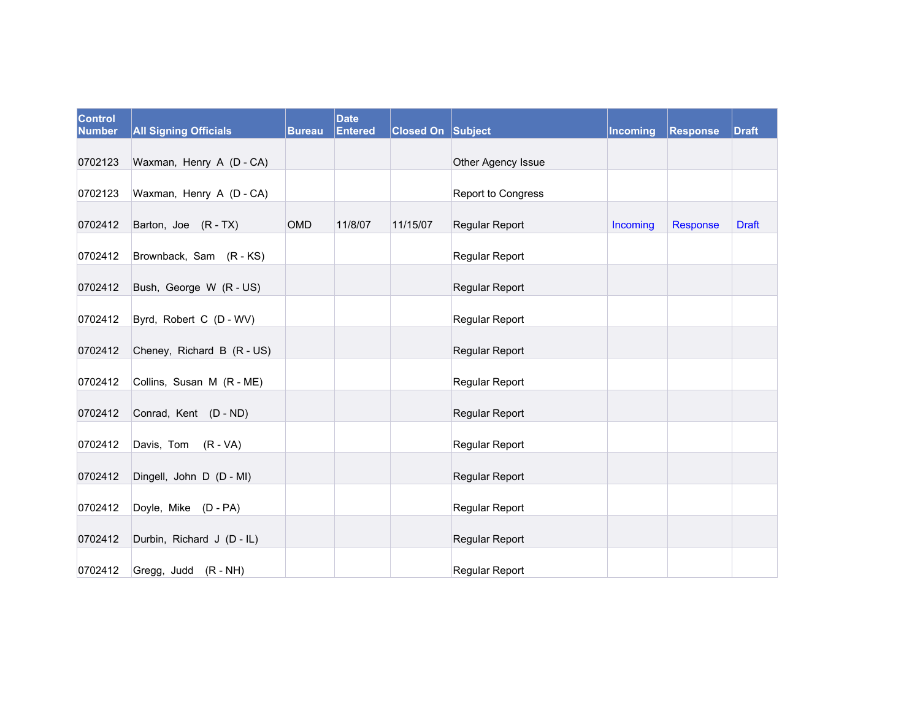| <b>Control</b><br><b>Number</b> | <b>All Signing Officials</b> | Bureau     | <b>Date</b><br><b>Entered</b> | <b>Closed On Subject</b> |                       | Incoming | Response | <b>Draft</b> |
|---------------------------------|------------------------------|------------|-------------------------------|--------------------------|-----------------------|----------|----------|--------------|
| 0702123                         | Waxman, Henry A (D - CA)     |            |                               |                          | Other Agency Issue    |          |          |              |
|                                 |                              |            |                               |                          |                       |          |          |              |
| 0702123                         | Waxman, Henry A (D - CA)     |            |                               |                          | Report to Congress    |          |          |              |
| 0702412                         | Barton, Joe (R-TX)           | <b>OMD</b> | 11/8/07                       | 11/15/07                 | Regular Report        | Incoming | Response | <b>Draft</b> |
| 0702412                         | Brownback, Sam (R-KS)        |            |                               |                          | Regular Report        |          |          |              |
| 0702412                         | Bush, George W (R - US)      |            |                               |                          | Regular Report        |          |          |              |
| 0702412                         | Byrd, Robert C (D - WV)      |            |                               |                          | <b>Regular Report</b> |          |          |              |
| 0702412                         | Cheney, Richard B (R - US)   |            |                               |                          | Regular Report        |          |          |              |
| 0702412                         | Collins, Susan M (R - ME)    |            |                               |                          | Regular Report        |          |          |              |
| 0702412                         | Conrad, Kent (D - ND)        |            |                               |                          | Regular Report        |          |          |              |
| 0702412                         | Davis, Tom (R - VA)          |            |                               |                          | Regular Report        |          |          |              |
| 0702412                         | Dingell, John D (D - MI)     |            |                               |                          | Regular Report        |          |          |              |
| 0702412                         | Doyle, Mike (D - PA)         |            |                               |                          | Regular Report        |          |          |              |
| 0702412                         | Durbin, Richard J (D - IL)   |            |                               |                          | Regular Report        |          |          |              |
| 0702412                         | Gregg, Judd (R - NH)         |            |                               |                          | Regular Report        |          |          |              |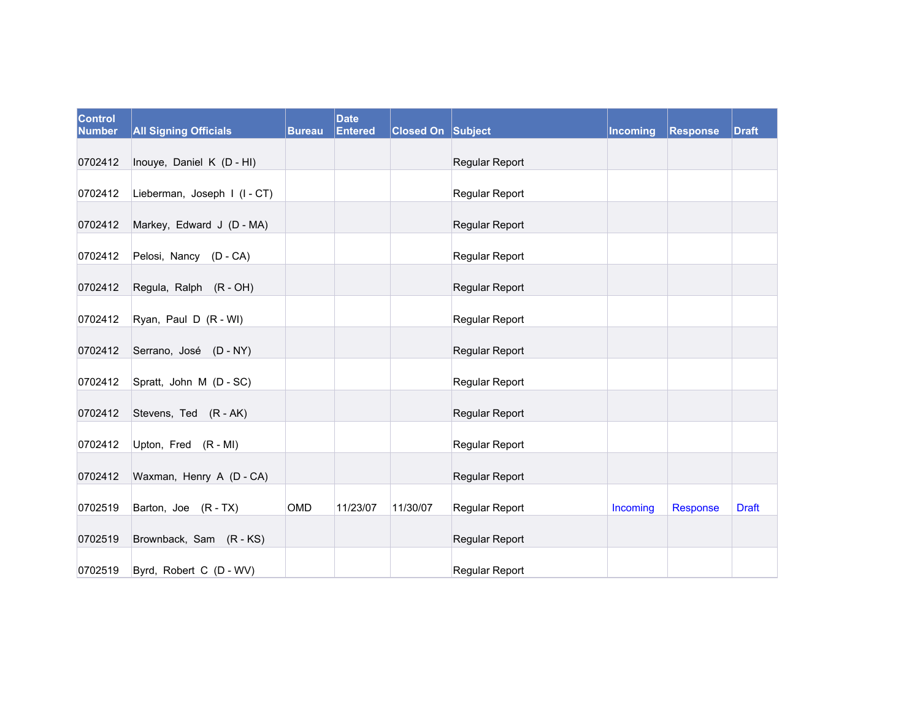| <b>Control</b><br><b>Number</b> | <b>All Signing Officials</b> | Bureau     | <b>Date</b><br><b>Entered</b> | <b>Closed On Subject</b> |                       | Incoming | <b>Response</b> | <b>Draft</b> |
|---------------------------------|------------------------------|------------|-------------------------------|--------------------------|-----------------------|----------|-----------------|--------------|
| 0702412                         | Inouye, Daniel K (D - HI)    |            |                               |                          | Regular Report        |          |                 |              |
|                                 |                              |            |                               |                          |                       |          |                 |              |
| 0702412                         | Lieberman, Joseph I (I - CT) |            |                               |                          | <b>Regular Report</b> |          |                 |              |
| 0702412                         | Markey, Edward J (D - MA)    |            |                               |                          | Regular Report        |          |                 |              |
| 0702412                         | Pelosi, Nancy (D - CA)       |            |                               |                          | <b>Regular Report</b> |          |                 |              |
| 0702412                         | Regula, Ralph (R - OH)       |            |                               |                          | Regular Report        |          |                 |              |
| 0702412                         | Ryan, Paul D (R - WI)        |            |                               |                          | Regular Report        |          |                 |              |
| 0702412                         | Serrano, José (D - NY)       |            |                               |                          | Regular Report        |          |                 |              |
| 0702412                         | Spratt, John M (D - SC)      |            |                               |                          | Regular Report        |          |                 |              |
| 0702412                         | Stevens, Ted (R - AK)        |            |                               |                          | Regular Report        |          |                 |              |
| 0702412                         | Upton, Fred (R - MI)         |            |                               |                          | Regular Report        |          |                 |              |
| 0702412                         | Waxman, Henry A (D - CA)     |            |                               |                          | Regular Report        |          |                 |              |
| 0702519                         | Barton, Joe (R-TX)           | <b>OMD</b> | 11/23/07                      | 11/30/07                 |                       |          |                 |              |
|                                 |                              |            |                               |                          | Regular Report        | Incoming | <b>Response</b> | <b>Draft</b> |
| 0702519                         | Brownback, Sam (R-KS)        |            |                               |                          | Regular Report        |          |                 |              |
| 0702519                         | Byrd, Robert C (D - WV)      |            |                               |                          | <b>Regular Report</b> |          |                 |              |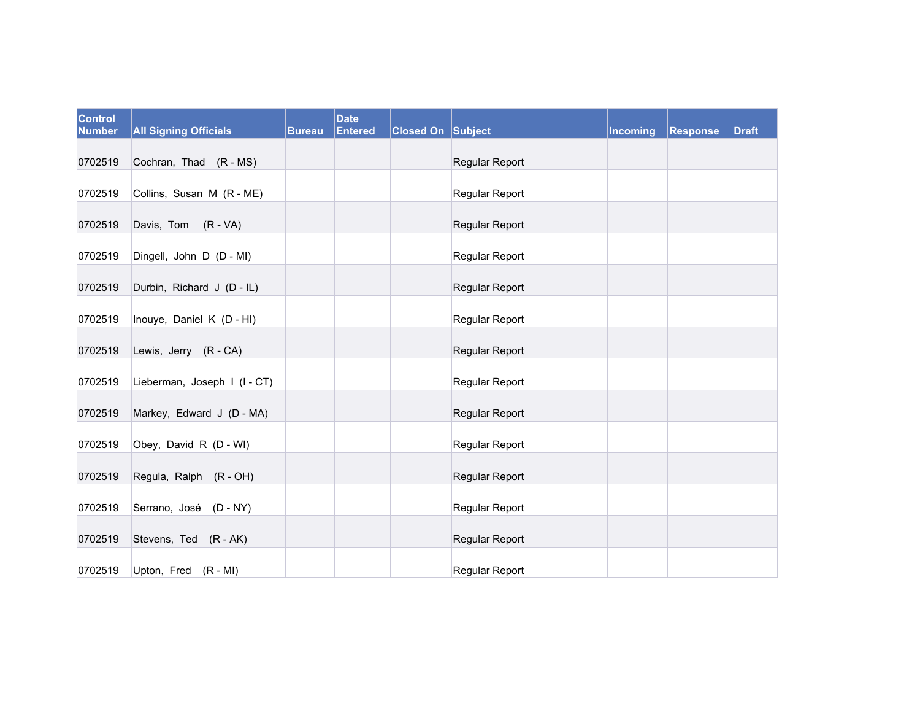| <b>Control</b><br><b>Number</b> | <b>All Signing Officials</b> | <b>Bureau</b> | <b>Date</b><br><b>Entered</b> | <b>Closed On Subject</b> |                | Incoming | <b>Response</b> | <b>Draft</b> |
|---------------------------------|------------------------------|---------------|-------------------------------|--------------------------|----------------|----------|-----------------|--------------|
| 0702519                         | Cochran, Thad (R - MS)       |               |                               |                          | Regular Report |          |                 |              |
| 0702519                         | Collins, Susan M (R - ME)    |               |                               |                          | Regular Report |          |                 |              |
| 0702519                         | Davis, Tom (R - VA)          |               |                               |                          | Regular Report |          |                 |              |
| 0702519                         | Dingell, John D (D - MI)     |               |                               |                          | Regular Report |          |                 |              |
| 0702519                         | Durbin, Richard J (D - IL)   |               |                               |                          | Regular Report |          |                 |              |
| 0702519                         | Inouye, Daniel K (D - HI)    |               |                               |                          | Regular Report |          |                 |              |
| 0702519                         | Lewis, Jerry (R - CA)        |               |                               |                          | Regular Report |          |                 |              |
| 0702519                         | Lieberman, Joseph I (I-CT)   |               |                               |                          | Regular Report |          |                 |              |
| 0702519                         | Markey, Edward J (D - MA)    |               |                               |                          | Regular Report |          |                 |              |
| 0702519                         | Obey, David R (D - WI)       |               |                               |                          | Regular Report |          |                 |              |
| 0702519                         | Regula, Ralph (R - OH)       |               |                               |                          | Regular Report |          |                 |              |
| 0702519                         | Serrano, José (D - NY)       |               |                               |                          | Regular Report |          |                 |              |
| 0702519                         | Stevens, Ted (R - AK)        |               |                               |                          | Regular Report |          |                 |              |
| 0702519                         | Upton, Fred (R - MI)         |               |                               |                          | Regular Report |          |                 |              |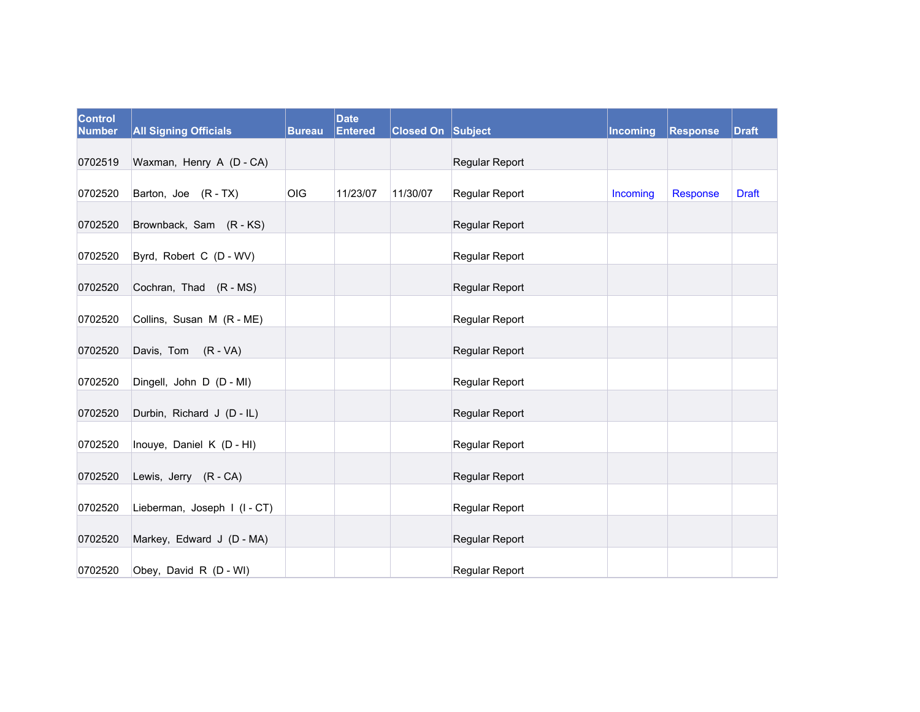| Control<br><b>Number</b> | <b>All Signing Officials</b> | <b>Bureau</b> | <b>Date</b><br><b>Entered</b> | <b>Closed On Subject</b> |                       | Incoming | Response | <b>Draft</b> |
|--------------------------|------------------------------|---------------|-------------------------------|--------------------------|-----------------------|----------|----------|--------------|
| 0702519                  | Waxman, Henry A (D - CA)     |               |                               |                          | Regular Report        |          |          |              |
| 0702520                  | Barton, Joe (R-TX)           | OIG           | 11/23/07                      | 11/30/07                 | Regular Report        | Incoming | Response | <b>Draft</b> |
| 0702520                  | Brownback, Sam (R-KS)        |               |                               |                          | Regular Report        |          |          |              |
| 0702520                  | Byrd, Robert C (D - WV)      |               |                               |                          | <b>Regular Report</b> |          |          |              |
| 0702520                  | Cochran, Thad (R - MS)       |               |                               |                          | Regular Report        |          |          |              |
| 0702520                  | Collins, Susan M (R - ME)    |               |                               |                          | Regular Report        |          |          |              |
| 0702520                  | Davis, Tom (R - VA)          |               |                               |                          | Regular Report        |          |          |              |
| 0702520                  | Dingell, John D (D - MI)     |               |                               |                          | Regular Report        |          |          |              |
| 0702520                  | Durbin, Richard J (D - IL)   |               |                               |                          | Regular Report        |          |          |              |
| 0702520                  | Inouye, Daniel K (D - HI)    |               |                               |                          | Regular Report        |          |          |              |
| 0702520                  | Lewis, Jerry (R - CA)        |               |                               |                          | Regular Report        |          |          |              |
| 0702520                  | Lieberman, Joseph I (I-CT)   |               |                               |                          | Regular Report        |          |          |              |
| 0702520                  | Markey, Edward J (D - MA)    |               |                               |                          | Regular Report        |          |          |              |
| 0702520                  | Obey, David R (D - WI)       |               |                               |                          | Regular Report        |          |          |              |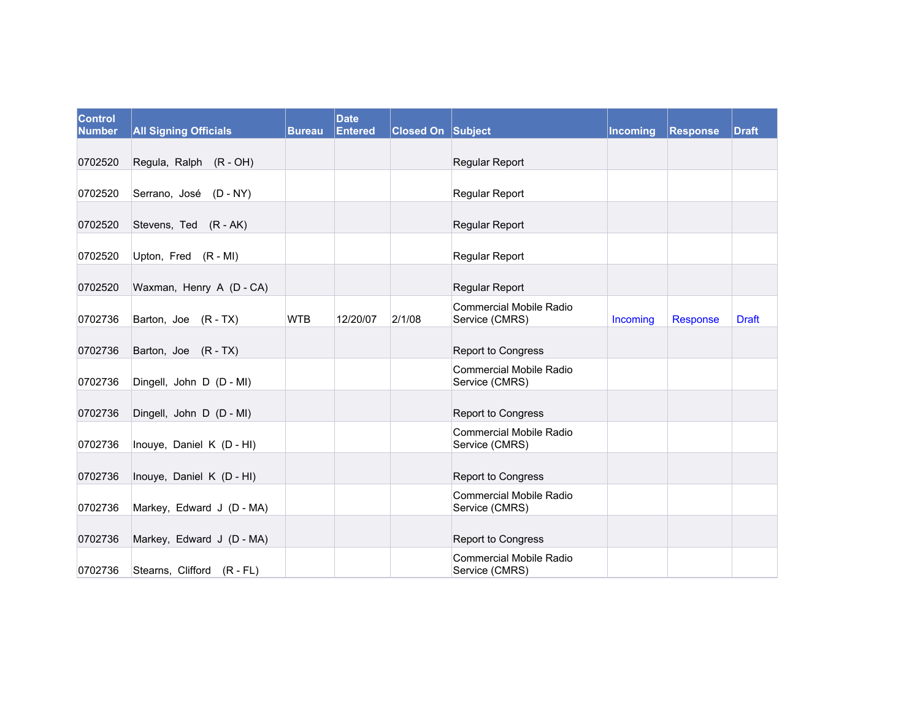| <b>Control</b><br><b>Number</b> | <b>All Signing Officials</b> | <b>Bureau</b> | <b>Date</b><br><b>Entered</b> | <b>Closed On Subject</b> |                                                  | <b>Incoming</b> | <b>Response</b> | <b>Draft</b> |
|---------------------------------|------------------------------|---------------|-------------------------------|--------------------------|--------------------------------------------------|-----------------|-----------------|--------------|
| 0702520                         | Regula, Ralph (R - OH)       |               |                               |                          | Regular Report                                   |                 |                 |              |
| 0702520                         | Serrano, José (D - NY)       |               |                               |                          | Regular Report                                   |                 |                 |              |
| 0702520                         | Stevens, Ted (R - AK)        |               |                               |                          | Regular Report                                   |                 |                 |              |
| 0702520                         | Upton, Fred (R - MI)         |               |                               |                          | <b>Regular Report</b>                            |                 |                 |              |
| 0702520                         | Waxman, Henry A (D - CA)     |               |                               |                          | Regular Report                                   |                 |                 |              |
| 0702736                         | Barton, Joe (R - TX)         | <b>WTB</b>    | 12/20/07                      | 2/1/08                   | <b>Commercial Mobile Radio</b><br>Service (CMRS) | Incoming        | Response        | <b>Draft</b> |
| 0702736                         | Barton, Joe (R-TX)           |               |                               |                          | <b>Report to Congress</b>                        |                 |                 |              |
| 0702736                         | Dingell, John D (D - MI)     |               |                               |                          | <b>Commercial Mobile Radio</b><br>Service (CMRS) |                 |                 |              |
| 0702736                         | Dingell, John D (D - MI)     |               |                               |                          | <b>Report to Congress</b>                        |                 |                 |              |
| 0702736                         | Inouye, Daniel K (D - HI)    |               |                               |                          | <b>Commercial Mobile Radio</b><br>Service (CMRS) |                 |                 |              |
| 0702736                         | Inouye, Daniel K (D - HI)    |               |                               |                          | <b>Report to Congress</b>                        |                 |                 |              |
| 0702736                         | Markey, Edward J (D - MA)    |               |                               |                          | <b>Commercial Mobile Radio</b><br>Service (CMRS) |                 |                 |              |
| 0702736                         | Markey, Edward J (D - MA)    |               |                               |                          | <b>Report to Congress</b>                        |                 |                 |              |
| 0702736                         | Stearns, Clifford (R - FL)   |               |                               |                          | <b>Commercial Mobile Radio</b><br>Service (CMRS) |                 |                 |              |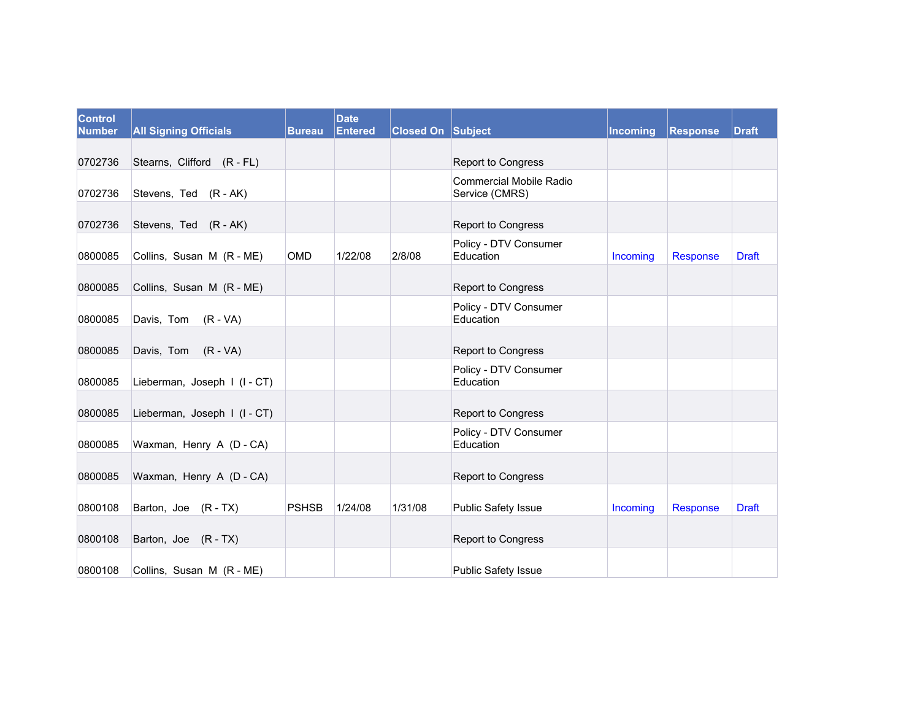| <b>Control</b><br><b>Number</b> | <b>All Signing Officials</b> | <b>Bureau</b> | <b>Date</b><br><b>Entered</b> | Closed On Subject |                                                  | <b>Incoming</b> | Response | <b>Draft</b> |
|---------------------------------|------------------------------|---------------|-------------------------------|-------------------|--------------------------------------------------|-----------------|----------|--------------|
|                                 |                              |               |                               |                   |                                                  |                 |          |              |
| 0702736                         | Stearns, Clifford (R - FL)   |               |                               |                   | Report to Congress                               |                 |          |              |
| 0702736                         | Stevens, Ted (R - AK)        |               |                               |                   | <b>Commercial Mobile Radio</b><br>Service (CMRS) |                 |          |              |
| 0702736                         | Stevens, Ted (R - AK)        |               |                               |                   | Report to Congress                               |                 |          |              |
| 0800085                         | Collins, Susan M (R - ME)    | <b>OMD</b>    | 1/22/08                       | 2/8/08            | Policy - DTV Consumer<br>Education               | Incoming        | Response | <b>Draft</b> |
| 0800085                         | Collins, Susan M (R - ME)    |               |                               |                   | Report to Congress                               |                 |          |              |
| 0800085                         | Davis, Tom (R - VA)          |               |                               |                   | Policy - DTV Consumer<br>Education               |                 |          |              |
| 0800085                         | Davis, Tom (R - VA)          |               |                               |                   | Report to Congress                               |                 |          |              |
| 0800085                         | Lieberman, Joseph I (I - CT) |               |                               |                   | Policy - DTV Consumer<br>Education               |                 |          |              |
| 0800085                         | Lieberman, Joseph I (I-CT)   |               |                               |                   | Report to Congress                               |                 |          |              |
| 0800085                         | Waxman, Henry A (D - CA)     |               |                               |                   | Policy - DTV Consumer<br>Education               |                 |          |              |
| 0800085                         | Waxman, Henry A (D - CA)     |               |                               |                   | Report to Congress                               |                 |          |              |
| 0800108                         | Barton, Joe (R-TX)           | <b>PSHSB</b>  | 1/24/08                       | 1/31/08           | Public Safety Issue                              | Incoming        | Response | <b>Draft</b> |
| 0800108                         | Barton, Joe (R - TX)         |               |                               |                   | Report to Congress                               |                 |          |              |
| 0800108                         | Collins, Susan M (R - ME)    |               |                               |                   | <b>Public Safety Issue</b>                       |                 |          |              |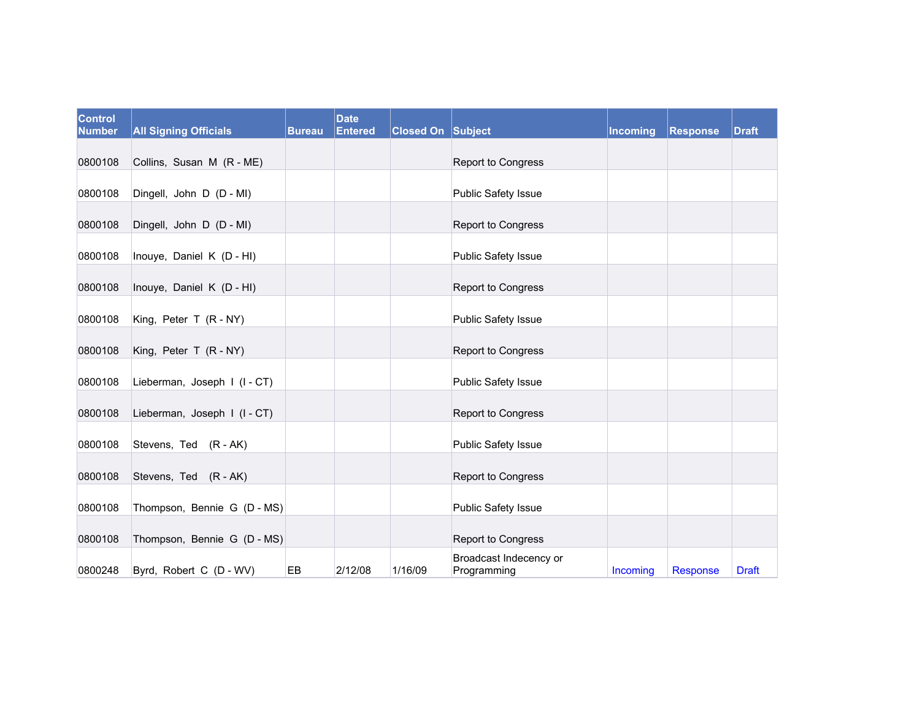| <b>Control</b><br><b>Number</b> | <b>All Signing Officials</b> | <b>Bureau</b> | <b>Date</b><br>Entered | <b>Closed On Subject</b> |                                       | Incoming | <b>Response</b> | <b>Draft</b> |
|---------------------------------|------------------------------|---------------|------------------------|--------------------------|---------------------------------------|----------|-----------------|--------------|
| 0800108                         | Collins, Susan M (R - ME)    |               |                        |                          | Report to Congress                    |          |                 |              |
| 0800108                         | Dingell, John D (D - MI)     |               |                        |                          | Public Safety Issue                   |          |                 |              |
|                                 |                              |               |                        |                          |                                       |          |                 |              |
| 0800108                         | Dingell, John D (D - MI)     |               |                        |                          | Report to Congress                    |          |                 |              |
| 0800108                         | Inouye, Daniel K (D - HI)    |               |                        |                          | Public Safety Issue                   |          |                 |              |
| 0800108                         | Inouye, Daniel K (D - HI)    |               |                        |                          | Report to Congress                    |          |                 |              |
| 0800108                         | King, Peter T (R - NY)       |               |                        |                          | Public Safety Issue                   |          |                 |              |
| 0800108                         | King, Peter T (R - NY)       |               |                        |                          | Report to Congress                    |          |                 |              |
| 0800108                         | Lieberman, Joseph I (I - CT) |               |                        |                          | <b>Public Safety Issue</b>            |          |                 |              |
| 0800108                         | Lieberman, Joseph I (I-CT)   |               |                        |                          | Report to Congress                    |          |                 |              |
| 0800108                         | Stevens, Ted (R - AK)        |               |                        |                          | Public Safety Issue                   |          |                 |              |
| 0800108                         | Stevens, Ted (R - AK)        |               |                        |                          | Report to Congress                    |          |                 |              |
| 0800108                         | Thompson, Bennie G (D - MS)  |               |                        |                          | Public Safety Issue                   |          |                 |              |
| 0800108                         | Thompson, Bennie G (D - MS)  |               |                        |                          | Report to Congress                    |          |                 |              |
| 0800248                         | Byrd, Robert C (D - WV)      | EB            | 2/12/08                | 1/16/09                  | Broadcast Indecency or<br>Programming | Incoming | <b>Response</b> | <b>Draft</b> |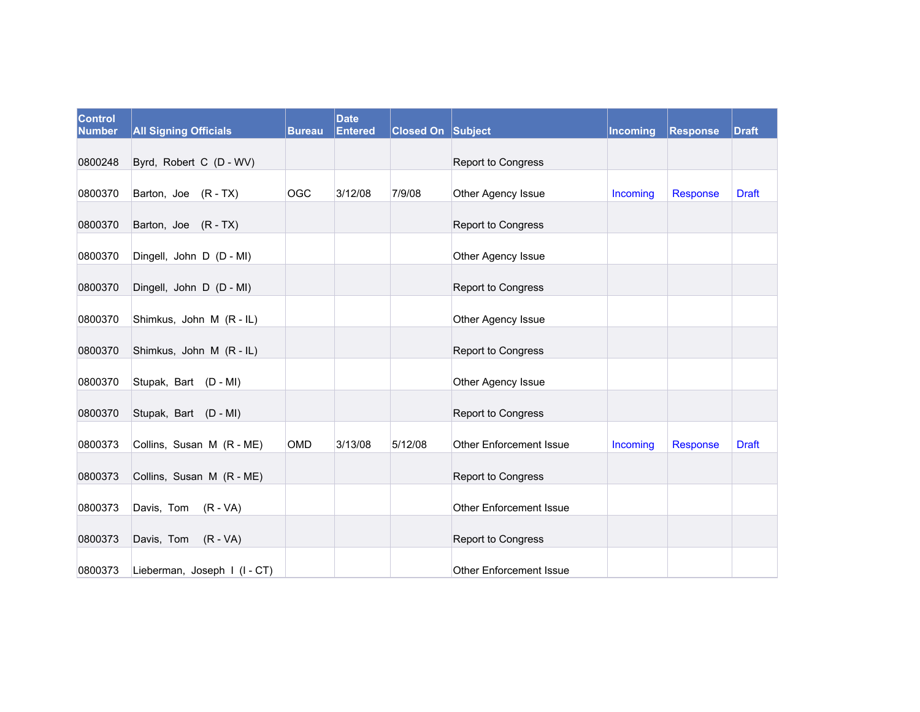| Control<br><b>Number</b> | <b>All Signing Officials</b> | <b>Bureau</b> | <b>Date</b><br><b>Entered</b> | <b>Closed On Subject</b> |                                | Incoming | Response | <b>Draft</b> |
|--------------------------|------------------------------|---------------|-------------------------------|--------------------------|--------------------------------|----------|----------|--------------|
|                          |                              |               |                               |                          |                                |          |          |              |
| 0800248                  | Byrd, Robert C (D - WV)      |               |                               |                          | Report to Congress             |          |          |              |
| 0800370                  | Barton, Joe (R-TX)           | <b>OGC</b>    | 3/12/08                       | 7/9/08                   | Other Agency Issue             | Incoming | Response | <b>Draft</b> |
| 0800370                  | Barton, Joe (R - TX)         |               |                               |                          | Report to Congress             |          |          |              |
| 0800370                  | Dingell, John D (D - MI)     |               |                               |                          | Other Agency Issue             |          |          |              |
| 0800370                  | Dingell, John D (D - MI)     |               |                               |                          | Report to Congress             |          |          |              |
| 0800370                  | Shimkus, John M (R - IL)     |               |                               |                          | Other Agency Issue             |          |          |              |
| 0800370                  | Shimkus, John M (R - IL)     |               |                               |                          | <b>Report to Congress</b>      |          |          |              |
| 0800370                  | Stupak, Bart (D - MI)        |               |                               |                          | Other Agency Issue             |          |          |              |
| 0800370                  | Stupak, Bart (D - MI)        |               |                               |                          | <b>Report to Congress</b>      |          |          |              |
| 0800373                  | Collins, Susan M (R - ME)    | OMD           | 3/13/08                       | 5/12/08                  | Other Enforcement Issue        | Incoming | Response | <b>Draft</b> |
| 0800373                  | Collins, Susan M (R - ME)    |               |                               |                          | Report to Congress             |          |          |              |
| 0800373                  | Davis, Tom (R - VA)          |               |                               |                          | <b>Other Enforcement Issue</b> |          |          |              |
| 0800373                  | Davis, Tom (R - VA)          |               |                               |                          | Report to Congress             |          |          |              |
| 0800373                  | Lieberman, Joseph I (I - CT) |               |                               |                          | <b>Other Enforcement Issue</b> |          |          |              |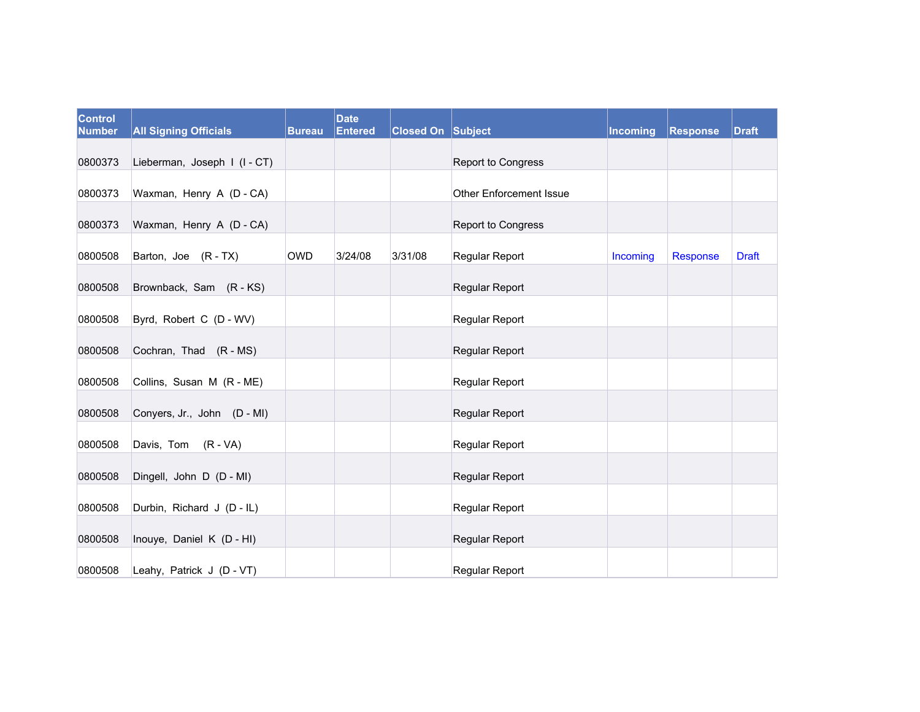| <b>Control</b><br><b>Number</b> | <b>All Signing Officials</b> | <b>Bureau</b> | <b>Date</b><br><b>Entered</b> | <b>Closed On Subject</b> |                                | Incoming | <b>Response</b> | <b>Draft</b> |
|---------------------------------|------------------------------|---------------|-------------------------------|--------------------------|--------------------------------|----------|-----------------|--------------|
| 0800373                         | Lieberman, Joseph I (I-CT)   |               |                               |                          | Report to Congress             |          |                 |              |
| 0800373                         | Waxman, Henry A (D - CA)     |               |                               |                          | <b>Other Enforcement Issue</b> |          |                 |              |
| 0800373                         | Waxman, Henry A (D - CA)     |               |                               |                          | Report to Congress             |          |                 |              |
| 0800508                         | Barton, Joe (R - TX)         | <b>OWD</b>    | 3/24/08                       | 3/31/08                  | Regular Report                 | Incoming | Response        | <b>Draft</b> |
| 0800508                         | Brownback, Sam (R-KS)        |               |                               |                          | Regular Report                 |          |                 |              |
| 0800508                         | Byrd, Robert C (D - WV)      |               |                               |                          | Regular Report                 |          |                 |              |
| 0800508                         | Cochran, Thad (R - MS)       |               |                               |                          | Regular Report                 |          |                 |              |
| 0800508                         | Collins, Susan M (R - ME)    |               |                               |                          | Regular Report                 |          |                 |              |
| 0800508                         | Conyers, Jr., John (D - MI)  |               |                               |                          | Regular Report                 |          |                 |              |
| 0800508                         | Davis, Tom (R - VA)          |               |                               |                          | Regular Report                 |          |                 |              |
| 0800508                         | Dingell, John D (D - MI)     |               |                               |                          | Regular Report                 |          |                 |              |
| 0800508                         | Durbin, Richard J (D - IL)   |               |                               |                          | Regular Report                 |          |                 |              |
| 0800508                         | Inouye, Daniel K (D - HI)    |               |                               |                          | Regular Report                 |          |                 |              |
| 0800508                         | Leahy, Patrick J (D - VT)    |               |                               |                          | <b>Regular Report</b>          |          |                 |              |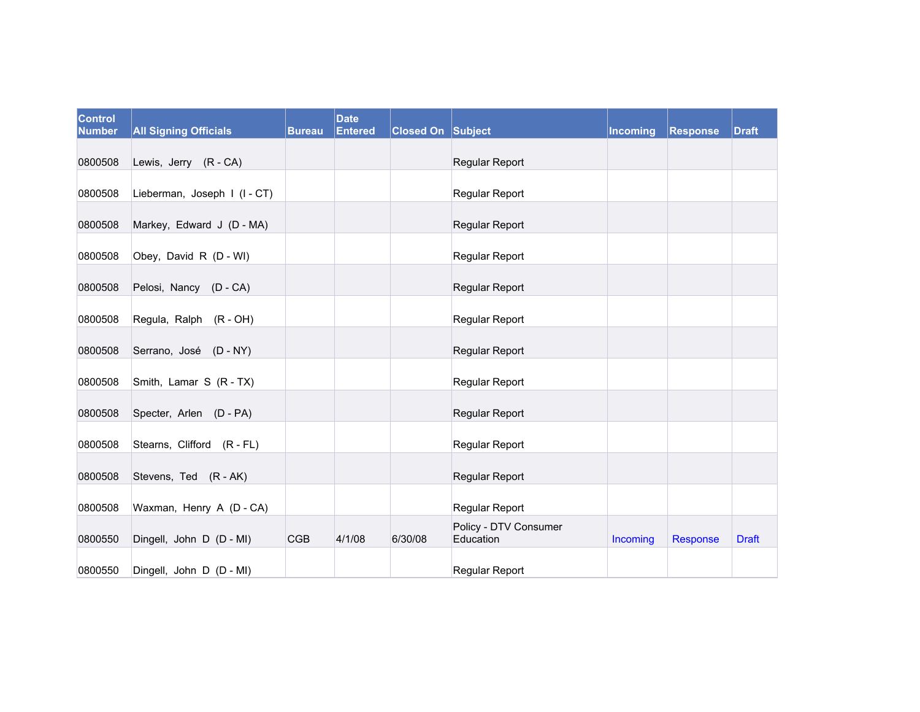| <b>Control</b><br><b>Number</b> | <b>All Signing Officials</b> | <b>Bureau</b> | <b>Date</b><br><b>Entered</b> | <b>Closed On Subject</b> |                                    | Incoming | <b>Response</b> | <b>Draft</b> |
|---------------------------------|------------------------------|---------------|-------------------------------|--------------------------|------------------------------------|----------|-----------------|--------------|
| 0800508                         | Lewis, Jerry (R - CA)        |               |                               |                          | Regular Report                     |          |                 |              |
| 0800508                         | Lieberman, Joseph I (I - CT) |               |                               |                          | Regular Report                     |          |                 |              |
| 0800508                         | Markey, Edward J (D - MA)    |               |                               |                          | Regular Report                     |          |                 |              |
| 0800508                         | Obey, David R (D - WI)       |               |                               |                          | Regular Report                     |          |                 |              |
| 0800508                         | Pelosi, Nancy (D - CA)       |               |                               |                          | Regular Report                     |          |                 |              |
| 0800508                         | Regula, Ralph (R - OH)       |               |                               |                          | Regular Report                     |          |                 |              |
| 0800508                         | Serrano, José (D - NY)       |               |                               |                          | Regular Report                     |          |                 |              |
| 0800508                         | Smith, Lamar S (R - TX)      |               |                               |                          | Regular Report                     |          |                 |              |
| 0800508                         | Specter, Arlen (D - PA)      |               |                               |                          | Regular Report                     |          |                 |              |
| 0800508                         | Stearns, Clifford (R - FL)   |               |                               |                          | Regular Report                     |          |                 |              |
| 0800508                         | Stevens, Ted (R - AK)        |               |                               |                          | Regular Report                     |          |                 |              |
| 0800508                         | Waxman, Henry A (D - CA)     |               |                               |                          | Regular Report                     |          |                 |              |
| 0800550                         | Dingell, John D (D - MI)     | <b>CGB</b>    | 4/1/08                        | 6/30/08                  | Policy - DTV Consumer<br>Education | Incoming | <b>Response</b> | <b>Draft</b> |
| 0800550                         | Dingell, John D (D - MI)     |               |                               |                          | Regular Report                     |          |                 |              |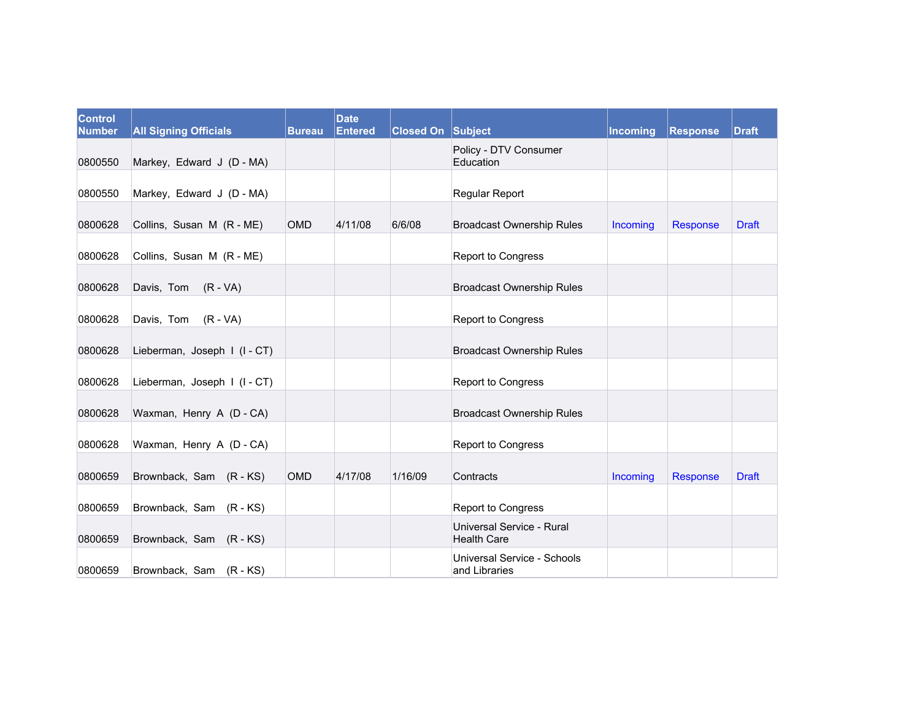| <b>Control</b><br><b>Number</b> | <b>All Signing Officials</b> | <b>Bureau</b> | <b>Date</b><br><b>Entered</b> | <b>Closed On Subject</b> |                                                 | Incoming | Response | <b>Draft</b> |
|---------------------------------|------------------------------|---------------|-------------------------------|--------------------------|-------------------------------------------------|----------|----------|--------------|
| 0800550                         | Markey, Edward J (D - MA)    |               |                               |                          | Policy - DTV Consumer<br>Education              |          |          |              |
| 0800550                         | Markey, Edward J (D - MA)    |               |                               |                          | Regular Report                                  |          |          |              |
| 0800628                         | Collins, Susan M (R - ME)    | <b>OMD</b>    | 4/11/08                       | 6/6/08                   | <b>Broadcast Ownership Rules</b>                | Incoming | Response | <b>Draft</b> |
| 0800628                         | Collins, Susan M (R - ME)    |               |                               |                          | <b>Report to Congress</b>                       |          |          |              |
| 0800628                         | Davis, Tom (R - VA)          |               |                               |                          | <b>Broadcast Ownership Rules</b>                |          |          |              |
| 0800628                         | Davis, Tom (R - VA)          |               |                               |                          | <b>Report to Congress</b>                       |          |          |              |
| 0800628                         | Lieberman, Joseph I (I-CT)   |               |                               |                          | <b>Broadcast Ownership Rules</b>                |          |          |              |
| 0800628                         | Lieberman, Joseph I (I - CT) |               |                               |                          | Report to Congress                              |          |          |              |
| 0800628                         | Waxman, Henry A (D - CA)     |               |                               |                          | <b>Broadcast Ownership Rules</b>                |          |          |              |
| 0800628                         | Waxman, Henry A (D - CA)     |               |                               |                          | Report to Congress                              |          |          |              |
| 0800659                         | Brownback, Sam (R-KS)        | <b>OMD</b>    | 4/17/08                       | 1/16/09                  | Contracts                                       | Incoming | Response | <b>Draft</b> |
| 0800659                         | Brownback, Sam (R-KS)        |               |                               |                          | Report to Congress                              |          |          |              |
| 0800659                         | Brownback, Sam (R - KS)      |               |                               |                          | Universal Service - Rural<br><b>Health Care</b> |          |          |              |
| 0800659                         | Brownback, Sam (R - KS)      |               |                               |                          | Universal Service - Schools<br>and Libraries    |          |          |              |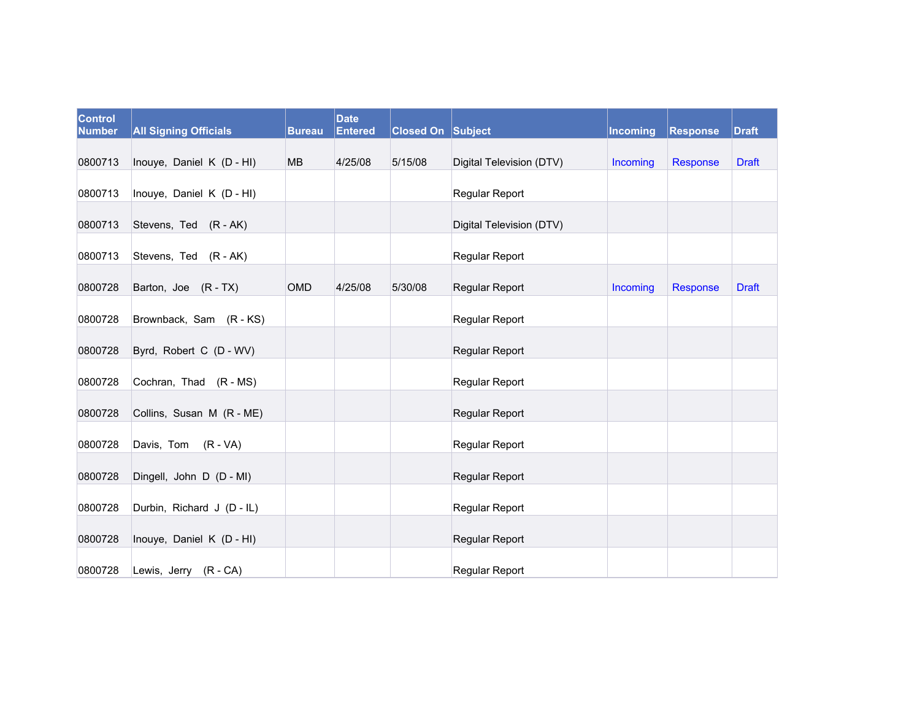| Control<br><b>Number</b> | <b>All Signing Officials</b> | <b>Bureau</b> | <b>Date</b><br><b>Entered</b> | <b>Closed On Subject</b> |                          | Incoming | Response | <b>Draft</b> |
|--------------------------|------------------------------|---------------|-------------------------------|--------------------------|--------------------------|----------|----------|--------------|
| 0800713                  | Inouye, Daniel K (D - HI)    | MB            | 4/25/08                       | 5/15/08                  | Digital Television (DTV) | Incoming | Response | <b>Draft</b> |
| 0800713                  | Inouye, Daniel K (D - HI)    |               |                               |                          | <b>Regular Report</b>    |          |          |              |
| 0800713                  | Stevens, Ted (R - AK)        |               |                               |                          | Digital Television (DTV) |          |          |              |
| 0800713                  | Stevens, Ted (R - AK)        |               |                               |                          | <b>Regular Report</b>    |          |          |              |
| 0800728                  | Barton, Joe (R-TX)           | OMD           | 4/25/08                       | 5/30/08                  | Regular Report           | Incoming | Response | <b>Draft</b> |
| 0800728                  | Brownback, Sam (R-KS)        |               |                               |                          | Regular Report           |          |          |              |
| 0800728                  | Byrd, Robert C (D - WV)      |               |                               |                          | Regular Report           |          |          |              |
| 0800728                  | Cochran, Thad (R - MS)       |               |                               |                          | Regular Report           |          |          |              |
| 0800728                  | Collins, Susan M (R - ME)    |               |                               |                          | Regular Report           |          |          |              |
| 0800728                  | Davis, Tom (R-VA)            |               |                               |                          | Regular Report           |          |          |              |
| 0800728                  | Dingell, John D (D - MI)     |               |                               |                          | Regular Report           |          |          |              |
| 0800728                  | Durbin, Richard J (D - IL)   |               |                               |                          | Regular Report           |          |          |              |
| 0800728                  | Inouye, Daniel K (D - HI)    |               |                               |                          | Regular Report           |          |          |              |
| 0800728                  | Lewis, Jerry (R - CA)        |               |                               |                          | Regular Report           |          |          |              |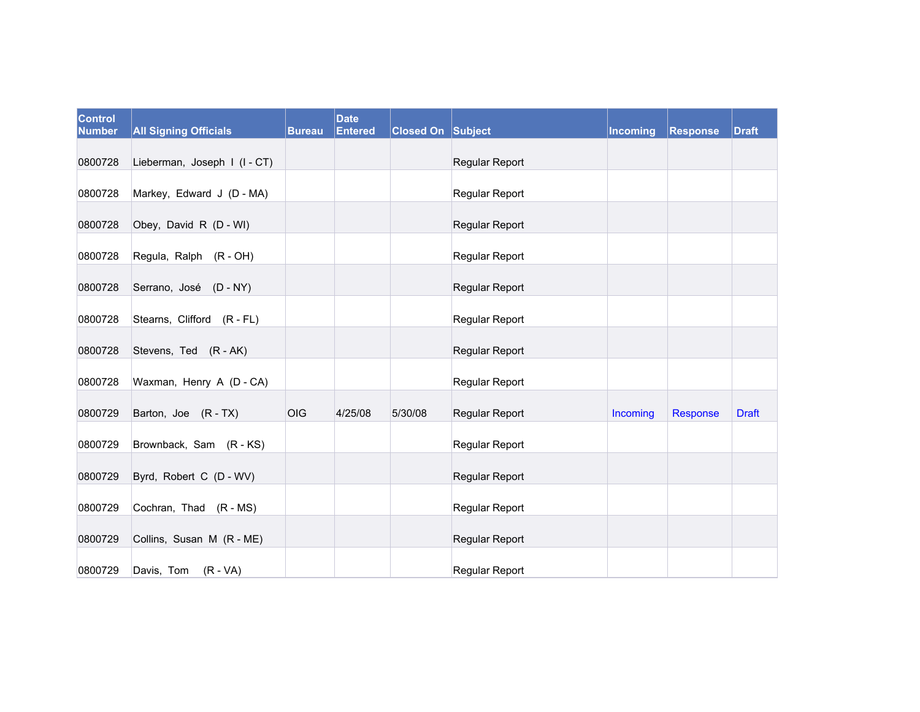| Control<br><b>Number</b> | <b>All Signing Officials</b> | <b>Bureau</b> | <b>Date</b><br><b>Entered</b> | <b>Closed On Subject</b> |                       | Incoming | Response | <b>Draft</b> |
|--------------------------|------------------------------|---------------|-------------------------------|--------------------------|-----------------------|----------|----------|--------------|
|                          |                              |               |                               |                          |                       |          |          |              |
| 0800728                  | Lieberman, Joseph I (I - CT) |               |                               |                          | Regular Report        |          |          |              |
| 0800728                  | Markey, Edward J (D - MA)    |               |                               |                          | Regular Report        |          |          |              |
| 0800728                  | Obey, David R (D - WI)       |               |                               |                          | Regular Report        |          |          |              |
| 0800728                  | Regula, Ralph (R - OH)       |               |                               |                          | <b>Regular Report</b> |          |          |              |
| 0800728                  | Serrano, José (D - NY)       |               |                               |                          | Regular Report        |          |          |              |
| 0800728                  | Stearns, Clifford (R - FL)   |               |                               |                          | Regular Report        |          |          |              |
| 0800728                  | Stevens, Ted (R - AK)        |               |                               |                          | <b>Regular Report</b> |          |          |              |
| 0800728                  | Waxman, Henry A (D - CA)     |               |                               |                          | Regular Report        |          |          |              |
| 0800729                  | Barton, Joe (R-TX)           | <b>OIG</b>    | 4/25/08                       | 5/30/08                  | Regular Report        | Incoming | Response | <b>Draft</b> |
| 0800729                  | Brownback, Sam (R-KS)        |               |                               |                          | Regular Report        |          |          |              |
| 0800729                  | Byrd, Robert C (D - WV)      |               |                               |                          | Regular Report        |          |          |              |
| 0800729                  | Cochran, Thad (R - MS)       |               |                               |                          | Regular Report        |          |          |              |
| 0800729                  | Collins, Susan M (R - ME)    |               |                               |                          | Regular Report        |          |          |              |
| 0800729                  | Davis, Tom (R - VA)          |               |                               |                          | Regular Report        |          |          |              |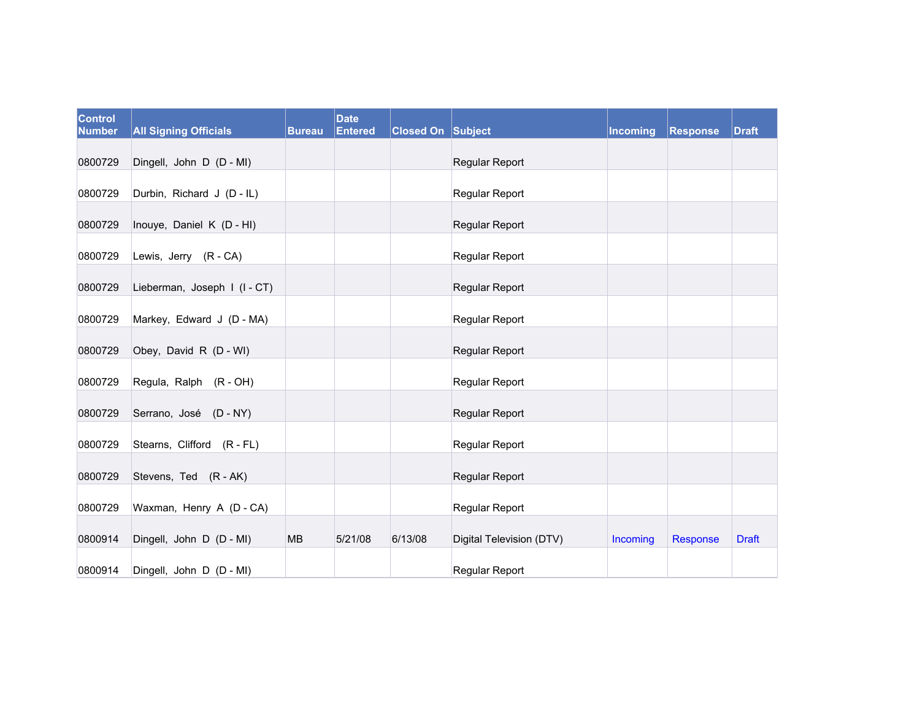| <b>Control</b><br><b>Number</b> | <b>All Signing Officials</b> | <b>Bureau</b> | <b>Date</b><br><b>Entered</b> | <b>Closed On Subject</b> |                          | Incoming | Response | <b>Draft</b> |
|---------------------------------|------------------------------|---------------|-------------------------------|--------------------------|--------------------------|----------|----------|--------------|
|                                 |                              |               |                               |                          |                          |          |          |              |
| 0800729                         | Dingell, John D (D - MI)     |               |                               |                          | Regular Report           |          |          |              |
| 0800729                         | Durbin, Richard J (D - IL)   |               |                               |                          | <b>Regular Report</b>    |          |          |              |
| 0800729                         | Inouye, Daniel K (D - HI)    |               |                               |                          | Regular Report           |          |          |              |
| 0800729                         | Lewis, Jerry (R - CA)        |               |                               |                          | Regular Report           |          |          |              |
| 0800729                         | Lieberman, Joseph I (I-CT)   |               |                               |                          | Regular Report           |          |          |              |
| 0800729                         | Markey, Edward J (D - MA)    |               |                               |                          | Regular Report           |          |          |              |
| 0800729                         | Obey, David R (D - WI)       |               |                               |                          | Regular Report           |          |          |              |
| 0800729                         | Regula, Ralph (R - OH)       |               |                               |                          | Regular Report           |          |          |              |
| 0800729                         | Serrano, José (D - NY)       |               |                               |                          | Regular Report           |          |          |              |
| 0800729                         | Stearns, Clifford (R - FL)   |               |                               |                          | Regular Report           |          |          |              |
| 0800729                         | Stevens, Ted (R - AK)        |               |                               |                          | Regular Report           |          |          |              |
| 0800729                         | Waxman, Henry A (D - CA)     |               |                               |                          | Regular Report           |          |          |              |
| 0800914                         | Dingell, John D (D - MI)     | <b>MB</b>     | 5/21/08                       | 6/13/08                  | Digital Television (DTV) | Incoming | Response | <b>Draft</b> |
| 0800914                         | Dingell, John D (D - MI)     |               |                               |                          | Regular Report           |          |          |              |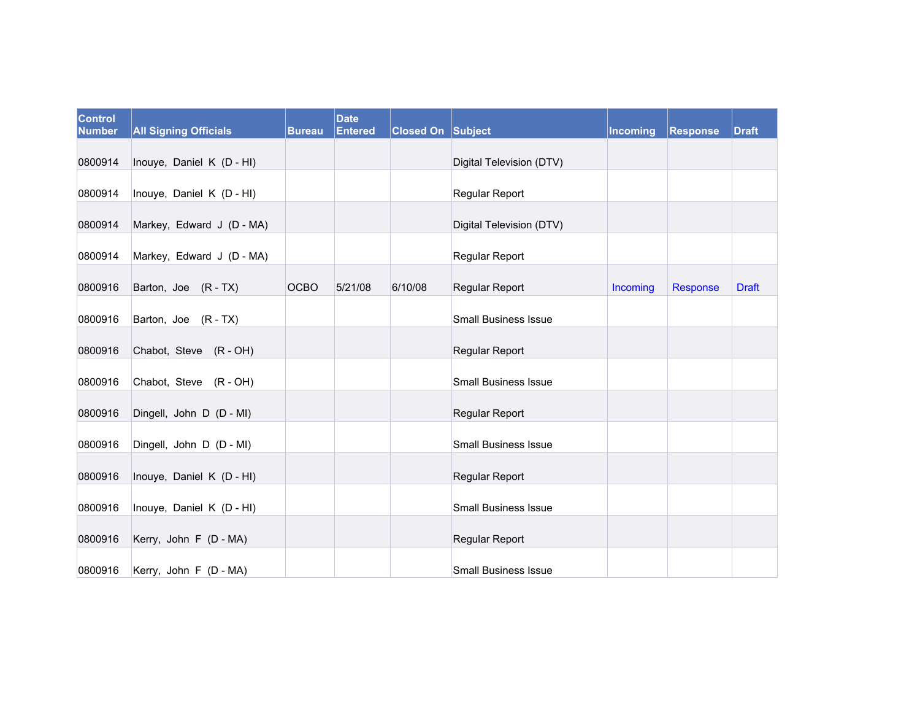| <b>Control</b><br><b>Number</b> | <b>All Signing Officials</b> | <b>Bureau</b> | <b>Date</b><br>Entered | <b>Closed On Subject</b> |                             | Incoming | Response | <b>Draft</b> |
|---------------------------------|------------------------------|---------------|------------------------|--------------------------|-----------------------------|----------|----------|--------------|
| 0800914                         | Inouye, Daniel K (D - HI)    |               |                        |                          | Digital Television (DTV)    |          |          |              |
| 0800914                         | Inouye, Daniel K (D - HI)    |               |                        |                          | Regular Report              |          |          |              |
| 0800914                         | Markey, Edward J (D - MA)    |               |                        |                          | Digital Television (DTV)    |          |          |              |
| 0800914                         | Markey, Edward J (D - MA)    |               |                        |                          | Regular Report              |          |          |              |
| 0800916                         | Barton, Joe (R-TX)           | <b>OCBO</b>   | 5/21/08                | 6/10/08                  | Regular Report              | Incoming | Response | <b>Draft</b> |
| 0800916                         | Barton, Joe (R - TX)         |               |                        |                          | <b>Small Business Issue</b> |          |          |              |
| 0800916                         | Chabot, Steve (R - OH)       |               |                        |                          | Regular Report              |          |          |              |
| 0800916                         | Chabot, Steve (R - OH)       |               |                        |                          | <b>Small Business Issue</b> |          |          |              |
| 0800916                         | Dingell, John D (D - MI)     |               |                        |                          | Regular Report              |          |          |              |
| 0800916                         | Dingell, John D (D - MI)     |               |                        |                          | <b>Small Business Issue</b> |          |          |              |
| 0800916                         | Inouye, Daniel K (D - HI)    |               |                        |                          | Regular Report              |          |          |              |
| 0800916                         | Inouye, Daniel K (D - HI)    |               |                        |                          | <b>Small Business Issue</b> |          |          |              |
| 0800916                         | Kerry, John F (D - MA)       |               |                        |                          | Regular Report              |          |          |              |
| 0800916                         | Kerry, John F (D - MA)       |               |                        |                          | <b>Small Business Issue</b> |          |          |              |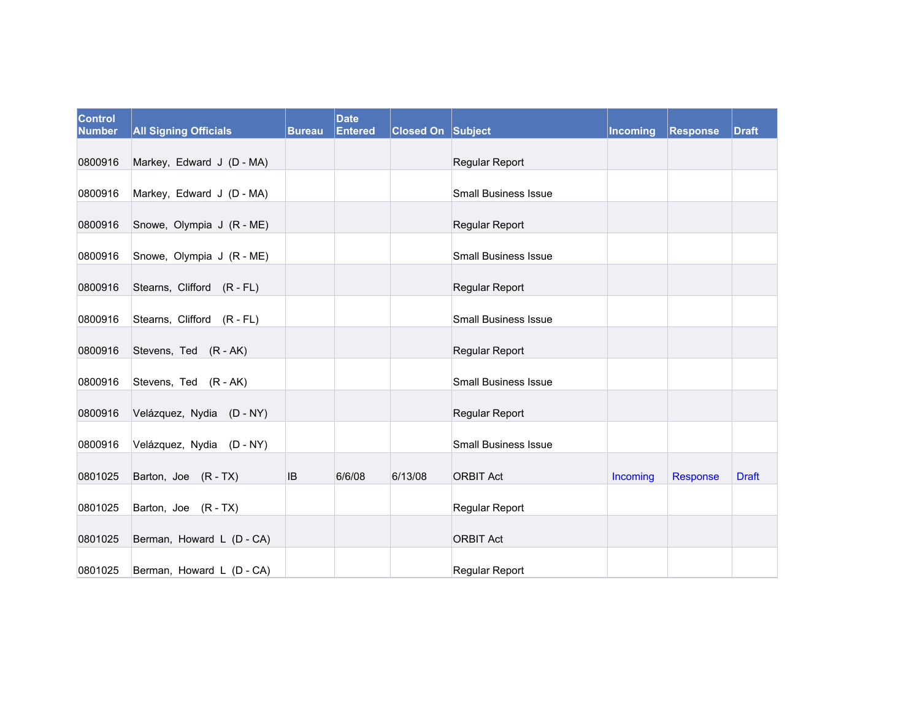| Control<br><b>Number</b> | <b>All Signing Officials</b> | <b>Bureau</b> | <b>Date</b><br><b>Entered</b> | <b>Closed On Subject</b> |                             | Incoming | Response | <b>Draft</b> |
|--------------------------|------------------------------|---------------|-------------------------------|--------------------------|-----------------------------|----------|----------|--------------|
|                          |                              |               |                               |                          |                             |          |          |              |
| 0800916                  | Markey, Edward J (D - MA)    |               |                               |                          | Regular Report              |          |          |              |
| 0800916                  | Markey, Edward J (D - MA)    |               |                               |                          | <b>Small Business Issue</b> |          |          |              |
| 0800916                  | Snowe, Olympia J (R - ME)    |               |                               |                          | Regular Report              |          |          |              |
| 0800916                  | Snowe, Olympia J (R - ME)    |               |                               |                          | <b>Small Business Issue</b> |          |          |              |
| 0800916                  | Stearns, Clifford (R - FL)   |               |                               |                          | Regular Report              |          |          |              |
| 0800916                  | Stearns, Clifford (R - FL)   |               |                               |                          | <b>Small Business Issue</b> |          |          |              |
| 0800916                  | Stevens, Ted (R - AK)        |               |                               |                          | Regular Report              |          |          |              |
| 0800916                  | Stevens, Ted (R - AK)        |               |                               |                          | <b>Small Business Issue</b> |          |          |              |
| 0800916                  | Velázquez, Nydia (D-NY)      |               |                               |                          | Regular Report              |          |          |              |
| 0800916                  | Velázquez, Nydia (D - NY)    |               |                               |                          | <b>Small Business Issue</b> |          |          |              |
| 0801025                  | Barton, Joe (R-TX)           | <b>IB</b>     | 6/6/08                        | 6/13/08                  | <b>ORBIT Act</b>            | Incoming | Response | <b>Draft</b> |
| 0801025                  | Barton, Joe (R - TX)         |               |                               |                          | Regular Report              |          |          |              |
| 0801025                  | Berman, Howard L (D - CA)    |               |                               |                          | <b>ORBIT Act</b>            |          |          |              |
| 0801025                  | Berman, Howard L (D - CA)    |               |                               |                          | Regular Report              |          |          |              |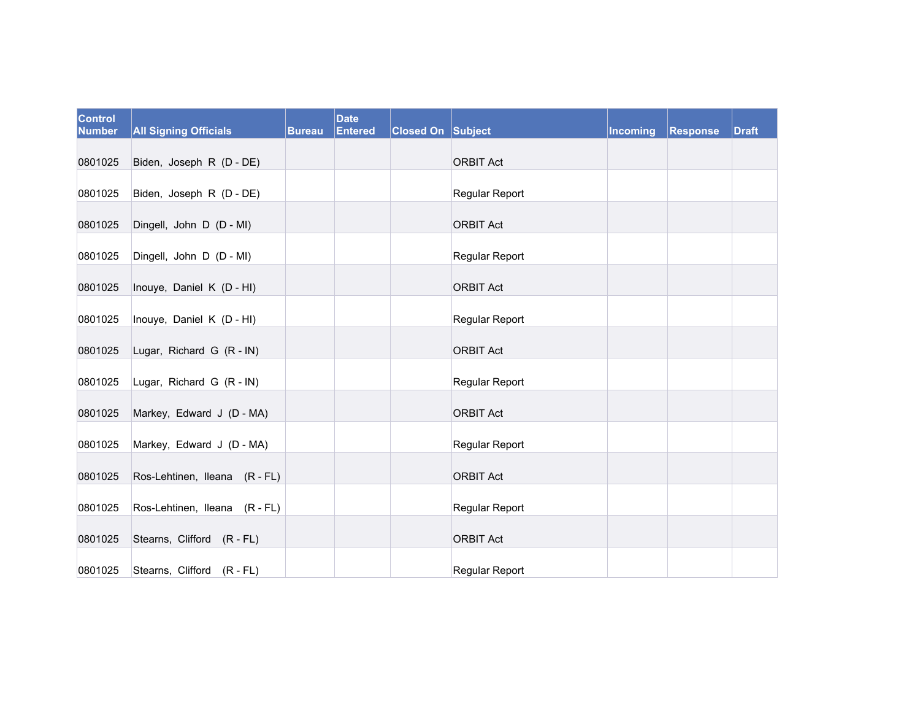| Control<br><b>Number</b> | <b>All Signing Officials</b>  | <b>Bureau</b> | <b>Date</b><br><b>Entered</b> | <b>Closed On Subject</b> |                       | Incoming | Response | <b>Draft</b> |
|--------------------------|-------------------------------|---------------|-------------------------------|--------------------------|-----------------------|----------|----------|--------------|
| 0801025                  | Biden, Joseph R (D - DE)      |               |                               |                          | <b>ORBIT Act</b>      |          |          |              |
| 0801025                  | Biden, Joseph R (D - DE)      |               |                               |                          | Regular Report        |          |          |              |
| 0801025                  | Dingell, John D (D - MI)      |               |                               |                          | <b>ORBIT Act</b>      |          |          |              |
| 0801025                  | Dingell, John D (D - MI)      |               |                               |                          | Regular Report        |          |          |              |
| 0801025                  | Inouye, Daniel K (D - HI)     |               |                               |                          | <b>ORBIT Act</b>      |          |          |              |
| 0801025                  | Inouye, Daniel K (D - HI)     |               |                               |                          | <b>Regular Report</b> |          |          |              |
| 0801025                  | Lugar, Richard G (R - IN)     |               |                               |                          | <b>ORBIT Act</b>      |          |          |              |
| 0801025                  | Lugar, Richard G (R - IN)     |               |                               |                          | <b>Regular Report</b> |          |          |              |
| 0801025                  | Markey, Edward J (D - MA)     |               |                               |                          | <b>ORBIT Act</b>      |          |          |              |
| 0801025                  | Markey, Edward J (D - MA)     |               |                               |                          | Regular Report        |          |          |              |
| 0801025                  | Ros-Lehtinen, Ileana (R - FL) |               |                               |                          | <b>ORBIT Act</b>      |          |          |              |
| 0801025                  | Ros-Lehtinen, Ileana (R - FL) |               |                               |                          | Regular Report        |          |          |              |
| 0801025                  | Stearns, Clifford (R - FL)    |               |                               |                          | <b>ORBIT Act</b>      |          |          |              |
| 0801025                  | Stearns, Clifford (R-FL)      |               |                               |                          | Regular Report        |          |          |              |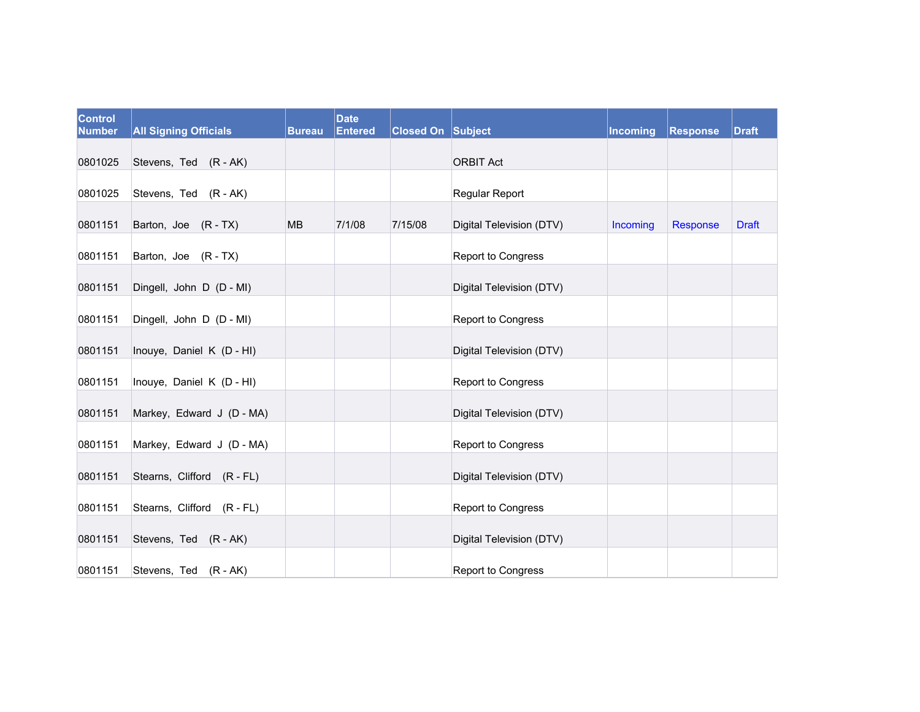| Control<br><b>Number</b> | <b>All Signing Officials</b> | <b>Bureau</b> | <b>Date</b><br><b>Entered</b> | <b>Closed On Subject</b> |                           | Incoming | Response | <b>Draft</b> |
|--------------------------|------------------------------|---------------|-------------------------------|--------------------------|---------------------------|----------|----------|--------------|
| 0801025                  | Stevens, Ted (R - AK)        |               |                               |                          | <b>ORBIT Act</b>          |          |          |              |
| 0801025                  | Stevens, Ted (R - AK)        |               |                               |                          | Regular Report            |          |          |              |
| 0801151                  | Barton, Joe (R - TX)         | <b>MB</b>     | 7/1/08                        | 7/15/08                  | Digital Television (DTV)  | Incoming | Response | <b>Draft</b> |
| 0801151                  | Barton, Joe (R-TX)           |               |                               |                          | Report to Congress        |          |          |              |
| 0801151                  | Dingell, John D (D - MI)     |               |                               |                          | Digital Television (DTV)  |          |          |              |
| 0801151                  | Dingell, John D (D - MI)     |               |                               |                          | Report to Congress        |          |          |              |
| 0801151                  | Inouye, Daniel K (D - HI)    |               |                               |                          | Digital Television (DTV)  |          |          |              |
| 0801151                  | Inouye, Daniel K (D - HI)    |               |                               |                          | Report to Congress        |          |          |              |
| 0801151                  | Markey, Edward J (D - MA)    |               |                               |                          | Digital Television (DTV)  |          |          |              |
| 0801151                  | Markey, Edward J (D - MA)    |               |                               |                          | <b>Report to Congress</b> |          |          |              |
| 0801151                  | Stearns, Clifford (R - FL)   |               |                               |                          | Digital Television (DTV)  |          |          |              |
| 0801151                  | Stearns, Clifford (R - FL)   |               |                               |                          | <b>Report to Congress</b> |          |          |              |
| 0801151                  | Stevens, Ted (R - AK)        |               |                               |                          | Digital Television (DTV)  |          |          |              |
| 0801151                  | Stevens, Ted (R - AK)        |               |                               |                          | Report to Congress        |          |          |              |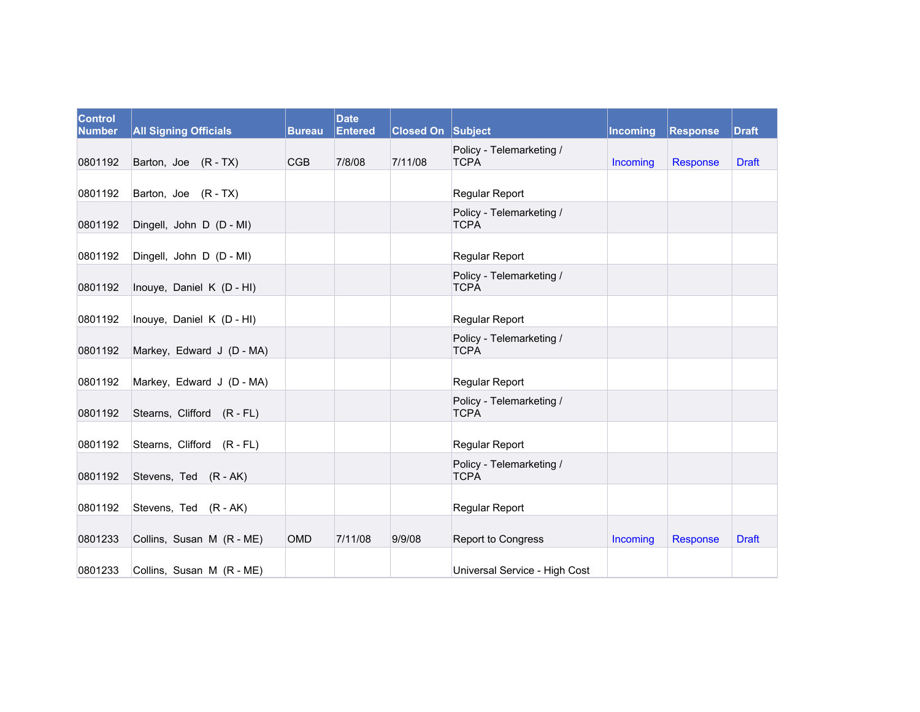| <b>Control</b><br><b>Number</b> | <b>All Signing Officials</b> | <b>Bureau</b> | <b>Date</b><br>Entered | <b>Closed On Subject</b> |                                         | <b>Incoming</b> | <b>Response</b> | <b>Draft</b> |
|---------------------------------|------------------------------|---------------|------------------------|--------------------------|-----------------------------------------|-----------------|-----------------|--------------|
| 0801192                         | Barton, Joe (R - TX)         | <b>CGB</b>    | 7/8/08                 | 7/11/08                  | Policy - Telemarketing /<br><b>TCPA</b> | Incoming        | <b>Response</b> | <b>Draft</b> |
| 0801192                         | Barton, Joe (R - TX)         |               |                        |                          | Regular Report                          |                 |                 |              |
| 0801192                         | Dingell, John D (D - MI)     |               |                        |                          | Policy - Telemarketing /<br><b>TCPA</b> |                 |                 |              |
| 0801192                         | Dingell, John D (D - MI)     |               |                        |                          | Regular Report                          |                 |                 |              |
| 0801192                         | Inouye, Daniel K (D - HI)    |               |                        |                          | Policy - Telemarketing /<br><b>TCPA</b> |                 |                 |              |
| 0801192                         | Inouye, Daniel K (D - HI)    |               |                        |                          | Regular Report                          |                 |                 |              |
| 0801192                         | Markey, Edward J (D - MA)    |               |                        |                          | Policy - Telemarketing /<br><b>TCPA</b> |                 |                 |              |
| 0801192                         | Markey, Edward J (D - MA)    |               |                        |                          | Regular Report                          |                 |                 |              |
| 0801192                         | Stearns, Clifford (R - FL)   |               |                        |                          | Policy - Telemarketing /<br><b>TCPA</b> |                 |                 |              |
| 0801192                         | Stearns, Clifford (R - FL)   |               |                        |                          | Regular Report                          |                 |                 |              |
| 0801192                         | Stevens, Ted (R - AK)        |               |                        |                          | Policy - Telemarketing /<br><b>TCPA</b> |                 |                 |              |
| 0801192                         | Stevens, Ted (R - AK)        |               |                        |                          | Regular Report                          |                 |                 |              |
| 0801233                         | Collins, Susan M (R - ME)    | <b>OMD</b>    | 7/11/08                | 9/9/08                   | Report to Congress                      | Incoming        | <b>Response</b> | <b>Draft</b> |
| 0801233                         | Collins, Susan M (R - ME)    |               |                        |                          | Universal Service - High Cost           |                 |                 |              |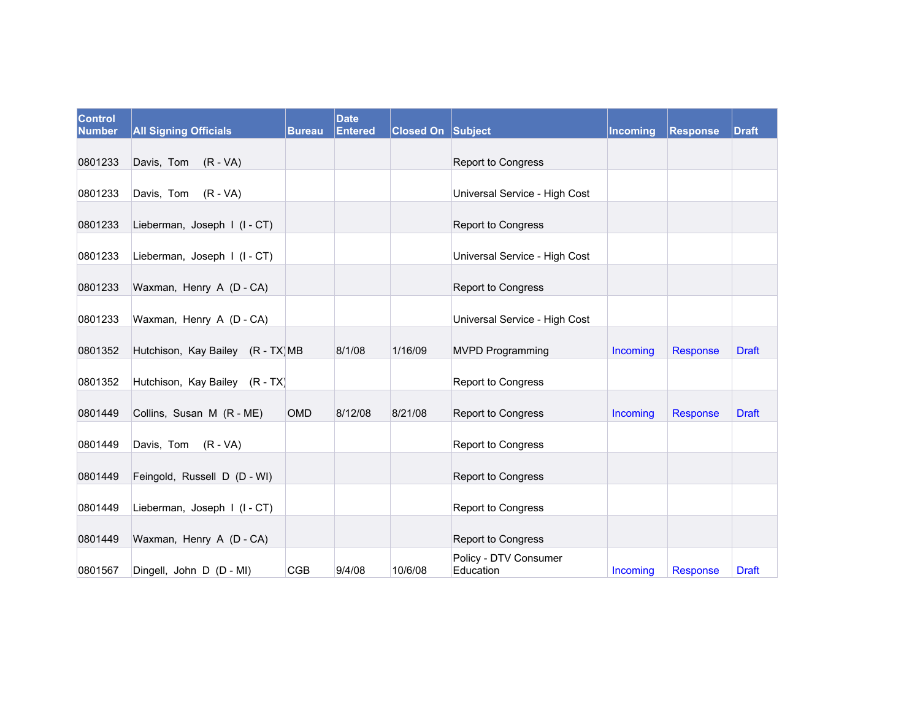| <b>Control</b><br><b>Number</b> | <b>All Signing Officials</b>      | <b>Bureau</b> | <b>Date</b><br><b>Entered</b> | <b>Closed On Subject</b> |                                    | <b>Incoming</b> | Response | <b>Draft</b> |
|---------------------------------|-----------------------------------|---------------|-------------------------------|--------------------------|------------------------------------|-----------------|----------|--------------|
| 0801233                         | Davis, Tom (R - VA)               |               |                               |                          | Report to Congress                 |                 |          |              |
| 0801233                         | Davis, Tom (R - VA)               |               |                               |                          | Universal Service - High Cost      |                 |          |              |
| 0801233                         | Lieberman, Joseph I (I-CT)        |               |                               |                          | Report to Congress                 |                 |          |              |
| 0801233                         | Lieberman, Joseph I (I-CT)        |               |                               |                          | Universal Service - High Cost      |                 |          |              |
| 0801233                         | Waxman, Henry A (D - CA)          |               |                               |                          | Report to Congress                 |                 |          |              |
| 0801233                         | Waxman, Henry A (D - CA)          |               |                               |                          | Universal Service - High Cost      |                 |          |              |
| 0801352                         | Hutchison, Kay Bailey (R - TX) MB |               | 8/1/08                        | 1/16/09                  | <b>MVPD Programming</b>            | Incoming        | Response | <b>Draft</b> |
| 0801352                         | Hutchison, Kay Bailey (R - TX)    |               |                               |                          | Report to Congress                 |                 |          |              |
| 0801449                         | Collins, Susan M (R - ME)         | OMD           | 8/12/08                       | 8/21/08                  | Report to Congress                 | Incoming        | Response | <b>Draft</b> |
| 0801449                         | Davis, Tom (R - VA)               |               |                               |                          | Report to Congress                 |                 |          |              |
| 0801449                         | Feingold, Russell D (D - WI)      |               |                               |                          | Report to Congress                 |                 |          |              |
| 0801449                         | Lieberman, Joseph I (I-CT)        |               |                               |                          | Report to Congress                 |                 |          |              |
| 0801449                         | Waxman, Henry A (D - CA)          |               |                               |                          | Report to Congress                 |                 |          |              |
| 0801567                         | Dingell, John D (D - MI)          | <b>CGB</b>    | 9/4/08                        | 10/6/08                  | Policy - DTV Consumer<br>Education | Incoming        | Response | <b>Draft</b> |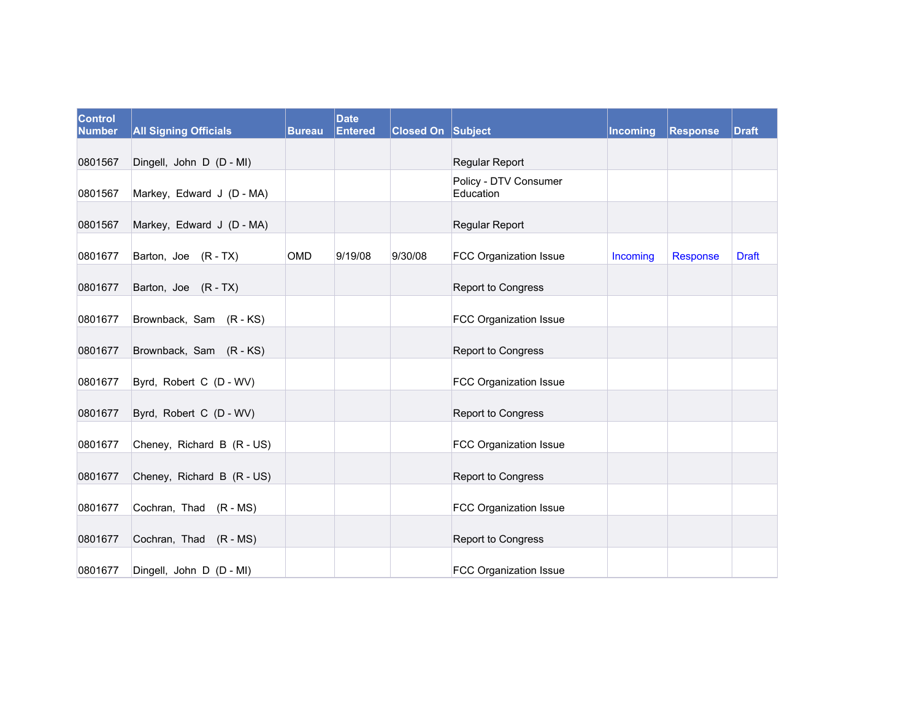| Control<br><b>Number</b> | <b>All Signing Officials</b> | <b>Bureau</b> | <b>Date</b><br><b>Entered</b> | <b>Closed On Subject</b> |                                    | <b>Incoming</b> | Response | <b>Draft</b> |
|--------------------------|------------------------------|---------------|-------------------------------|--------------------------|------------------------------------|-----------------|----------|--------------|
|                          |                              |               |                               |                          |                                    |                 |          |              |
| 0801567                  | Dingell, John D (D - MI)     |               |                               |                          | Regular Report                     |                 |          |              |
| 0801567                  | Markey, Edward J (D - MA)    |               |                               |                          | Policy - DTV Consumer<br>Education |                 |          |              |
| 0801567                  | Markey, Edward J (D - MA)    |               |                               |                          | Regular Report                     |                 |          |              |
| 0801677                  | Barton, Joe (R-TX)           | OMD           | 9/19/08                       | 9/30/08                  | <b>FCC Organization Issue</b>      | Incoming        | Response | <b>Draft</b> |
| 0801677                  | Barton, Joe (R-TX)           |               |                               |                          | Report to Congress                 |                 |          |              |
| 0801677                  | Brownback, Sam (R - KS)      |               |                               |                          | <b>FCC Organization Issue</b>      |                 |          |              |
| 0801677                  | Brownback, Sam (R-KS)        |               |                               |                          | Report to Congress                 |                 |          |              |
| 0801677                  | Byrd, Robert C (D - WV)      |               |                               |                          | FCC Organization Issue             |                 |          |              |
| 0801677                  | Byrd, Robert C (D - WV)      |               |                               |                          | <b>Report to Congress</b>          |                 |          |              |
| 0801677                  | Cheney, Richard B (R - US)   |               |                               |                          | FCC Organization Issue             |                 |          |              |
| 0801677                  | Cheney, Richard B (R - US)   |               |                               |                          | Report to Congress                 |                 |          |              |
| 0801677                  | Cochran, Thad (R - MS)       |               |                               |                          | FCC Organization Issue             |                 |          |              |
| 0801677                  | Cochran, Thad (R - MS)       |               |                               |                          | Report to Congress                 |                 |          |              |
| 0801677                  | Dingell, John D (D - MI)     |               |                               |                          | FCC Organization Issue             |                 |          |              |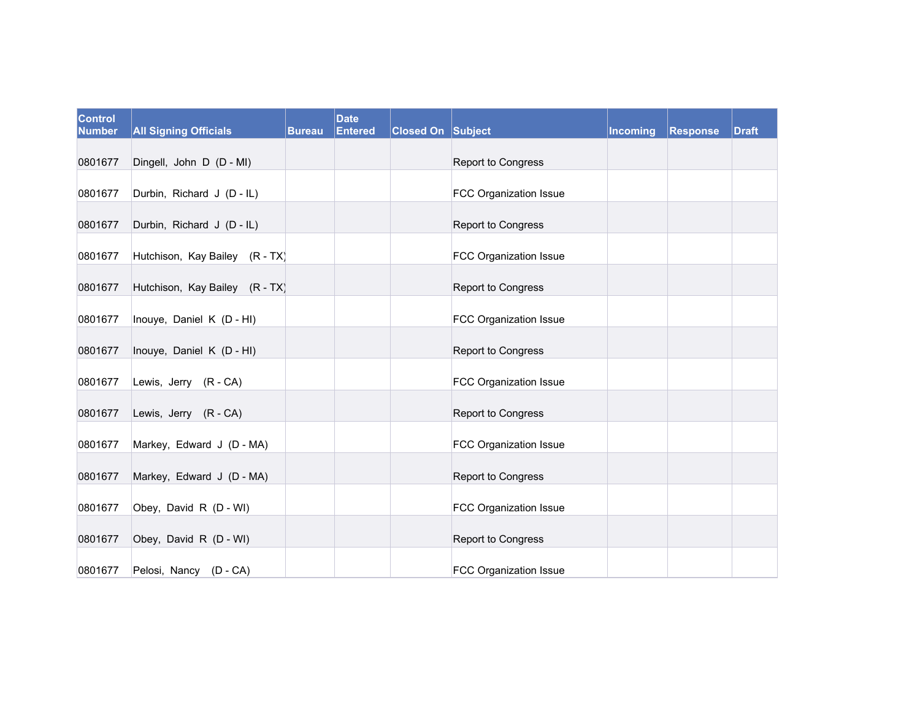| <b>Control</b><br><b>Number</b> | <b>All Signing Officials</b>   | <b>Bureau</b> | <b>Date</b><br><b>Entered</b> | <b>Closed On Subject</b> |                        | <b>Incoming</b> | <b>Response</b> | <b>Draft</b> |
|---------------------------------|--------------------------------|---------------|-------------------------------|--------------------------|------------------------|-----------------|-----------------|--------------|
| 0801677                         | Dingell, John D (D - MI)       |               |                               |                          | Report to Congress     |                 |                 |              |
| 0801677                         | Durbin, Richard J (D - IL)     |               |                               |                          | FCC Organization Issue |                 |                 |              |
| 0801677                         | Durbin, Richard J (D - IL)     |               |                               |                          | Report to Congress     |                 |                 |              |
| 0801677                         | Hutchison, Kay Bailey (R - TX) |               |                               |                          | FCC Organization Issue |                 |                 |              |
| 0801677                         | Hutchison, Kay Bailey (R - TX) |               |                               |                          | Report to Congress     |                 |                 |              |
| 0801677                         | Inouye, Daniel K (D - HI)      |               |                               |                          | FCC Organization Issue |                 |                 |              |
| 0801677                         | Inouye, Daniel K (D - HI)      |               |                               |                          | Report to Congress     |                 |                 |              |
| 0801677                         | Lewis, Jerry (R - CA)          |               |                               |                          | FCC Organization Issue |                 |                 |              |
| 0801677                         | Lewis, Jerry (R - CA)          |               |                               |                          | Report to Congress     |                 |                 |              |
| 0801677                         | Markey, Edward J (D - MA)      |               |                               |                          | FCC Organization Issue |                 |                 |              |
| 0801677                         | Markey, Edward J (D - MA)      |               |                               |                          | Report to Congress     |                 |                 |              |
| 0801677                         | Obey, David R (D - WI)         |               |                               |                          | FCC Organization Issue |                 |                 |              |
| 0801677                         | Obey, David R (D - WI)         |               |                               |                          | Report to Congress     |                 |                 |              |
| 0801677                         | Pelosi, Nancy (D - CA)         |               |                               |                          | FCC Organization Issue |                 |                 |              |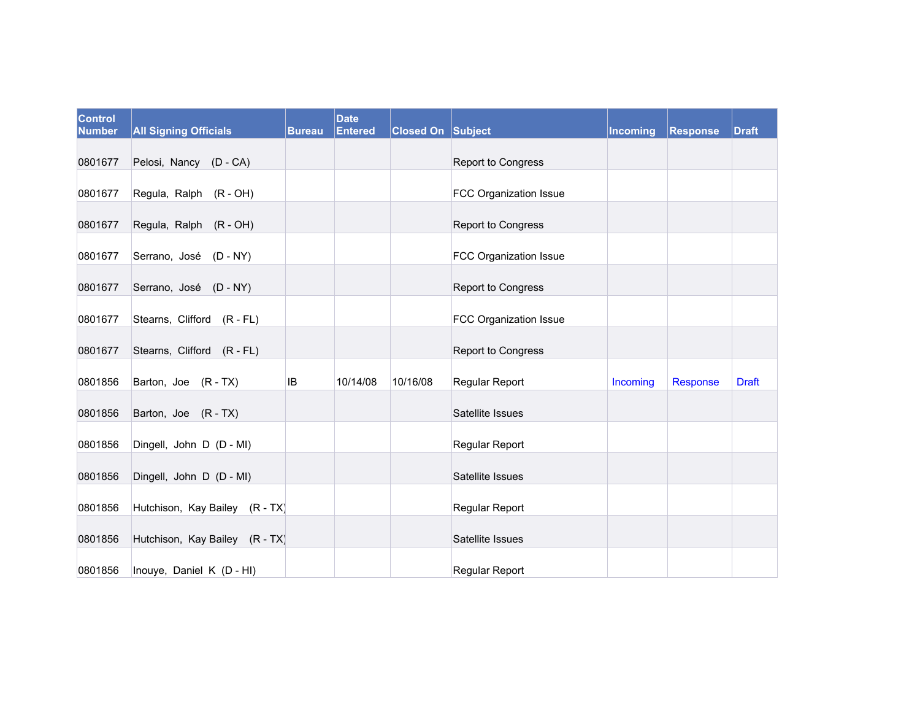| Control<br><b>Number</b> | <b>All Signing Officials</b>   | <b>Bureau</b> | <b>Date</b><br><b>Entered</b> | <b>Closed On Subject</b> |                        | Incoming | Response | <b>Draft</b> |
|--------------------------|--------------------------------|---------------|-------------------------------|--------------------------|------------------------|----------|----------|--------------|
| 0801677                  | Pelosi, Nancy (D - CA)         |               |                               |                          | Report to Congress     |          |          |              |
| 0801677                  | Regula, Ralph (R - OH)         |               |                               |                          | FCC Organization Issue |          |          |              |
| 0801677                  | Regula, Ralph (R - OH)         |               |                               |                          | Report to Congress     |          |          |              |
| 0801677                  | Serrano, José (D - NY)         |               |                               |                          | FCC Organization Issue |          |          |              |
| 0801677                  | Serrano, José (D - NY)         |               |                               |                          | Report to Congress     |          |          |              |
| 0801677                  | Stearns, Clifford (R - FL)     |               |                               |                          | FCC Organization Issue |          |          |              |
| 0801677                  | Stearns, Clifford (R - FL)     |               |                               |                          | Report to Congress     |          |          |              |
| 0801856                  | Barton, Joe (R-TX)             | IB            | 10/14/08                      | 10/16/08                 | Regular Report         | Incoming | Response | <b>Draft</b> |
| 0801856                  | Barton, Joe (R-TX)             |               |                               |                          | Satellite Issues       |          |          |              |
| 0801856                  | Dingell, John D (D - MI)       |               |                               |                          | Regular Report         |          |          |              |
| 0801856                  | Dingell, John D (D - MI)       |               |                               |                          | Satellite Issues       |          |          |              |
| 0801856                  | Hutchison, Kay Bailey (R - TX) |               |                               |                          | Regular Report         |          |          |              |
| 0801856                  | Hutchison, Kay Bailey (R - TX) |               |                               |                          | Satellite Issues       |          |          |              |
| 0801856                  | Inouye, Daniel K (D - HI)      |               |                               |                          | Regular Report         |          |          |              |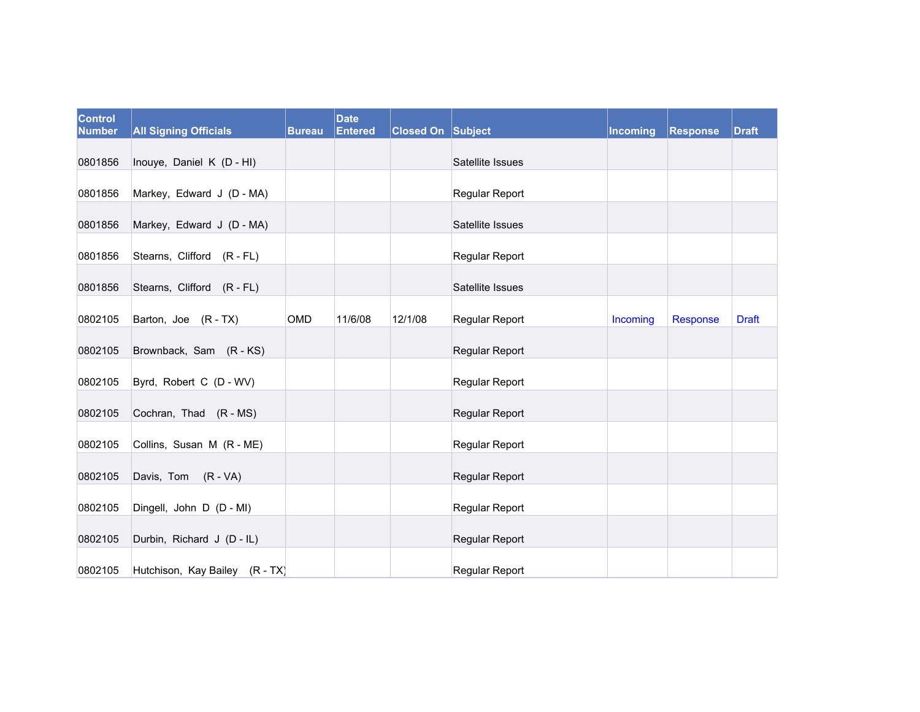| Control<br><b>Number</b> | <b>All Signing Officials</b>   | <b>Bureau</b> | <b>Date</b><br><b>Entered</b> | <b>Closed On Subject</b> |                       | Incoming | Response | <b>Draft</b> |
|--------------------------|--------------------------------|---------------|-------------------------------|--------------------------|-----------------------|----------|----------|--------------|
| 0801856                  | Inouye, Daniel K (D - HI)      |               |                               |                          | Satellite Issues      |          |          |              |
| 0801856                  | Markey, Edward J (D - MA)      |               |                               |                          | Regular Report        |          |          |              |
| 0801856                  | Markey, Edward J (D - MA)      |               |                               |                          | Satellite Issues      |          |          |              |
| 0801856                  | Stearns, Clifford (R - FL)     |               |                               |                          | <b>Regular Report</b> |          |          |              |
| 0801856                  | Stearns, Clifford (R - FL)     |               |                               |                          | Satellite Issues      |          |          |              |
| 0802105                  | Barton, Joe (R-TX)             | OMD           | 11/6/08                       | 12/1/08                  | Regular Report        | Incoming | Response | <b>Draft</b> |
| 0802105                  | Brownback, Sam (R-KS)          |               |                               |                          | Regular Report        |          |          |              |
| 0802105                  | Byrd, Robert C (D - WV)        |               |                               |                          | Regular Report        |          |          |              |
| 0802105                  | Cochran, Thad (R - MS)         |               |                               |                          | Regular Report        |          |          |              |
| 0802105                  | Collins, Susan M (R - ME)      |               |                               |                          | Regular Report        |          |          |              |
| 0802105                  | Davis, Tom (R - VA)            |               |                               |                          | Regular Report        |          |          |              |
| 0802105                  | Dingell, John D (D - MI)       |               |                               |                          | Regular Report        |          |          |              |
| 0802105                  | Durbin, Richard J (D - IL)     |               |                               |                          | Regular Report        |          |          |              |
| 0802105                  | Hutchison, Kay Bailey (R - TX) |               |                               |                          | Regular Report        |          |          |              |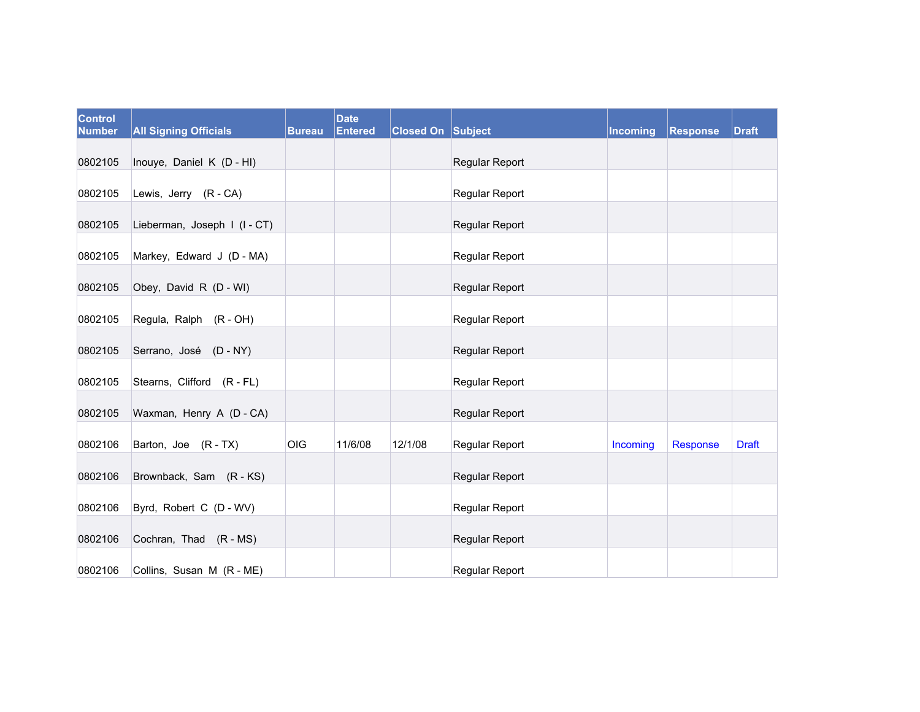| <b>Control</b><br><b>Number</b> | <b>All Signing Officials</b> | <b>Bureau</b> | <b>Date</b><br><b>Entered</b> | <b>Closed On Subject</b> |                | <b>Incoming</b> | <b>Response</b> | <b>Draft</b> |
|---------------------------------|------------------------------|---------------|-------------------------------|--------------------------|----------------|-----------------|-----------------|--------------|
| 0802105                         | Inouye, Daniel K (D - HI)    |               |                               |                          | Regular Report |                 |                 |              |
| 0802105                         | Lewis, Jerry (R - CA)        |               |                               |                          | Regular Report |                 |                 |              |
| 0802105                         | Lieberman, Joseph I (I-CT)   |               |                               |                          | Regular Report |                 |                 |              |
| 0802105                         | Markey, Edward J (D - MA)    |               |                               |                          | Regular Report |                 |                 |              |
| 0802105                         | Obey, David R (D - WI)       |               |                               |                          | Regular Report |                 |                 |              |
| 0802105                         | Regula, Ralph (R - OH)       |               |                               |                          | Regular Report |                 |                 |              |
| 0802105                         | Serrano, José (D - NY)       |               |                               |                          | Regular Report |                 |                 |              |
| 0802105                         | Stearns, Clifford (R - FL)   |               |                               |                          | Regular Report |                 |                 |              |
| 0802105                         | Waxman, Henry A (D - CA)     |               |                               |                          | Regular Report |                 |                 |              |
| 0802106                         | Barton, Joe (R-TX)           | OIG           | 11/6/08                       | 12/1/08                  | Regular Report | Incoming        | Response        | <b>Draft</b> |
| 0802106                         | Brownback, Sam (R-KS)        |               |                               |                          | Regular Report |                 |                 |              |
| 0802106                         | Byrd, Robert C (D - WV)      |               |                               |                          | Regular Report |                 |                 |              |
| 0802106                         | Cochran, Thad (R - MS)       |               |                               |                          | Regular Report |                 |                 |              |
| 0802106                         | Collins, Susan M (R - ME)    |               |                               |                          | Regular Report |                 |                 |              |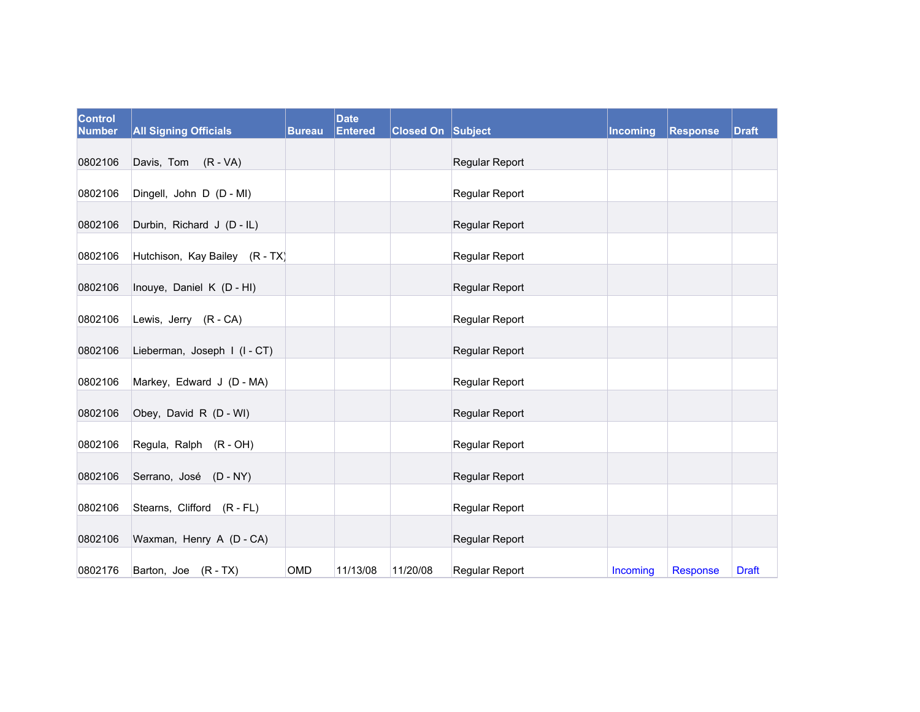| Control<br><b>Number</b> | <b>All Signing Officials</b>   | <b>Bureau</b> | <b>Date</b><br>Entered | <b>Closed On Subject</b> |                | Incoming | <b>Response</b> | <b>Draft</b> |
|--------------------------|--------------------------------|---------------|------------------------|--------------------------|----------------|----------|-----------------|--------------|
| 0802106                  | Davis, Tom (R - VA)            |               |                        |                          | Regular Report |          |                 |              |
| 0802106                  | Dingell, John D (D - MI)       |               |                        |                          | Regular Report |          |                 |              |
| 0802106                  | Durbin, Richard J (D - IL)     |               |                        |                          | Regular Report |          |                 |              |
| 0802106                  | Hutchison, Kay Bailey (R - TX) |               |                        |                          | Regular Report |          |                 |              |
| 0802106                  | Inouye, Daniel K (D - HI)      |               |                        |                          | Regular Report |          |                 |              |
| 0802106                  | Lewis, Jerry (R - CA)          |               |                        |                          | Regular Report |          |                 |              |
| 0802106                  | Lieberman, Joseph I (I-CT)     |               |                        |                          | Regular Report |          |                 |              |
| 0802106                  | Markey, Edward J (D - MA)      |               |                        |                          | Regular Report |          |                 |              |
| 0802106                  | Obey, David R (D - WI)         |               |                        |                          | Regular Report |          |                 |              |
| 0802106                  | Regula, Ralph (R - OH)         |               |                        |                          | Regular Report |          |                 |              |
| 0802106                  | Serrano, José (D - NY)         |               |                        |                          | Regular Report |          |                 |              |
| 0802106                  | Stearns, Clifford (R - FL)     |               |                        |                          | Regular Report |          |                 |              |
| 0802106                  | Waxman, Henry A (D - CA)       |               |                        |                          | Regular Report |          |                 |              |
| 0802176                  | Barton, Joe (R-TX)             | OMD           | 11/13/08               | 11/20/08                 | Regular Report | Incoming | Response        | <b>Draft</b> |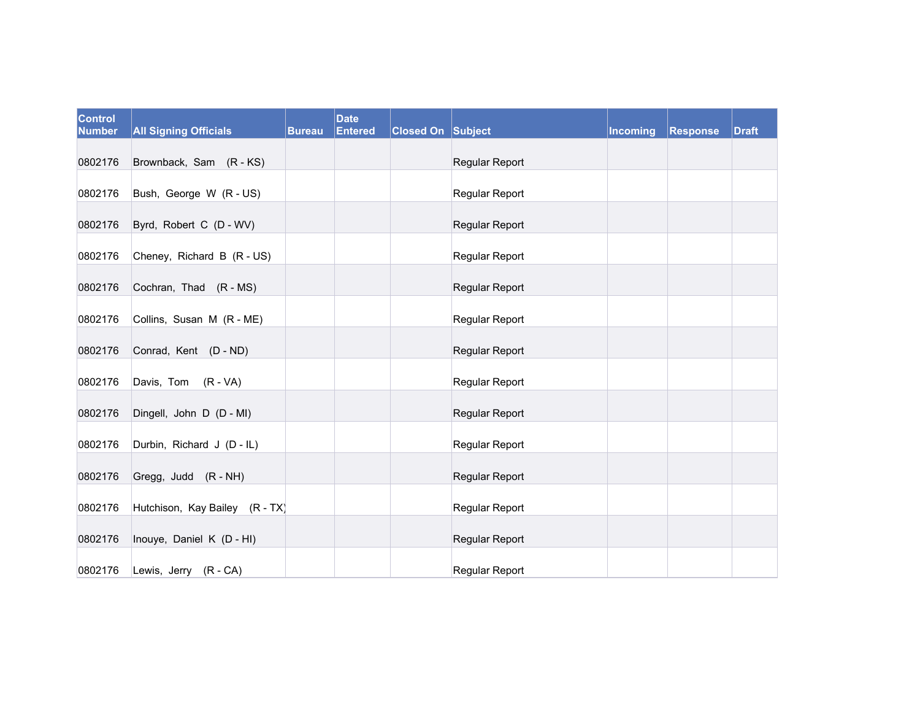| <b>Control</b><br><b>Number</b> | <b>All Signing Officials</b>   | <b>Bureau</b> | <b>Date</b><br><b>Entered</b> | <b>Closed On Subject</b> |                | Incoming | Response | <b>Draft</b> |
|---------------------------------|--------------------------------|---------------|-------------------------------|--------------------------|----------------|----------|----------|--------------|
| 0802176                         | Brownback, Sam (R-KS)          |               |                               |                          | Regular Report |          |          |              |
| 0802176                         | Bush, George W (R - US)        |               |                               |                          | Regular Report |          |          |              |
| 0802176                         | Byrd, Robert C (D - WV)        |               |                               |                          | Regular Report |          |          |              |
| 0802176                         | Cheney, Richard B (R - US)     |               |                               |                          | Regular Report |          |          |              |
| 0802176                         | Cochran, Thad (R - MS)         |               |                               |                          | Regular Report |          |          |              |
| 0802176                         | Collins, Susan M (R - ME)      |               |                               |                          | Regular Report |          |          |              |
| 0802176                         | Conrad, Kent (D - ND)          |               |                               |                          | Regular Report |          |          |              |
| 0802176                         | Davis, Tom (R - VA)            |               |                               |                          | Regular Report |          |          |              |
| 0802176                         | Dingell, John D (D - MI)       |               |                               |                          | Regular Report |          |          |              |
| 0802176                         | Durbin, Richard J (D - IL)     |               |                               |                          | Regular Report |          |          |              |
| 0802176                         | Gregg, Judd (R - NH)           |               |                               |                          | Regular Report |          |          |              |
| 0802176                         | Hutchison, Kay Bailey (R - TX) |               |                               |                          | Regular Report |          |          |              |
| 0802176                         | Inouye, Daniel K (D - HI)      |               |                               |                          | Regular Report |          |          |              |
| 0802176                         | Lewis, Jerry (R - CA)          |               |                               |                          | Regular Report |          |          |              |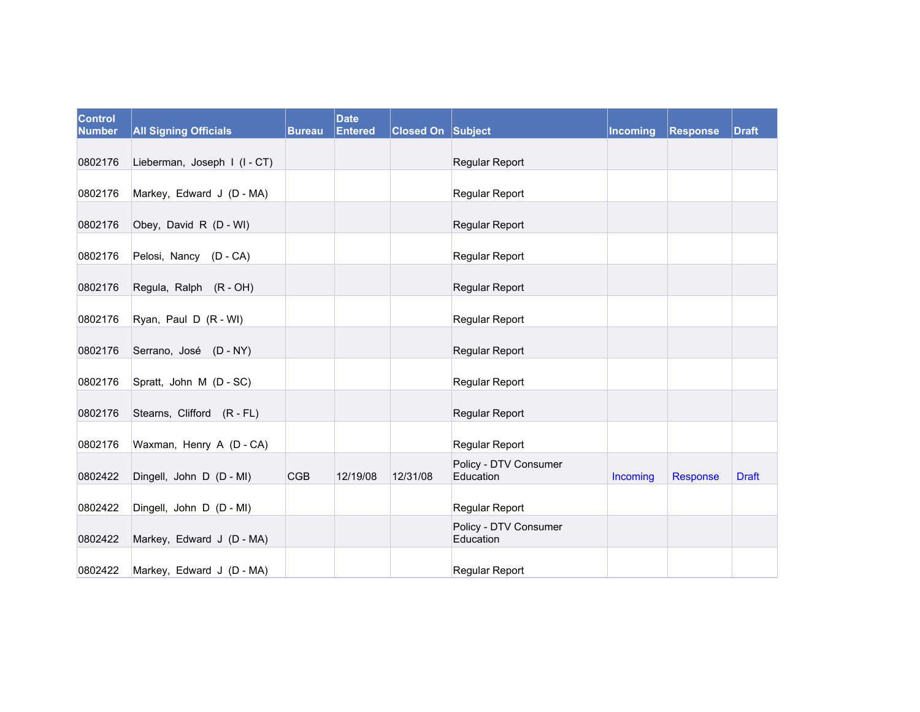| <b>Control</b><br><b>Number</b> | <b>All Signing Officials</b> | <b>Bureau</b> | <b>Date</b><br><b>Entered</b> | <b>Closed On Subject</b> |                                    | <b>Incoming</b> | Response | <b>Draft</b> |
|---------------------------------|------------------------------|---------------|-------------------------------|--------------------------|------------------------------------|-----------------|----------|--------------|
|                                 |                              |               |                               |                          |                                    |                 |          |              |
| 0802176                         | Lieberman, Joseph I (I - CT) |               |                               |                          | Regular Report                     |                 |          |              |
| 0802176                         | Markey, Edward J (D - MA)    |               |                               |                          | Regular Report                     |                 |          |              |
| 0802176                         | Obey, David R (D - WI)       |               |                               |                          | Regular Report                     |                 |          |              |
| 0802176                         | Pelosi, Nancy (D - CA)       |               |                               |                          | Regular Report                     |                 |          |              |
| 0802176                         | Regula, Ralph (R - OH)       |               |                               |                          | Regular Report                     |                 |          |              |
| 0802176                         | Ryan, Paul D (R - WI)        |               |                               |                          | Regular Report                     |                 |          |              |
| 0802176                         | Serrano, José (D - NY)       |               |                               |                          | Regular Report                     |                 |          |              |
| 0802176                         | Spratt, John M (D - SC)      |               |                               |                          | Regular Report                     |                 |          |              |
| 0802176                         | Stearns, Clifford (R - FL)   |               |                               |                          | Regular Report                     |                 |          |              |
| 0802176                         | Waxman, Henry A (D - CA)     |               |                               |                          | Regular Report                     |                 |          |              |
| 0802422                         | Dingell, John D (D - MI)     | <b>CGB</b>    | 12/19/08                      | 12/31/08                 | Policy - DTV Consumer<br>Education | Incoming        | Response | <b>Draft</b> |
| 0802422                         | Dingell, John D (D - MI)     |               |                               |                          | Regular Report                     |                 |          |              |
| 0802422                         | Markey, Edward J (D - MA)    |               |                               |                          | Policy - DTV Consumer<br>Education |                 |          |              |
| 0802422                         | Markey, Edward J (D - MA)    |               |                               |                          | Regular Report                     |                 |          |              |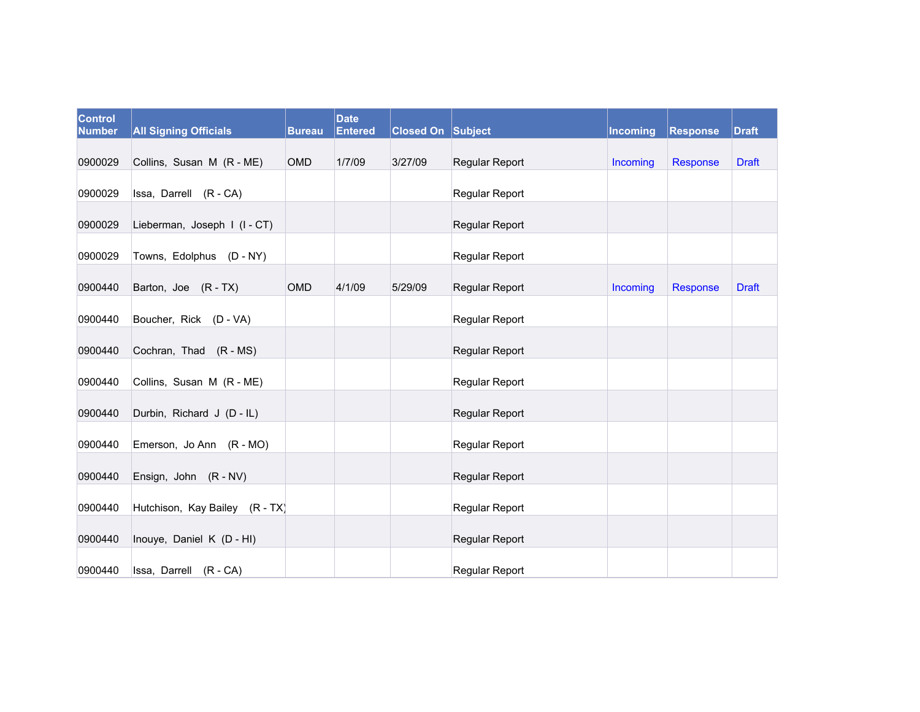| <b>Control</b><br><b>Number</b> | <b>All Signing Officials</b>   | <b>Bureau</b> | <b>Date</b><br><b>Entered</b> | <b>Closed On Subject</b> |                       | Incoming | <b>Response</b> | <b>Draft</b> |
|---------------------------------|--------------------------------|---------------|-------------------------------|--------------------------|-----------------------|----------|-----------------|--------------|
|                                 |                                |               |                               |                          |                       |          |                 |              |
| 0900029                         | Collins, Susan M (R - ME)      | <b>OMD</b>    | 1/7/09                        | 3/27/09                  | Regular Report        | Incoming | Response        | <b>Draft</b> |
| 0900029                         | Issa, Darrell (R - CA)         |               |                               |                          | Regular Report        |          |                 |              |
| 0900029                         | Lieberman, Joseph I (I-CT)     |               |                               |                          | Regular Report        |          |                 |              |
| 0900029                         | Towns, Edolphus (D - NY)       |               |                               |                          | Regular Report        |          |                 |              |
| 0900440                         | Barton, Joe (R - TX)           | OMD           | 4/1/09                        | 5/29/09                  | Regular Report        | Incoming | Response        | <b>Draft</b> |
| 0900440                         | Boucher, Rick (D - VA)         |               |                               |                          | <b>Regular Report</b> |          |                 |              |
| 0900440                         | Cochran, Thad (R - MS)         |               |                               |                          | Regular Report        |          |                 |              |
| 0900440                         | Collins, Susan M (R - ME)      |               |                               |                          | Regular Report        |          |                 |              |
| 0900440                         | Durbin, Richard J (D - IL)     |               |                               |                          | Regular Report        |          |                 |              |
| 0900440                         | Emerson, Jo Ann (R - MO)       |               |                               |                          | Regular Report        |          |                 |              |
| 0900440                         | Ensign, John (R - NV)          |               |                               |                          | Regular Report        |          |                 |              |
| 0900440                         | Hutchison, Kay Bailey (R - TX) |               |                               |                          | Regular Report        |          |                 |              |
| 0900440                         | Inouye, Daniel K (D - HI)      |               |                               |                          | <b>Regular Report</b> |          |                 |              |
| 0900440                         | Issa, Darrell (R - CA)         |               |                               |                          | Regular Report        |          |                 |              |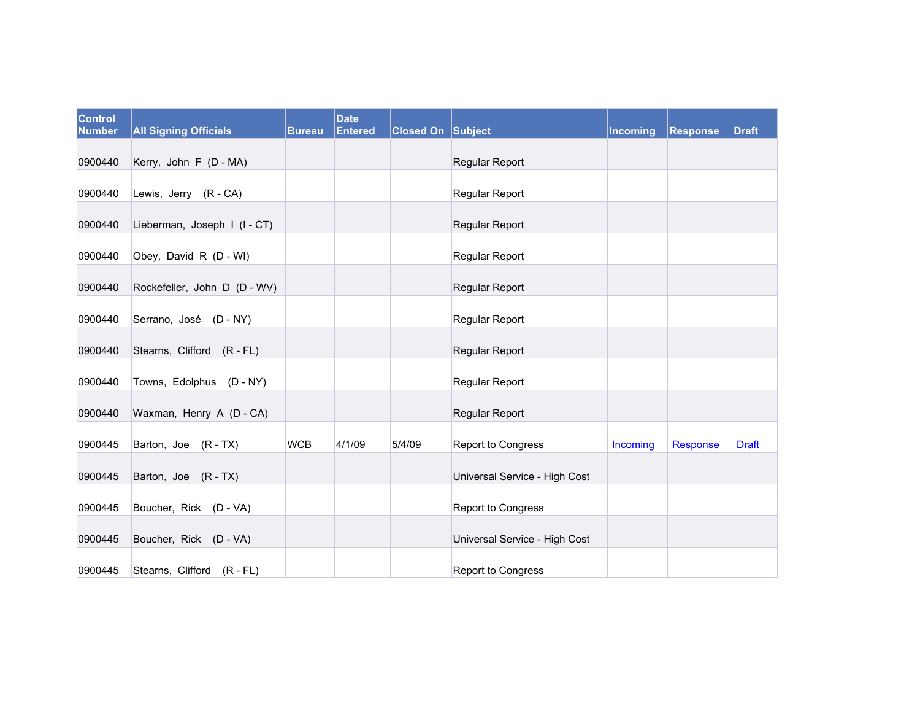| <b>Control</b><br><b>Number</b> | <b>All Signing Officials</b> | <b>Bureau</b> | <b>Date</b><br><b>Entered</b> | <b>Closed On Subject</b> |                               | <b>Incoming</b> | <b>Response</b> | <b>Draft</b> |
|---------------------------------|------------------------------|---------------|-------------------------------|--------------------------|-------------------------------|-----------------|-----------------|--------------|
| 0900440                         | Kerry, John F (D - MA)       |               |                               |                          | Regular Report                |                 |                 |              |
| 0900440                         | Lewis, Jerry (R - CA)        |               |                               |                          | Regular Report                |                 |                 |              |
| 0900440                         | Lieberman, Joseph I (I-CT)   |               |                               |                          | Regular Report                |                 |                 |              |
| 0900440                         | Obey, David R (D - WI)       |               |                               |                          | Regular Report                |                 |                 |              |
| 0900440                         | Rockefeller, John D (D - WV) |               |                               |                          | Regular Report                |                 |                 |              |
| 0900440                         | Serrano, José (D - NY)       |               |                               |                          | Regular Report                |                 |                 |              |
| 0900440                         | Stearns, Clifford (R - FL)   |               |                               |                          | Regular Report                |                 |                 |              |
| 0900440                         | Towns, Edolphus (D - NY)     |               |                               |                          | Regular Report                |                 |                 |              |
| 0900440                         | Waxman, Henry A (D - CA)     |               |                               |                          | Regular Report                |                 |                 |              |
| 0900445                         | Barton, Joe (R-TX)           | <b>WCB</b>    | 4/1/09                        | 5/4/09                   | Report to Congress            | Incoming        | Response        | <b>Draft</b> |
| 0900445                         | Barton, Joe (R-TX)           |               |                               |                          | Universal Service - High Cost |                 |                 |              |
| 0900445                         | Boucher, Rick (D - VA)       |               |                               |                          | Report to Congress            |                 |                 |              |
| 0900445                         | Boucher, Rick (D - VA)       |               |                               |                          | Universal Service - High Cost |                 |                 |              |
| 0900445                         | Stearns, Clifford (R - FL)   |               |                               |                          | Report to Congress            |                 |                 |              |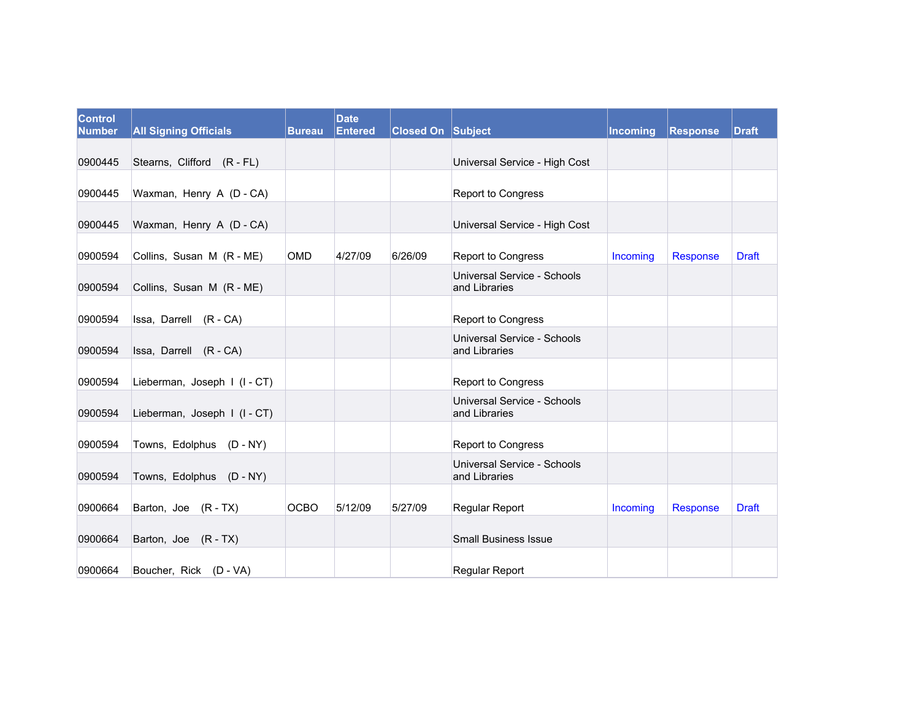| <b>Control</b><br><b>Number</b> | <b>All Signing Officials</b> | <b>Bureau</b> | <b>Date</b><br><b>Entered</b> | <b>Closed On Subject</b> |                                              | <b>Incoming</b> | Response | <b>Draft</b> |
|---------------------------------|------------------------------|---------------|-------------------------------|--------------------------|----------------------------------------------|-----------------|----------|--------------|
| 0900445                         | Stearns, Clifford (R - FL)   |               |                               |                          | Universal Service - High Cost                |                 |          |              |
|                                 |                              |               |                               |                          |                                              |                 |          |              |
| 0900445                         | Waxman, Henry A (D - CA)     |               |                               |                          | Report to Congress                           |                 |          |              |
| 0900445                         | Waxman, Henry A (D - CA)     |               |                               |                          | Universal Service - High Cost                |                 |          |              |
| 0900594                         | Collins, Susan M (R - ME)    | <b>OMD</b>    | 4/27/09                       | 6/26/09                  | Report to Congress                           | Incoming        | Response | <b>Draft</b> |
| 0900594                         | Collins, Susan M (R - ME)    |               |                               |                          | Universal Service - Schools<br>and Libraries |                 |          |              |
| 0900594                         | Issa, Darrell (R - CA)       |               |                               |                          | Report to Congress                           |                 |          |              |
| 0900594                         | Issa, Darrell (R - CA)       |               |                               |                          | Universal Service - Schools<br>and Libraries |                 |          |              |
| 0900594                         | Lieberman, Joseph I (I - CT) |               |                               |                          | Report to Congress                           |                 |          |              |
| 0900594                         | Lieberman, Joseph I (I-CT)   |               |                               |                          | Universal Service - Schools<br>and Libraries |                 |          |              |
| 0900594                         | Towns, Edolphus (D - NY)     |               |                               |                          | Report to Congress                           |                 |          |              |
| 0900594                         | Towns, Edolphus (D - NY)     |               |                               |                          | Universal Service - Schools<br>and Libraries |                 |          |              |
| 0900664                         | Barton, Joe (R-TX)           | <b>OCBO</b>   | 5/12/09                       | 5/27/09                  | Regular Report                               | Incoming        | Response | <b>Draft</b> |
| 0900664                         | Barton, Joe (R-TX)           |               |                               |                          | <b>Small Business Issue</b>                  |                 |          |              |
| 0900664                         | Boucher, Rick (D - VA)       |               |                               |                          | Regular Report                               |                 |          |              |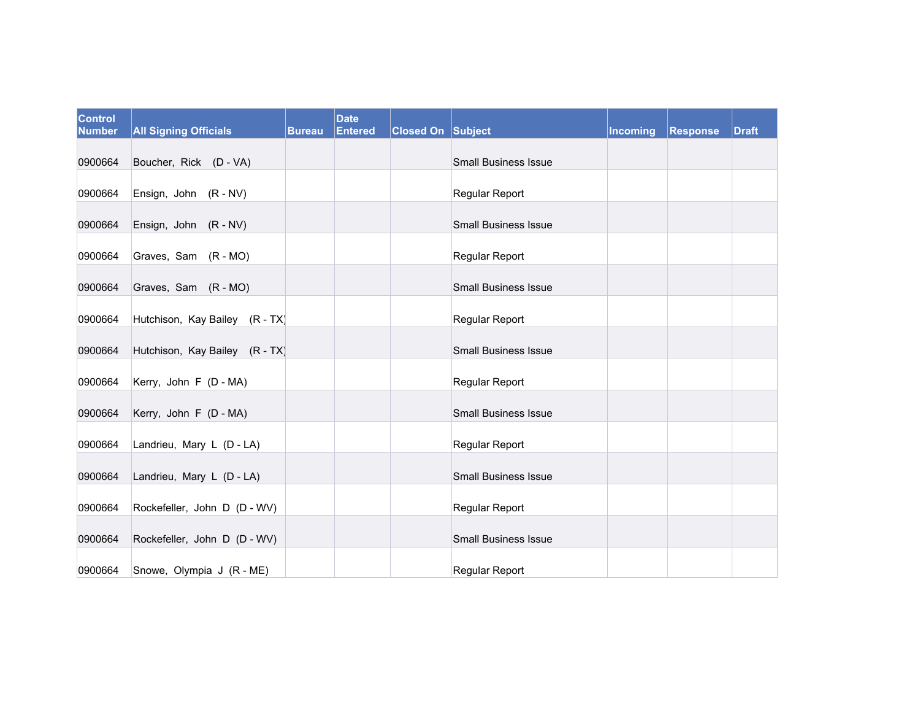| <b>Control</b><br><b>Number</b> | <b>All Signing Officials</b>   | <b>Bureau</b> | <b>Date</b><br><b>Entered</b> | <b>Closed On Subject</b> |                             | Incoming | <b>Response</b> | <b>Draft</b> |
|---------------------------------|--------------------------------|---------------|-------------------------------|--------------------------|-----------------------------|----------|-----------------|--------------|
| 0900664                         | Boucher, Rick (D - VA)         |               |                               |                          | <b>Small Business Issue</b> |          |                 |              |
| 0900664                         | Ensign, John (R - NV)          |               |                               |                          | <b>Regular Report</b>       |          |                 |              |
| 0900664                         | Ensign, John (R - NV)          |               |                               |                          | <b>Small Business Issue</b> |          |                 |              |
| 0900664                         | Graves, Sam (R - MO)           |               |                               |                          | <b>Regular Report</b>       |          |                 |              |
| 0900664                         | Graves, Sam (R - MO)           |               |                               |                          | <b>Small Business Issue</b> |          |                 |              |
| 0900664                         | Hutchison, Kay Bailey (R - TX) |               |                               |                          | Regular Report              |          |                 |              |
| 0900664                         | Hutchison, Kay Bailey (R - TX) |               |                               |                          | <b>Small Business Issue</b> |          |                 |              |
| 0900664                         | Kerry, John F (D - MA)         |               |                               |                          | Regular Report              |          |                 |              |
| 0900664                         | Kerry, John F (D - MA)         |               |                               |                          | <b>Small Business Issue</b> |          |                 |              |
| 0900664                         | Landrieu, Mary L (D - LA)      |               |                               |                          | Regular Report              |          |                 |              |
| 0900664                         | Landrieu, Mary L (D - LA)      |               |                               |                          | <b>Small Business Issue</b> |          |                 |              |
| 0900664                         | Rockefeller, John D (D - WV)   |               |                               |                          | Regular Report              |          |                 |              |
| 0900664                         | Rockefeller, John D (D - WV)   |               |                               |                          | <b>Small Business Issue</b> |          |                 |              |
| 0900664                         | Snowe, Olympia J (R - ME)      |               |                               |                          | Regular Report              |          |                 |              |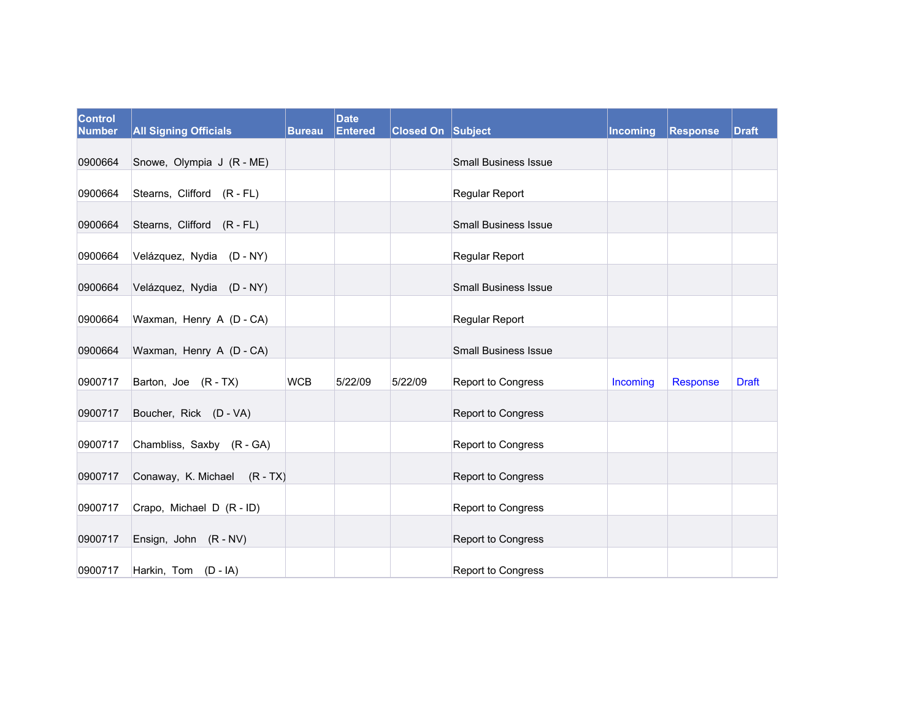| <b>Control</b><br><b>Number</b> | <b>All Signing Officials</b> | <b>Bureau</b> | <b>Date</b><br><b>Entered</b> | <b>Closed On Subject</b> |                             | Incoming | Response | <b>Draft</b> |
|---------------------------------|------------------------------|---------------|-------------------------------|--------------------------|-----------------------------|----------|----------|--------------|
| 0900664                         | Snowe, Olympia J (R - ME)    |               |                               |                          | <b>Small Business Issue</b> |          |          |              |
| 0900664                         | Stearns, Clifford (R - FL)   |               |                               |                          | Regular Report              |          |          |              |
| 0900664                         | Stearns, Clifford (R - FL)   |               |                               |                          | <b>Small Business Issue</b> |          |          |              |
| 0900664                         | Velázquez, Nydia (D-NY)      |               |                               |                          | <b>Regular Report</b>       |          |          |              |
| 0900664                         | Velázquez, Nydia (D - NY)    |               |                               |                          | <b>Small Business Issue</b> |          |          |              |
| 0900664                         | Waxman, Henry A (D - CA)     |               |                               |                          | Regular Report              |          |          |              |
| 0900664                         | Waxman, Henry A (D - CA)     |               |                               |                          | <b>Small Business Issue</b> |          |          |              |
| 0900717                         | Barton, Joe (R-TX)           | <b>WCB</b>    | 5/22/09                       | 5/22/09                  | Report to Congress          | Incoming | Response | <b>Draft</b> |
| 0900717                         | Boucher, Rick (D - VA)       |               |                               |                          | Report to Congress          |          |          |              |
| 0900717                         | Chambliss, Saxby (R - GA)    |               |                               |                          | Report to Congress          |          |          |              |
| 0900717                         | Conaway, K. Michael (R - TX) |               |                               |                          | Report to Congress          |          |          |              |
| 0900717                         | Crapo, Michael D (R - ID)    |               |                               |                          | Report to Congress          |          |          |              |
| 0900717                         | Ensign, John (R - NV)        |               |                               |                          | Report to Congress          |          |          |              |
| 0900717                         | Harkin, Tom (D - IA)         |               |                               |                          | Report to Congress          |          |          |              |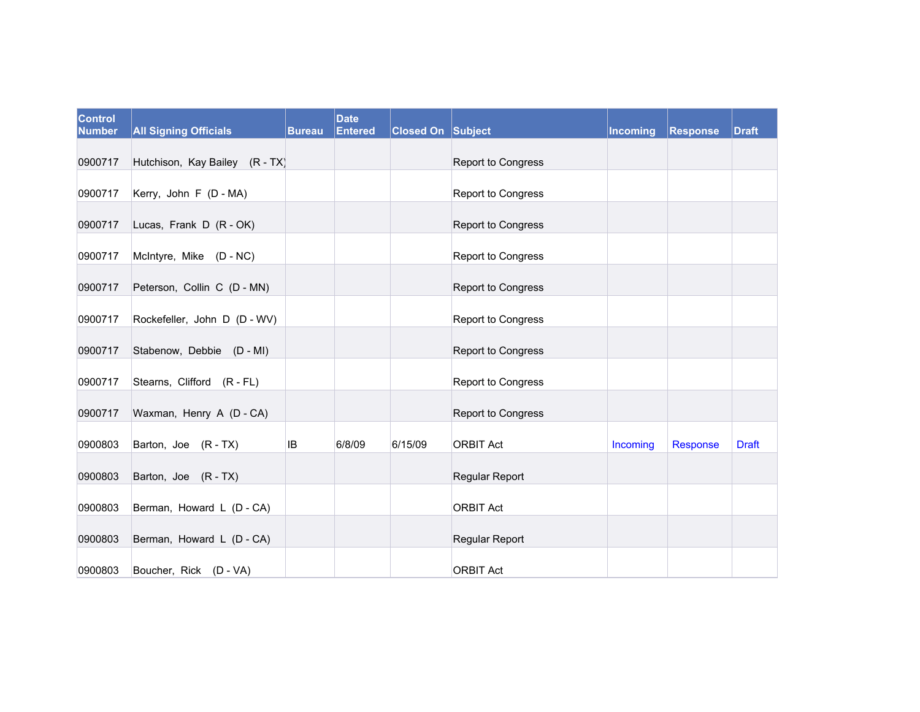| Control<br><b>Number</b> | <b>All Signing Officials</b>   | <b>Bureau</b> | <b>Date</b><br><b>Entered</b> | <b>Closed On Subject</b> |                           | Incoming | Response | <b>Draft</b> |
|--------------------------|--------------------------------|---------------|-------------------------------|--------------------------|---------------------------|----------|----------|--------------|
|                          |                                |               |                               |                          |                           |          |          |              |
| 0900717                  | Hutchison, Kay Bailey (R - TX) |               |                               |                          | Report to Congress        |          |          |              |
| 0900717                  | Kerry, John F (D - MA)         |               |                               |                          | Report to Congress        |          |          |              |
| 0900717                  | Lucas, Frank D (R - OK)        |               |                               |                          | Report to Congress        |          |          |              |
| 0900717                  | McIntyre, Mike (D - NC)        |               |                               |                          | <b>Report to Congress</b> |          |          |              |
| 0900717                  | Peterson, Collin C (D - MN)    |               |                               |                          | Report to Congress        |          |          |              |
| 0900717                  | Rockefeller, John D (D - WV)   |               |                               |                          | Report to Congress        |          |          |              |
| 0900717                  | Stabenow, Debbie (D - MI)      |               |                               |                          | Report to Congress        |          |          |              |
| 0900717                  | Stearns, Clifford (R - FL)     |               |                               |                          | Report to Congress        |          |          |              |
| 0900717                  | Waxman, Henry A (D - CA)       |               |                               |                          | Report to Congress        |          |          |              |
| 0900803                  | Barton, Joe (R-TX)             | <b>IB</b>     | 6/8/09                        | 6/15/09                  | <b>ORBIT Act</b>          | Incoming | Response | <b>Draft</b> |
| 0900803                  | Barton, Joe (R-TX)             |               |                               |                          | Regular Report            |          |          |              |
| 0900803                  | Berman, Howard L (D - CA)      |               |                               |                          | <b>ORBIT Act</b>          |          |          |              |
| 0900803                  | Berman, Howard L (D - CA)      |               |                               |                          | Regular Report            |          |          |              |
| 0900803                  | Boucher, Rick (D - VA)         |               |                               |                          | <b>ORBIT Act</b>          |          |          |              |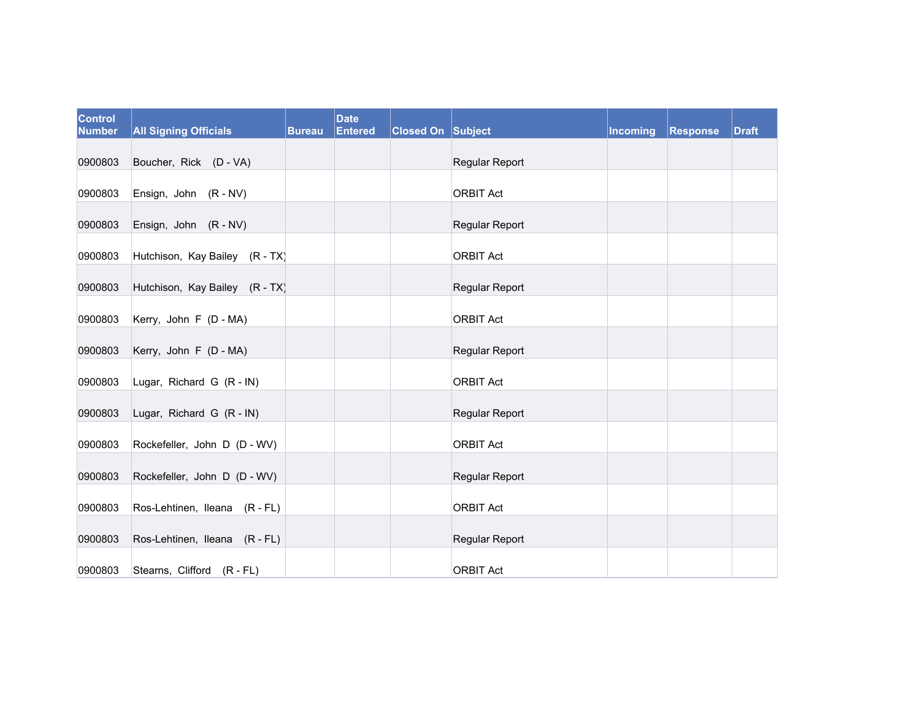| <b>Control</b><br><b>Number</b> | <b>All Signing Officials</b>   | <b>Bureau</b> | <b>Date</b><br><b>Entered</b> | <b>Closed On Subject</b> |                       | Incoming | Response | <b>Draft</b> |
|---------------------------------|--------------------------------|---------------|-------------------------------|--------------------------|-----------------------|----------|----------|--------------|
| 0900803                         | Boucher, Rick (D - VA)         |               |                               |                          | Regular Report        |          |          |              |
| 0900803                         | Ensign, John (R - NV)          |               |                               |                          | <b>ORBIT Act</b>      |          |          |              |
| 0900803                         | Ensign, John (R - NV)          |               |                               |                          | Regular Report        |          |          |              |
| 0900803                         | Hutchison, Kay Bailey (R - TX) |               |                               |                          | <b>ORBIT Act</b>      |          |          |              |
| 0900803                         | Hutchison, Kay Bailey (R - TX) |               |                               |                          | <b>Regular Report</b> |          |          |              |
| 0900803                         | Kerry, John F (D - MA)         |               |                               |                          | <b>ORBIT Act</b>      |          |          |              |
| 0900803                         | Kerry, John F (D - MA)         |               |                               |                          | Regular Report        |          |          |              |
| 0900803                         | Lugar, Richard G (R - IN)      |               |                               |                          | <b>ORBIT Act</b>      |          |          |              |
| 0900803                         | Lugar, Richard G (R - IN)      |               |                               |                          | Regular Report        |          |          |              |
| 0900803                         | Rockefeller, John D (D - WV)   |               |                               |                          | <b>ORBIT Act</b>      |          |          |              |
| 0900803                         | Rockefeller, John D (D - WV)   |               |                               |                          | Regular Report        |          |          |              |
| 0900803                         | Ros-Lehtinen, Ileana (R - FL)  |               |                               |                          | <b>ORBIT Act</b>      |          |          |              |
| 0900803                         | Ros-Lehtinen, Ileana (R - FL)  |               |                               |                          | Regular Report        |          |          |              |
| 0900803                         | Stearns, Clifford (R - FL)     |               |                               |                          | <b>ORBIT Act</b>      |          |          |              |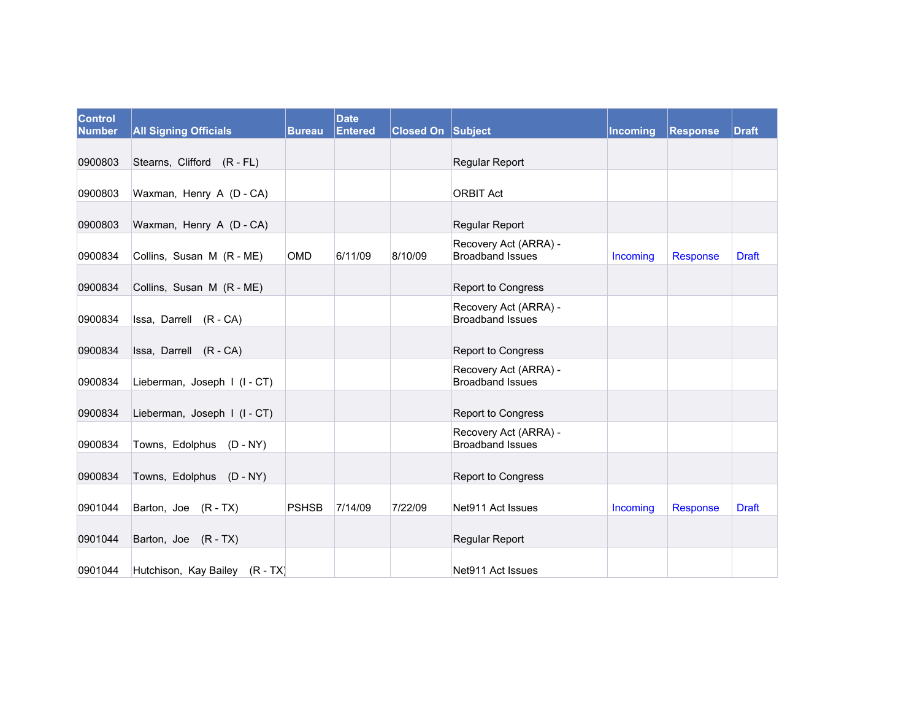| Control<br><b>Number</b> | <b>All Signing Officials</b>   | <b>Bureau</b> | <b>Date</b><br><b>Entered</b> | <b>Closed On Subject</b> |                                                  | Incoming | Response | <b>Draft</b> |
|--------------------------|--------------------------------|---------------|-------------------------------|--------------------------|--------------------------------------------------|----------|----------|--------------|
| 0900803                  | Stearns, Clifford (R - FL)     |               |                               |                          | Regular Report                                   |          |          |              |
|                          |                                |               |                               |                          |                                                  |          |          |              |
| 0900803                  | Waxman, Henry A (D - CA)       |               |                               |                          | <b>ORBIT Act</b>                                 |          |          |              |
| 0900803                  | Waxman, Henry A (D - CA)       |               |                               |                          | <b>Regular Report</b>                            |          |          |              |
| 0900834                  | Collins, Susan M (R - ME)      | <b>OMD</b>    | 6/11/09                       | 8/10/09                  | Recovery Act (ARRA) -<br><b>Broadband Issues</b> | Incoming | Response | <b>Draft</b> |
| 0900834                  | Collins, Susan M (R - ME)      |               |                               |                          | <b>Report to Congress</b>                        |          |          |              |
| 0900834                  | Issa, Darrell (R - CA)         |               |                               |                          | Recovery Act (ARRA) -<br><b>Broadband Issues</b> |          |          |              |
| 0900834                  | Issa, Darrell (R - CA)         |               |                               |                          | Report to Congress                               |          |          |              |
| 0900834                  | Lieberman, Joseph I (I-CT)     |               |                               |                          | Recovery Act (ARRA) -<br><b>Broadband Issues</b> |          |          |              |
| 0900834                  | Lieberman, Joseph I (I - CT)   |               |                               |                          | <b>Report to Congress</b>                        |          |          |              |
| 0900834                  | Towns, Edolphus (D - NY)       |               |                               |                          | Recovery Act (ARRA) -<br><b>Broadband Issues</b> |          |          |              |
| 0900834                  | Towns, Edolphus (D - NY)       |               |                               |                          | Report to Congress                               |          |          |              |
| 0901044                  | Barton, Joe (R-TX)             | <b>PSHSB</b>  | 7/14/09                       | 7/22/09                  | Net911 Act Issues                                | Incoming | Response | <b>Draft</b> |
| 0901044                  | Barton, Joe (R-TX)             |               |                               |                          | <b>Regular Report</b>                            |          |          |              |
| 0901044                  | Hutchison, Kay Bailey (R - TX) |               |                               |                          | Net911 Act Issues                                |          |          |              |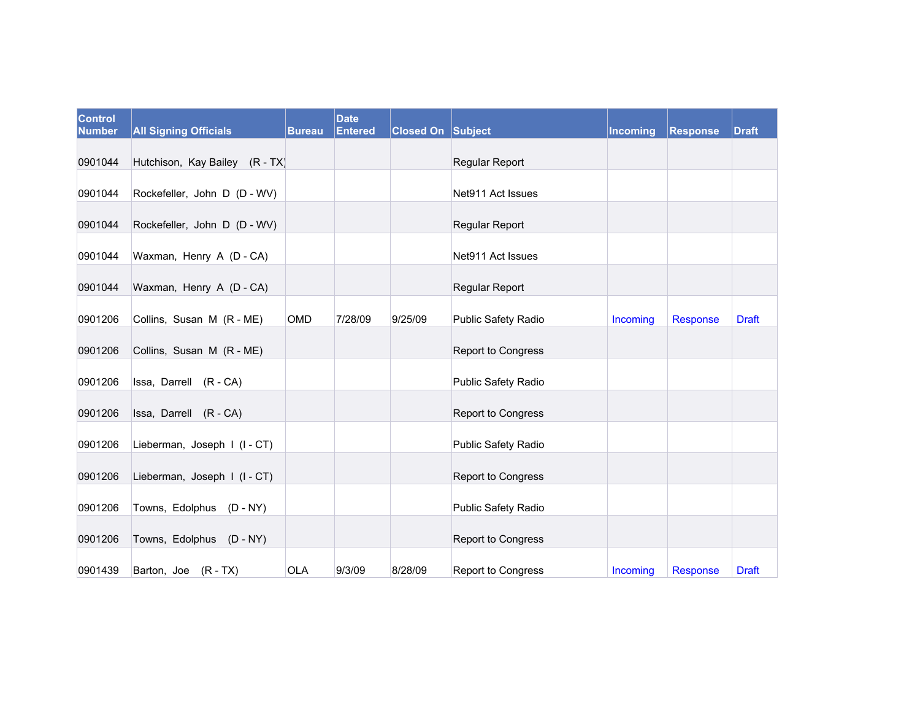| <b>Control</b><br><b>Number</b> | <b>All Signing Officials</b>   | <b>Bureau</b> | <b>Date</b><br><b>Entered</b> | <b>Closed On Subject</b> |                            | Incoming | Response | <b>Draft</b> |
|---------------------------------|--------------------------------|---------------|-------------------------------|--------------------------|----------------------------|----------|----------|--------------|
| 0901044                         | Hutchison, Kay Bailey (R - TX) |               |                               |                          | <b>Regular Report</b>      |          |          |              |
| 0901044                         | Rockefeller, John D (D - WV)   |               |                               |                          | Net911 Act Issues          |          |          |              |
| 0901044                         | Rockefeller, John D (D - WV)   |               |                               |                          | Regular Report             |          |          |              |
| 0901044                         | Waxman, Henry A (D - CA)       |               |                               |                          | Net911 Act Issues          |          |          |              |
| 0901044                         | Waxman, Henry A (D - CA)       |               |                               |                          | Regular Report             |          |          |              |
| 0901206                         | Collins, Susan M (R - ME)      | <b>OMD</b>    | 7/28/09                       | 9/25/09                  | <b>Public Safety Radio</b> | Incoming | Response | <b>Draft</b> |
| 0901206                         | Collins, Susan M (R - ME)      |               |                               |                          | Report to Congress         |          |          |              |
| 0901206                         | Issa, Darrell (R - CA)         |               |                               |                          | <b>Public Safety Radio</b> |          |          |              |
| 0901206                         | Issa, Darrell (R - CA)         |               |                               |                          | Report to Congress         |          |          |              |
| 0901206                         | Lieberman, Joseph I (I - CT)   |               |                               |                          | <b>Public Safety Radio</b> |          |          |              |
| 0901206                         | Lieberman, Joseph I (I - CT)   |               |                               |                          | Report to Congress         |          |          |              |
| 0901206                         | Towns, Edolphus (D - NY)       |               |                               |                          | Public Safety Radio        |          |          |              |
| 0901206                         | Towns, Edolphus (D - NY)       |               |                               |                          | Report to Congress         |          |          |              |
| 0901439                         | Barton, Joe (R - TX)           | <b>OLA</b>    | 9/3/09                        | 8/28/09                  | <b>Report to Congress</b>  | Incoming | Response | <b>Draft</b> |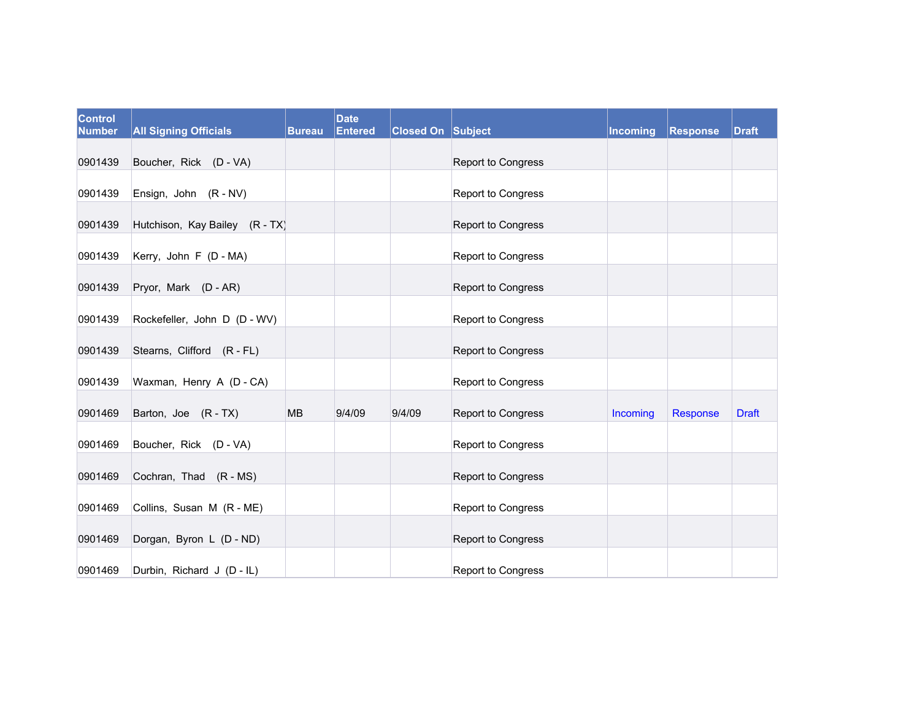| <b>Control</b><br><b>Number</b> | <b>All Signing Officials</b>   | <b>Bureau</b> | <b>Date</b><br><b>Entered</b> | <b>Closed On Subject</b> |                           | Incoming | <b>Response</b> | <b>Draft</b> |
|---------------------------------|--------------------------------|---------------|-------------------------------|--------------------------|---------------------------|----------|-----------------|--------------|
| 0901439                         | Boucher, Rick (D - VA)         |               |                               |                          | Report to Congress        |          |                 |              |
| 0901439                         | Ensign, John (R - NV)          |               |                               |                          | <b>Report to Congress</b> |          |                 |              |
| 0901439                         | Hutchison, Kay Bailey (R - TX) |               |                               |                          | Report to Congress        |          |                 |              |
| 0901439                         | Kerry, John F (D - MA)         |               |                               |                          | Report to Congress        |          |                 |              |
| 0901439                         | Pryor, Mark (D - AR)           |               |                               |                          | Report to Congress        |          |                 |              |
| 0901439                         | Rockefeller, John D (D - WV)   |               |                               |                          | Report to Congress        |          |                 |              |
| 0901439                         | Stearns, Clifford (R - FL)     |               |                               |                          | Report to Congress        |          |                 |              |
| 0901439                         | Waxman, Henry A (D - CA)       |               |                               |                          | <b>Report to Congress</b> |          |                 |              |
| 0901469                         | Barton, Joe (R-TX)             | <b>MB</b>     | 9/4/09                        | 9/4/09                   | <b>Report to Congress</b> | Incoming | Response        | <b>Draft</b> |
| 0901469                         | Boucher, Rick (D - VA)         |               |                               |                          | Report to Congress        |          |                 |              |
| 0901469                         | Cochran, Thad (R - MS)         |               |                               |                          | Report to Congress        |          |                 |              |
| 0901469                         | Collins, Susan M (R - ME)      |               |                               |                          | Report to Congress        |          |                 |              |
| 0901469                         | Dorgan, Byron L (D - ND)       |               |                               |                          | Report to Congress        |          |                 |              |
| 0901469                         | Durbin, Richard J (D - IL)     |               |                               |                          | Report to Congress        |          |                 |              |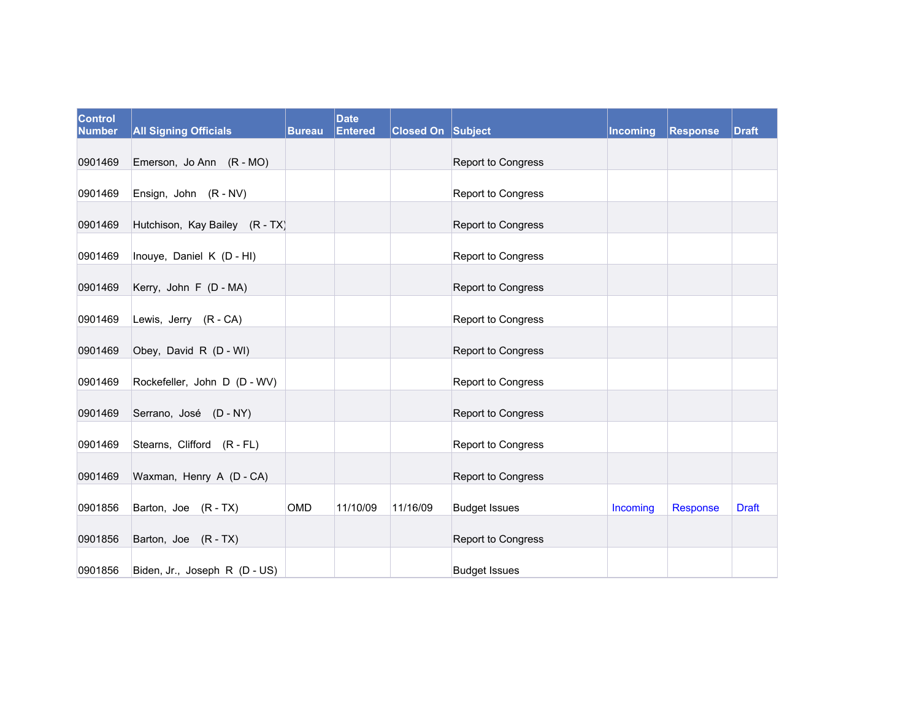| <b>Control</b><br><b>Number</b> | <b>All Signing Officials</b>   | <b>Bureau</b> | <b>Date</b><br>Entered | <b>Closed On Subject</b> |                           | Incoming | <b>Response</b> | <b>Draft</b> |
|---------------------------------|--------------------------------|---------------|------------------------|--------------------------|---------------------------|----------|-----------------|--------------|
| 0901469                         | Emerson, Jo Ann (R - MO)       |               |                        |                          | Report to Congress        |          |                 |              |
| 0901469                         | Ensign, John (R - NV)          |               |                        |                          | <b>Report to Congress</b> |          |                 |              |
| 0901469                         | Hutchison, Kay Bailey (R - TX) |               |                        |                          | Report to Congress        |          |                 |              |
| 0901469                         | Inouye, Daniel K (D - HI)      |               |                        |                          | <b>Report to Congress</b> |          |                 |              |
| 0901469                         | Kerry, John F (D - MA)         |               |                        |                          | Report to Congress        |          |                 |              |
| 0901469                         | Lewis, Jerry (R - CA)          |               |                        |                          | <b>Report to Congress</b> |          |                 |              |
| 0901469                         | Obey, David R (D - WI)         |               |                        |                          | Report to Congress        |          |                 |              |
| 0901469                         | Rockefeller, John D (D - WV)   |               |                        |                          | <b>Report to Congress</b> |          |                 |              |
| 0901469                         | Serrano, José (D - NY)         |               |                        |                          | Report to Congress        |          |                 |              |
| 0901469                         | Stearns, Clifford (R - FL)     |               |                        |                          | Report to Congress        |          |                 |              |
| 0901469                         | Waxman, Henry A (D - CA)       |               |                        |                          | Report to Congress        |          |                 |              |
| 0901856                         | Barton, Joe (R-TX)             | <b>OMD</b>    | 11/10/09               | 11/16/09                 | <b>Budget Issues</b>      | Incoming | <b>Response</b> | <b>Draft</b> |
| 0901856                         | Barton, Joe (R-TX)             |               |                        |                          | Report to Congress        |          |                 |              |
| 0901856                         | Biden, Jr., Joseph R (D - US)  |               |                        |                          | <b>Budget Issues</b>      |          |                 |              |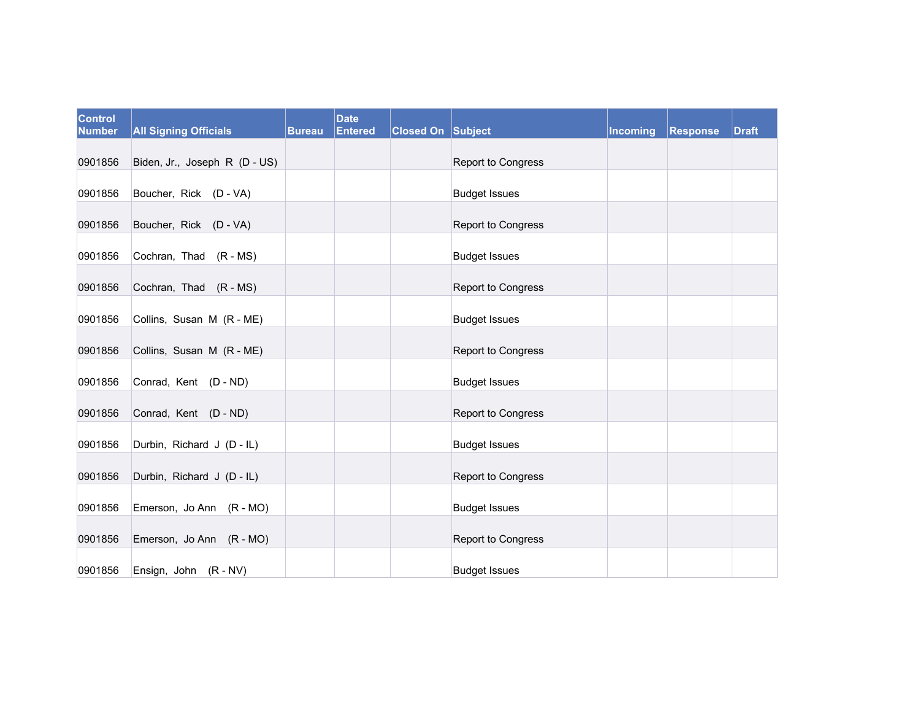| <b>Control</b><br><b>Number</b> | <b>All Signing Officials</b>  | <b>Bureau</b> | <b>Date</b><br><b>Entered</b> | Closed On Subject |                      | Incoming | <b>Response</b> | <b>Draft</b> |
|---------------------------------|-------------------------------|---------------|-------------------------------|-------------------|----------------------|----------|-----------------|--------------|
| 0901856                         | Biden, Jr., Joseph R (D - US) |               |                               |                   | Report to Congress   |          |                 |              |
| 0901856                         | Boucher, Rick (D - VA)        |               |                               |                   | <b>Budget Issues</b> |          |                 |              |
| 0901856                         | Boucher, Rick (D - VA)        |               |                               |                   | Report to Congress   |          |                 |              |
| 0901856                         | Cochran, Thad (R - MS)        |               |                               |                   | <b>Budget Issues</b> |          |                 |              |
| 0901856                         | Cochran, Thad (R - MS)        |               |                               |                   | Report to Congress   |          |                 |              |
| 0901856                         | Collins, Susan M (R - ME)     |               |                               |                   | <b>Budget Issues</b> |          |                 |              |
| 0901856                         | Collins, Susan M (R - ME)     |               |                               |                   | Report to Congress   |          |                 |              |
| 0901856                         | Conrad, Kent (D - ND)         |               |                               |                   | <b>Budget Issues</b> |          |                 |              |
| 0901856                         | Conrad, Kent (D - ND)         |               |                               |                   | Report to Congress   |          |                 |              |
| 0901856                         | Durbin, Richard J (D - IL)    |               |                               |                   | <b>Budget Issues</b> |          |                 |              |
| 0901856                         | Durbin, Richard J (D - IL)    |               |                               |                   | Report to Congress   |          |                 |              |
| 0901856                         | Emerson, Jo Ann (R - MO)      |               |                               |                   | <b>Budget Issues</b> |          |                 |              |
| 0901856                         | Emerson, Jo Ann (R - MO)      |               |                               |                   | Report to Congress   |          |                 |              |
| 0901856                         | Ensign, John (R - NV)         |               |                               |                   | <b>Budget Issues</b> |          |                 |              |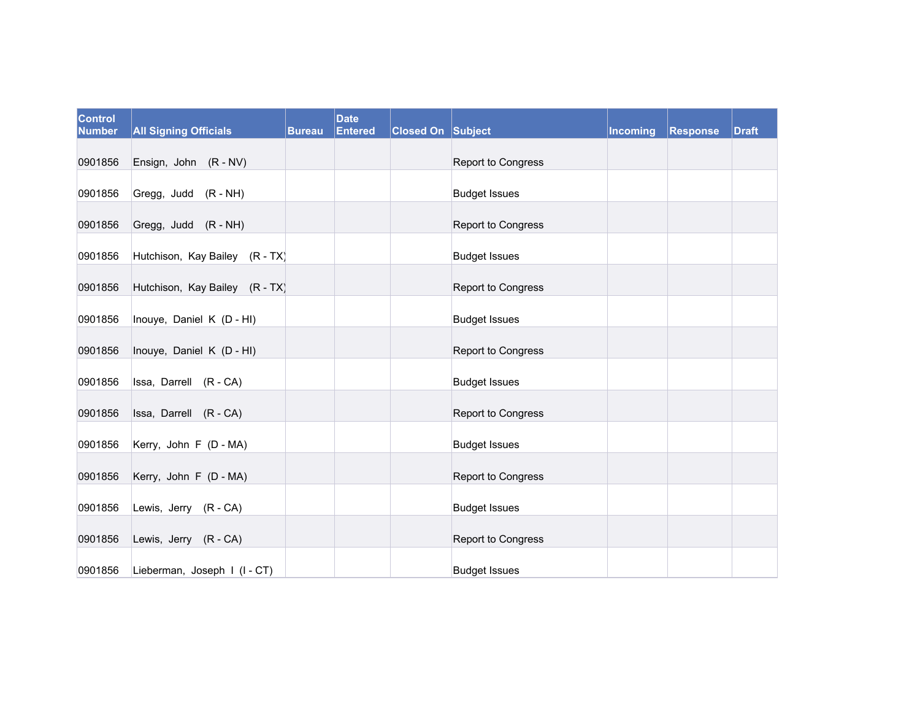| <b>Control</b><br><b>Number</b> | <b>All Signing Officials</b>   | <b>Bureau</b> | <b>Date</b><br><b>Entered</b> | Closed On Subject |                      | Incoming | <b>Response</b> | <b>Draft</b> |
|---------------------------------|--------------------------------|---------------|-------------------------------|-------------------|----------------------|----------|-----------------|--------------|
| 0901856                         | Ensign, John (R - NV)          |               |                               |                   | Report to Congress   |          |                 |              |
| 0901856                         | Gregg, Judd (R - NH)           |               |                               |                   | <b>Budget Issues</b> |          |                 |              |
| 0901856                         | Gregg, Judd (R - NH)           |               |                               |                   | Report to Congress   |          |                 |              |
| 0901856                         | Hutchison, Kay Bailey (R - TX) |               |                               |                   | <b>Budget Issues</b> |          |                 |              |
| 0901856                         | Hutchison, Kay Bailey (R - TX) |               |                               |                   | Report to Congress   |          |                 |              |
| 0901856                         | Inouye, Daniel K (D - HI)      |               |                               |                   | <b>Budget Issues</b> |          |                 |              |
| 0901856                         | Inouye, Daniel K (D - HI)      |               |                               |                   | Report to Congress   |          |                 |              |
| 0901856                         | Issa, Darrell (R - CA)         |               |                               |                   | <b>Budget Issues</b> |          |                 |              |
| 0901856                         | Issa, Darrell (R-CA)           |               |                               |                   | Report to Congress   |          |                 |              |
| 0901856                         | Kerry, John F (D - MA)         |               |                               |                   | <b>Budget Issues</b> |          |                 |              |
| 0901856                         | Kerry, John F (D - MA)         |               |                               |                   | Report to Congress   |          |                 |              |
| 0901856                         | Lewis, Jerry (R - CA)          |               |                               |                   | <b>Budget Issues</b> |          |                 |              |
| 0901856                         | Lewis, Jerry (R - CA)          |               |                               |                   | Report to Congress   |          |                 |              |
| 0901856                         | Lieberman, Joseph I (I-CT)     |               |                               |                   | <b>Budget Issues</b> |          |                 |              |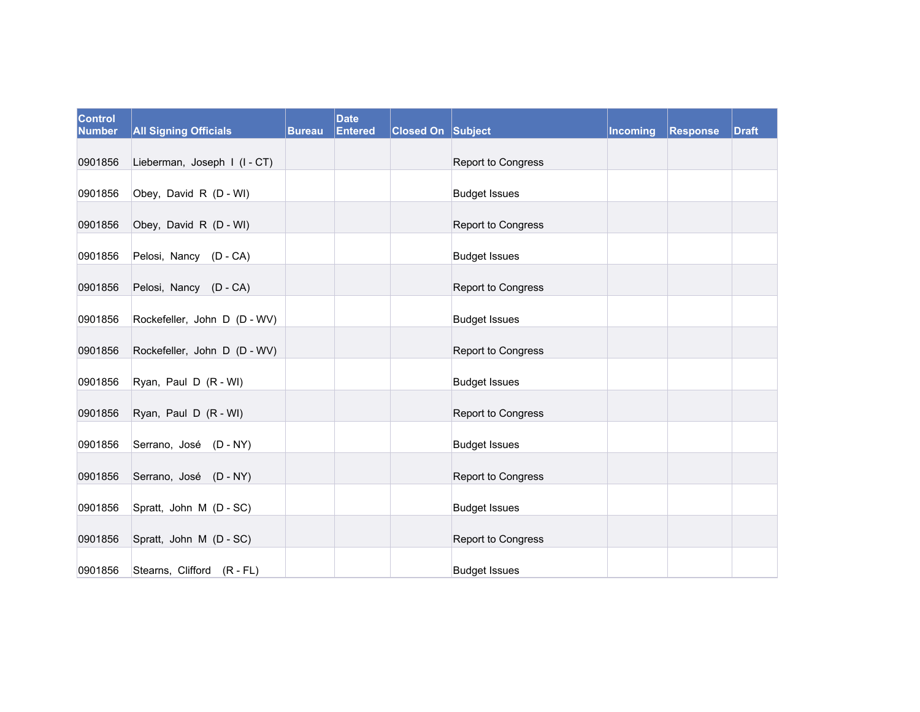| <b>Control</b><br><b>Number</b> | <b>All Signing Officials</b> | <b>Bureau</b> | <b>Date</b><br><b>Entered</b> | Closed On Subject |                      | Incoming | <b>Response</b> | <b>Draft</b> |
|---------------------------------|------------------------------|---------------|-------------------------------|-------------------|----------------------|----------|-----------------|--------------|
| 0901856                         | Lieberman, Joseph I (I-CT)   |               |                               |                   | Report to Congress   |          |                 |              |
| 0901856                         | Obey, David R (D - WI)       |               |                               |                   | <b>Budget Issues</b> |          |                 |              |
| 0901856                         | Obey, David R (D - WI)       |               |                               |                   | Report to Congress   |          |                 |              |
| 0901856                         | Pelosi, Nancy (D - CA)       |               |                               |                   | <b>Budget Issues</b> |          |                 |              |
| 0901856                         | Pelosi, Nancy (D - CA)       |               |                               |                   | Report to Congress   |          |                 |              |
| 0901856                         | Rockefeller, John D (D - WV) |               |                               |                   | <b>Budget Issues</b> |          |                 |              |
| 0901856                         | Rockefeller, John D (D - WV) |               |                               |                   | Report to Congress   |          |                 |              |
| 0901856                         | Ryan, Paul D (R - WI)        |               |                               |                   | <b>Budget Issues</b> |          |                 |              |
| 0901856                         | Ryan, Paul D (R - WI)        |               |                               |                   | Report to Congress   |          |                 |              |
| 0901856                         | Serrano, José (D - NY)       |               |                               |                   | <b>Budget Issues</b> |          |                 |              |
| 0901856                         | Serrano, José (D - NY)       |               |                               |                   | Report to Congress   |          |                 |              |
| 0901856                         | Spratt, John M (D - SC)      |               |                               |                   | <b>Budget Issues</b> |          |                 |              |
| 0901856                         | Spratt, John M (D - SC)      |               |                               |                   | Report to Congress   |          |                 |              |
| 0901856                         | Stearns, Clifford (R - FL)   |               |                               |                   | <b>Budget Issues</b> |          |                 |              |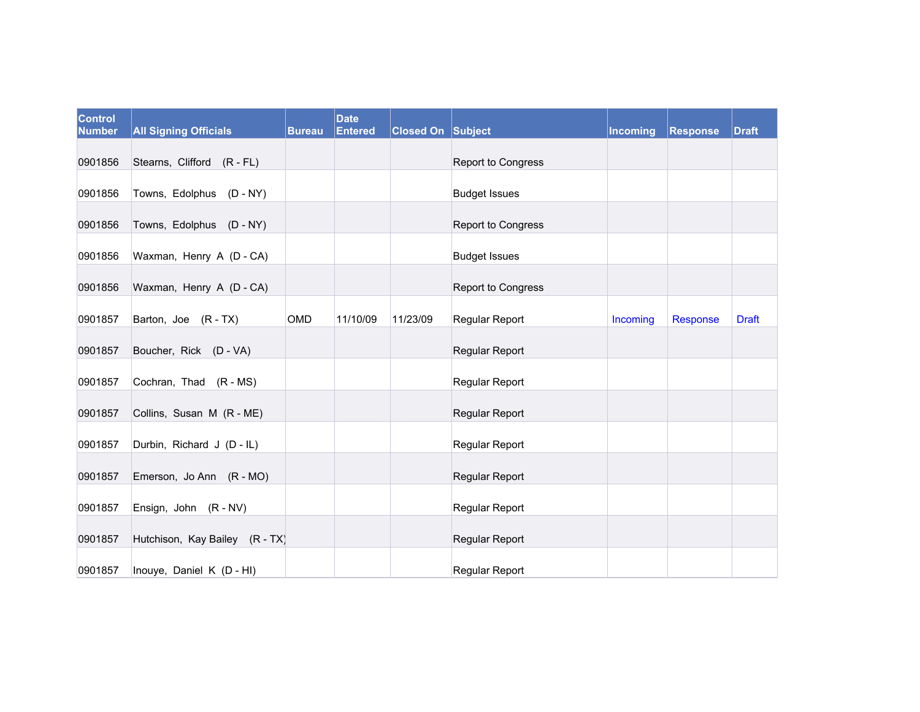| <b>Control</b><br><b>Number</b> | <b>All Signing Officials</b>   | <b>Bureau</b> | <b>Date</b><br><b>Entered</b> | <b>Closed On Subject</b> |                      | <b>Incoming</b> | <b>Response</b> | <b>Draft</b> |
|---------------------------------|--------------------------------|---------------|-------------------------------|--------------------------|----------------------|-----------------|-----------------|--------------|
| 0901856                         | Stearns, Clifford (R - FL)     |               |                               |                          | Report to Congress   |                 |                 |              |
| 0901856                         | Towns, Edolphus (D - NY)       |               |                               |                          | <b>Budget Issues</b> |                 |                 |              |
| 0901856                         | Towns, Edolphus (D - NY)       |               |                               |                          | Report to Congress   |                 |                 |              |
| 0901856                         | Waxman, Henry A (D - CA)       |               |                               |                          | <b>Budget Issues</b> |                 |                 |              |
| 0901856                         | Waxman, Henry A (D - CA)       |               |                               |                          | Report to Congress   |                 |                 |              |
| 0901857                         | Barton, Joe (R-TX)             | OMD           | 11/10/09                      | 11/23/09                 | Regular Report       | Incoming        | Response        | <b>Draft</b> |
| 0901857                         | Boucher, Rick (D - VA)         |               |                               |                          | Regular Report       |                 |                 |              |
| 0901857                         | Cochran, Thad (R - MS)         |               |                               |                          | Regular Report       |                 |                 |              |
| 0901857                         | Collins, Susan M (R - ME)      |               |                               |                          | Regular Report       |                 |                 |              |
| 0901857                         | Durbin, Richard J (D - IL)     |               |                               |                          | Regular Report       |                 |                 |              |
| 0901857                         | Emerson, Jo Ann (R - MO)       |               |                               |                          | Regular Report       |                 |                 |              |
| 0901857                         | Ensign, John (R - NV)          |               |                               |                          | Regular Report       |                 |                 |              |
| 0901857                         | Hutchison, Kay Bailey (R - TX) |               |                               |                          | Regular Report       |                 |                 |              |
| 0901857                         | Inouye, Daniel K (D - HI)      |               |                               |                          | Regular Report       |                 |                 |              |